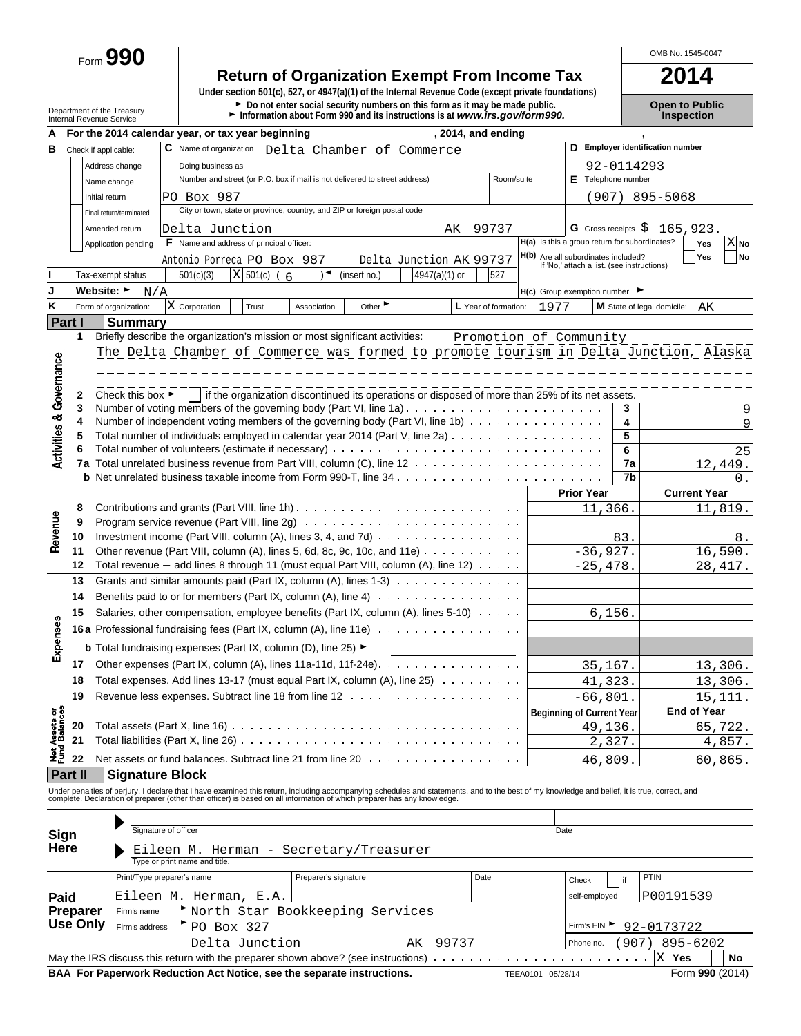Form **990**

## **Return of Organization Exempt From Income Tax 2014**

**Under section 501(c), 527, or 4947(a)(1) of the Internal Revenue Code (except private foundations)** Department of the Treasury **Depen to Public**<br>Department of the Treasury **Depen to Public**<br>Internal Revenue Service **Depen to Public Depen internal Revenue Service internal Revenue Service <b>Depen to Public** 

| А                                      |                      |                                      | , 2014, and ending<br>For the 2014 calendar year, or tax year beginning                                                                                                                       |                        |                                                                                   |            |                                        |
|----------------------------------------|----------------------|--------------------------------------|-----------------------------------------------------------------------------------------------------------------------------------------------------------------------------------------------|------------------------|-----------------------------------------------------------------------------------|------------|----------------------------------------|
| в                                      | Check if applicable: |                                      | C Name of organization<br>Delta Chamber of Commerce                                                                                                                                           |                        |                                                                                   |            | D Employer identification number       |
|                                        |                      | Address change                       | Doing business as                                                                                                                                                                             |                        |                                                                                   | 92-0114293 |                                        |
|                                        |                      | Name change                          | Number and street (or P.O. box if mail is not delivered to street address)                                                                                                                    | Room/suite             | E Telephone number                                                                |            |                                        |
|                                        | Initial return       |                                      | PO Box 987                                                                                                                                                                                    |                        |                                                                                   |            | (907) 895-5068                         |
|                                        |                      | Final return/terminated              | City or town, state or province, country, and ZIP or foreign postal code                                                                                                                      |                        |                                                                                   |            |                                        |
|                                        |                      | Amended return                       | Delta Junction<br>99737<br>AK                                                                                                                                                                 |                        | G Gross receipts $\hat{\varsigma}$                                                |            | 165,923.                               |
|                                        |                      | Application pending                  | <b>F</b> Name and address of principal officer:                                                                                                                                               |                        | H(a) Is this a group return for subordinates?                                     |            | $X_{N0}$<br>Yes                        |
|                                        |                      |                                      | Antonio Porreca PO Box 987<br>Delta Junction AK 99737                                                                                                                                         |                        | H(b) Are all subordinates included?<br>If 'No,' attach a list. (see instructions) |            | <b>No</b><br>Yes                       |
|                                        |                      | Tax-exempt status                    | 501(c)(3)<br>$X$ 501(c) (6<br>(insert no.)<br>4947(a)(1) or<br>) ◄                                                                                                                            | 527                    |                                                                                   |            |                                        |
| J                                      | Website: ►           |                                      |                                                                                                                                                                                               |                        | $H(c)$ Group exemption number $\blacktriangleright$                               |            |                                        |
| κ                                      |                      | N/A                                  |                                                                                                                                                                                               |                        |                                                                                   |            |                                        |
|                                        |                      | Form of organization:                | X Corporation<br>Other<br>L Year of formation:<br>Trust<br>Association                                                                                                                        | 1977                   |                                                                                   |            | M State of legal domicile:<br>AK       |
|                                        | <b>Part I</b>        | <b>Summary</b>                       |                                                                                                                                                                                               |                        |                                                                                   |            |                                        |
|                                        | 1                    |                                      | Briefly describe the organization's mission or most significant activities:                                                                                                                   | Promotion of Community |                                                                                   |            |                                        |
|                                        |                      |                                      | The Delta Chamber of Commerce was formed to promote tourism in Delta Junction, Alaska                                                                                                         |                        |                                                                                   |            |                                        |
|                                        |                      |                                      |                                                                                                                                                                                               |                        |                                                                                   |            |                                        |
| Governance                             |                      |                                      |                                                                                                                                                                                               |                        |                                                                                   |            |                                        |
|                                        | 2<br>3               | Check this box $\blacktriangleright$ | if the organization discontinued its operations or disposed of more than 25% of its net assets.                                                                                               |                        |                                                                                   | 3          |                                        |
|                                        | 4                    |                                      | Number of independent voting members of the governing body (Part VI, line 1b)                                                                                                                 |                        |                                                                                   | 4          | 9                                      |
| <b>Activities &amp;</b>                |                      |                                      | Total number of individuals employed in calendar year 2014 (Part V, line 2a)                                                                                                                  |                        |                                                                                   | 5          |                                        |
|                                        | 6                    |                                      |                                                                                                                                                                                               |                        |                                                                                   | 6          | 25                                     |
|                                        |                      |                                      |                                                                                                                                                                                               |                        |                                                                                   | 7a         | 12,449.                                |
|                                        |                      |                                      |                                                                                                                                                                                               |                        |                                                                                   | 7b         | 0.                                     |
|                                        |                      |                                      |                                                                                                                                                                                               |                        | <b>Prior Year</b>                                                                 |            | <b>Current Year</b>                    |
| Revenue                                | 8                    |                                      | Contributions and grants (Part VIII, line 1h) $\ldots \ldots \ldots \ldots \ldots \ldots \ldots \ldots \ldots \ldots$                                                                         |                        | 11,366.                                                                           |            | 11,819.                                |
|                                        | 9                    |                                      | Program service revenue (Part VIII, line 2g) $\ldots \ldots \ldots \ldots \ldots \ldots \ldots \ldots \ldots \ldots$                                                                          |                        |                                                                                   |            |                                        |
|                                        | 10                   |                                      | Investment income (Part VIII, column $(A)$ , lines 3, 4, and 7d) $\ldots$                                                                                                                     |                        |                                                                                   | 83.        | 8.                                     |
|                                        | 11                   |                                      | Other revenue (Part VIII, column (A), lines 5, 6d, 8c, 9c, 10c, and 11e) $\ldots \ldots \ldots$                                                                                               |                        | $-36,927.$                                                                        |            | 16,590.                                |
|                                        | 12                   |                                      | Total revenue $-$ add lines 8 through 11 (must equal Part VIII, column (A), line 12) $\ldots \ldots$                                                                                          |                        | $-25, 478.$                                                                       |            | 28, 417.                               |
|                                        | 13                   |                                      | Grants and similar amounts paid (Part IX, column $(A)$ , lines 1-3) $\ldots$                                                                                                                  |                        |                                                                                   |            |                                        |
|                                        | 14                   |                                      |                                                                                                                                                                                               |                        |                                                                                   |            |                                        |
|                                        | 15                   |                                      | Salaries, other compensation, employee benefits (Part IX, column (A), lines 5-10)                                                                                                             |                        | 6, 156.                                                                           |            |                                        |
| Expenses                               |                      |                                      | 16a Professional fundraising fees (Part IX, column (A), line 11e)                                                                                                                             |                        |                                                                                   |            |                                        |
|                                        |                      |                                      |                                                                                                                                                                                               |                        |                                                                                   |            |                                        |
|                                        |                      |                                      | <b>b</b> Total fundraising expenses (Part IX, column (D), line 25) ►                                                                                                                          |                        |                                                                                   |            |                                        |
|                                        | 17                   |                                      |                                                                                                                                                                                               |                        | 35,167.                                                                           |            | 13,306.                                |
|                                        | 18                   |                                      | Total expenses. Add lines 13-17 (must equal Part IX, column (A), line 25)                                                                                                                     |                        | 41,323.                                                                           |            | 13,306.                                |
|                                        | 19                   |                                      |                                                                                                                                                                                               |                        | $-66,801.$                                                                        |            | 15, 111.                               |
| <b>Net Assets or<br/>Fund Balances</b> |                      |                                      |                                                                                                                                                                                               |                        | Beginning of Current Year                                                         |            | <b>End of Year</b>                     |
|                                        | 20                   |                                      | Total assets (Part X, line 16) $\ldots \ldots \ldots \ldots \ldots \ldots \ldots \ldots \ldots \ldots \ldots$                                                                                 |                        | 49,136.                                                                           |            | 65,722.                                |
|                                        | 21                   |                                      | Total liabilities (Part X, line 26)                                                                                                                                                           |                        | 2,327.                                                                            |            | 4,857.                                 |
|                                        | 22                   |                                      | Net assets or fund balances. Subtract line 21 from line 20                                                                                                                                    |                        | 46,809.                                                                           |            | 60,865.                                |
|                                        | <b>Part II</b>       | <b>Signature Block</b>               |                                                                                                                                                                                               |                        |                                                                                   |            |                                        |
|                                        |                      |                                      | Under penalties of perjury, I declare that I have examined this return, including accompanying schedules and statements, and to the best of my knowledge and belief, it is true, correct, and |                        |                                                                                   |            |                                        |
|                                        |                      |                                      | complete. Declaration of preparer (other than officer) is based on all information of which preparer has any knowledge.                                                                       |                        |                                                                                   |            |                                        |
|                                        |                      |                                      |                                                                                                                                                                                               |                        |                                                                                   |            |                                        |
| Sign                                   |                      |                                      | Signature of officer                                                                                                                                                                          | Date                   |                                                                                   |            |                                        |
| Here                                   |                      |                                      | Eileen M. Herman - Secretary/Treasurer                                                                                                                                                        |                        |                                                                                   |            |                                        |
|                                        |                      |                                      | Type or print name and title                                                                                                                                                                  |                        |                                                                                   |            |                                        |
|                                        |                      |                                      | Preparer's signature<br>Date<br>Print/Type preparer's name                                                                                                                                    |                        | Check                                                                             | if         | PTIN                                   |
| Paid                                   |                      |                                      | Eileen M. Herman, E.A.                                                                                                                                                                        |                        | self-employed                                                                     |            | P00191539                              |
|                                        | Preparer             | Firm's name                          | North Star Bookkeeping Services                                                                                                                                                               |                        |                                                                                   |            |                                        |
|                                        | Use Only             | Firm's address                       | $P_{\text{P}}$ Rox 327                                                                                                                                                                        |                        |                                                                                   |            | Firm's EIN $\triangleright$ 92-0173722 |

Firm's address FD Box 327

92-0173722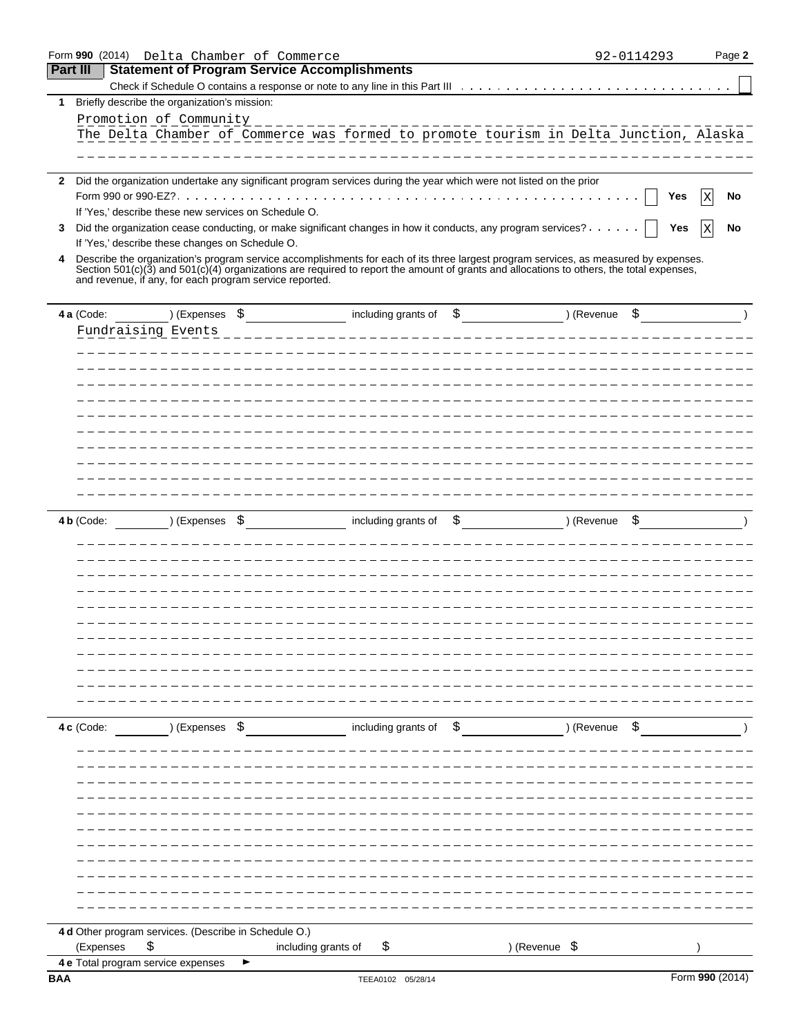|                 | Form 990 (2014)<br>Delta Chamber of Commerce            |                                                                                                                                              | 92-0114293       | Page 2 |
|-----------------|---------------------------------------------------------|----------------------------------------------------------------------------------------------------------------------------------------------|------------------|--------|
| <b>Part III</b> | <b>Statement of Program Service Accomplishments</b>     |                                                                                                                                              |                  |        |
|                 |                                                         |                                                                                                                                              |                  |        |
| $\mathbf{1}$    | Briefly describe the organization's mission:            |                                                                                                                                              |                  |        |
|                 | Promotion of Community                                  |                                                                                                                                              |                  |        |
|                 |                                                         | The Delta Chamber of Commerce was formed to promote tourism in Delta Junction, Alaska                                                        |                  |        |
|                 |                                                         |                                                                                                                                              |                  |        |
|                 |                                                         | 2 Did the organization undertake any significant program services during the year which were not listed on the prior                         |                  |        |
|                 |                                                         |                                                                                                                                              | Yes              | No     |
|                 | If 'Yes,' describe these new services on Schedule O.    |                                                                                                                                              |                  |        |
| 3               |                                                         | Did the organization cease conducting, or make significant changes in how it conducts, any program services?                                 | Yes              | No     |
|                 | If 'Yes,' describe these changes on Schedule O.         |                                                                                                                                              |                  |        |
| 4               |                                                         | Describe the organization's program service accomplishments for each of its three largest program services, as measured by expenses.         |                  |        |
|                 | and revenue, if any, for each program service reported. | Section $501(c)(3)$ and $501(c)(4)$ organizations are required to report the amount of grants and allocations to others, the total expenses, |                  |        |
|                 | ) (Expenses \$<br>4 a (Code:                            | including grants of<br>\$                                                                                                                    | ) (Revenue<br>\$ |        |
|                 | Fundraising Events                                      |                                                                                                                                              |                  |        |
|                 |                                                         |                                                                                                                                              |                  |        |
|                 |                                                         |                                                                                                                                              |                  |        |
|                 |                                                         |                                                                                                                                              |                  |        |
|                 |                                                         |                                                                                                                                              |                  |        |
|                 |                                                         |                                                                                                                                              |                  |        |
|                 |                                                         |                                                                                                                                              |                  |        |
|                 |                                                         |                                                                                                                                              |                  |        |
|                 |                                                         |                                                                                                                                              |                  |        |
|                 |                                                         |                                                                                                                                              |                  |        |
|                 |                                                         |                                                                                                                                              |                  |        |
|                 |                                                         |                                                                                                                                              |                  |        |
|                 | 4 b (Code:<br>) (Expenses<br>\$                         | including grants of<br>\$                                                                                                                    | ) (Revenue<br>\$ |        |
|                 |                                                         |                                                                                                                                              |                  |        |
|                 |                                                         |                                                                                                                                              |                  |        |
|                 |                                                         |                                                                                                                                              |                  |        |
|                 |                                                         |                                                                                                                                              |                  |        |
|                 |                                                         |                                                                                                                                              |                  |        |
|                 |                                                         |                                                                                                                                              |                  |        |
|                 |                                                         |                                                                                                                                              |                  |        |
|                 |                                                         |                                                                                                                                              |                  |        |
|                 |                                                         |                                                                                                                                              |                  |        |
|                 |                                                         |                                                                                                                                              |                  |        |
|                 |                                                         |                                                                                                                                              |                  |        |
|                 |                                                         |                                                                                                                                              |                  |        |
|                 | 4c (Code:<br>) (Expenses \$                             | including grants of \$                                                                                                                       | ) (Revenue<br>\$ |        |
|                 |                                                         |                                                                                                                                              |                  |        |
|                 |                                                         |                                                                                                                                              |                  |        |
|                 |                                                         |                                                                                                                                              |                  |        |
|                 |                                                         |                                                                                                                                              |                  |        |
|                 |                                                         |                                                                                                                                              |                  |        |
|                 |                                                         |                                                                                                                                              |                  |        |
|                 |                                                         |                                                                                                                                              |                  |        |
|                 |                                                         |                                                                                                                                              |                  |        |
|                 |                                                         |                                                                                                                                              |                  |        |
|                 |                                                         |                                                                                                                                              |                  |        |
|                 |                                                         |                                                                                                                                              |                  |        |
|                 | 4 d Other program services. (Describe in Schedule O.)   |                                                                                                                                              |                  |        |
|                 | (Expenses<br>\$                                         | including grants of<br>Ş                                                                                                                     | ) (Revenue \$    |        |
|                 | 4 e Total program service expenses                      |                                                                                                                                              |                  |        |
| <b>BAA</b>      |                                                         | TEEA0102 05/28/14                                                                                                                            | Form 990 (2014)  |        |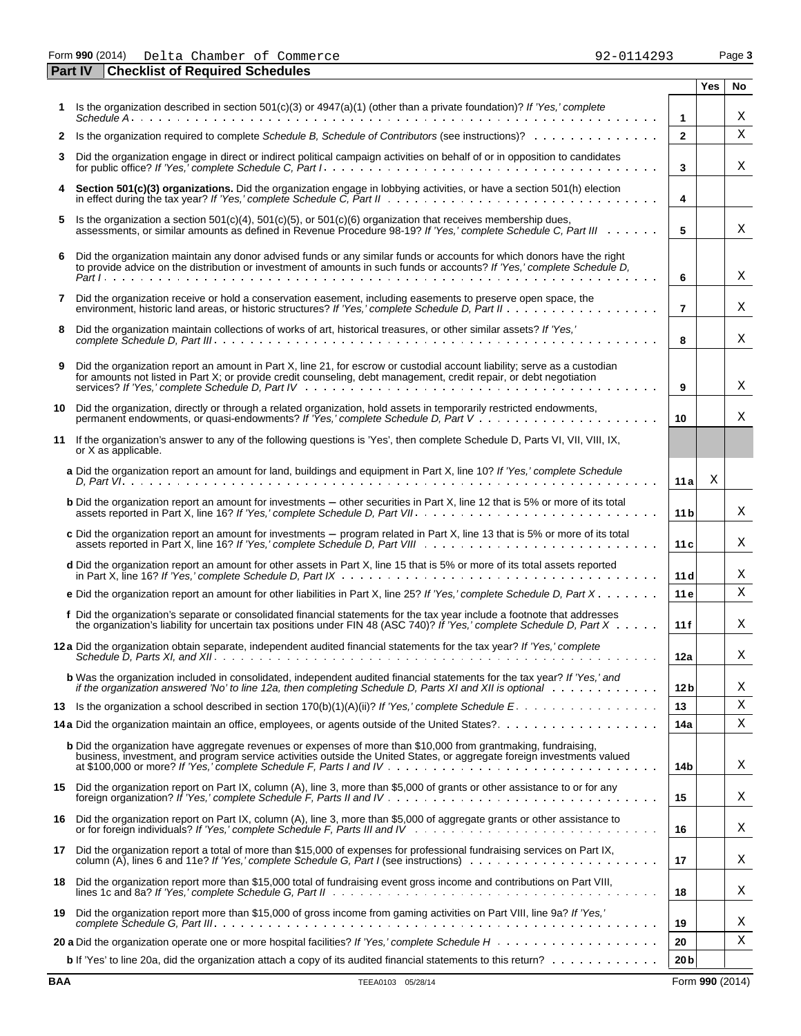| _ _ _ _ _ _     | - -- - |         |    |          |                       |        |
|-----------------|--------|---------|----|----------|-----------------------|--------|
| Form 990 (2014) | Delta  | Chamber | оt | Commerce | . 4290<br>ے ،<br>ユムシコ | Page 3 |

|     | <b>Part IV</b> | <b>Checklist of Required Schedules</b>                                                                                                                                                                                                                                                                                                     |                 |            |    |
|-----|----------------|--------------------------------------------------------------------------------------------------------------------------------------------------------------------------------------------------------------------------------------------------------------------------------------------------------------------------------------------|-----------------|------------|----|
|     |                |                                                                                                                                                                                                                                                                                                                                            |                 | <b>Yes</b> | No |
|     |                | 1 Is the organization described in section $501(c)(3)$ or $4947(a)(1)$ (other than a private foundation)? If 'Yes,' complete                                                                                                                                                                                                               | $\mathbf{1}$    |            | Χ  |
|     |                | 2 Is the organization required to complete Schedule B, Schedule of Contributors (see instructions)?                                                                                                                                                                                                                                        | $\overline{2}$  |            | Х  |
| 3   |                | Did the organization engage in direct or indirect political campaign activities on behalf of or in opposition to candidates                                                                                                                                                                                                                | 3               |            | Χ  |
| 4   |                | Section 501(c)(3) organizations. Did the organization engage in lobbying activities, or have a section 501(h) election                                                                                                                                                                                                                     | 4               |            |    |
| 5   |                | Is the organization a section $501(c)(4)$ , $501(c)(5)$ , or $501(c)(6)$ organization that receives membership dues,                                                                                                                                                                                                                       |                 |            |    |
|     |                | assessments, or similar amounts as defined in Revenue Procedure 98-19? If 'Yes,' complete Schedule C, Part III                                                                                                                                                                                                                             | 5               |            | Χ  |
| 6   |                | Did the organization maintain any donor advised funds or any similar funds or accounts for which donors have the right<br>to provide advice on the distribution or investment of amounts in such funds or accounts? If 'Yes,' complete Schedule D,                                                                                         | 6               |            | Χ  |
| 7   |                | Did the organization receive or hold a conservation easement, including easements to preserve open space, the                                                                                                                                                                                                                              | $\overline{7}$  |            | Χ  |
| 8   |                | Did the organization maintain collections of works of art, historical treasures, or other similar assets? If 'Yes,'                                                                                                                                                                                                                        | 8               |            | Χ  |
| 9   |                | Did the organization report an amount in Part X, line 21, for escrow or custodial account liability; serve as a custodian<br>for amounts not listed in Part X; or provide credit counseling, debt management, credit repair, or debt negotiation                                                                                           | 9               |            | Χ  |
| 10  |                | Did the organization, directly or through a related organization, hold assets in temporarily restricted endowments,                                                                                                                                                                                                                        | 10              |            | Χ  |
| 11  |                | If the organization's answer to any of the following questions is 'Yes', then complete Schedule D, Parts VI, VII, VIII, IX,<br>or X as applicable.                                                                                                                                                                                         |                 |            |    |
|     |                | a Did the organization report an amount for land, buildings and equipment in Part X, line 10? If 'Yes,' complete Schedule                                                                                                                                                                                                                  | 11a             | X          |    |
|     |                | <b>b</b> Did the organization report an amount for investments – other securities in Part X, line 12 that is 5% or more of its total                                                                                                                                                                                                       | 11 <sub>b</sub> |            | Χ  |
|     |                | c Did the organization report an amount for investments – program related in Part X, line 13 that is 5% or more of its total                                                                                                                                                                                                               | 11c             |            | Χ  |
|     |                | d Did the organization report an amount for other assets in Part X, line 15 that is 5% or more of its total assets reported                                                                                                                                                                                                                | 11d             |            | Χ  |
|     |                | e Did the organization report an amount for other liabilities in Part X, line 25? If 'Yes,' complete Schedule D, Part X                                                                                                                                                                                                                    | 11 e            |            | X  |
|     |                | f Did the organization's separate or consolidated financial statements for the tax year include a footnote that addresses<br>the organization's liability for uncertain tax positions under FIN 48 (ASC 740)? If 'Yes,' complete Schedule D. Part $X \cdot \cdot \cdot$                                                                    | 11f             |            | Χ  |
|     |                | 12 a Did the organization obtain separate, independent audited financial statements for the tax year? If 'Yes,' complete                                                                                                                                                                                                                   | 12a             |            | Χ  |
|     |                | <b>b</b> Was the organization included in consolidated, independent audited financial statements for the tax year? If 'Yes,' and<br>if the organization answered 'No' to line 12a, then completing Schedule D, Parts XI and XII is optional with the view of the view of the 12a, then completing Schedule D, Parts XI and XII is optional | 12 b            |            | Χ  |
|     |                | 13 Is the organization a school described in section 170(b)(1)(A)(ii)? If 'Yes,' complete Schedule E.                                                                                                                                                                                                                                      | 13              |            | Χ  |
|     |                |                                                                                                                                                                                                                                                                                                                                            | 14a             |            | Χ  |
|     |                | <b>b</b> Did the organization have aggregate revenues or expenses of more than \$10,000 from grantmaking, fundraising,<br>business, investment, and program service activities outside the United States, or aggregate foreign investments valued                                                                                          | 14b             |            | Χ  |
|     |                | 15 Did the organization report on Part IX, column (A), line 3, more than \$5,000 of grants or other assistance to or for any                                                                                                                                                                                                               | 15              |            | Χ  |
| 16. |                | Did the organization report on Part IX, column (A), line 3, more than \$5,000 of aggregate grants or other assistance to<br>or for foreign individuals? If 'Yes,' complete Schedule F, Parts III and IV                                                                                                                                    | 16              |            | Χ  |
| 17  |                | Did the organization report a total of more than \$15,000 of expenses for professional fundraising services on Part IX,                                                                                                                                                                                                                    | 17              |            | Χ  |
| 18  |                | Did the organization report more than \$15,000 total of fundraising event gross income and contributions on Part VIII,                                                                                                                                                                                                                     | 18              |            | Χ  |
| 19  |                | Did the organization report more than \$15,000 of gross income from gaming activities on Part VIII, line 9a? If 'Yes,'                                                                                                                                                                                                                     | 19              |            | Χ  |
|     |                |                                                                                                                                                                                                                                                                                                                                            | 20              |            | Χ  |
|     |                | b If 'Yes' to line 20a, did the organization attach a copy of its audited financial statements to this return?                                                                                                                                                                                                                             | 20 <sub>b</sub> |            |    |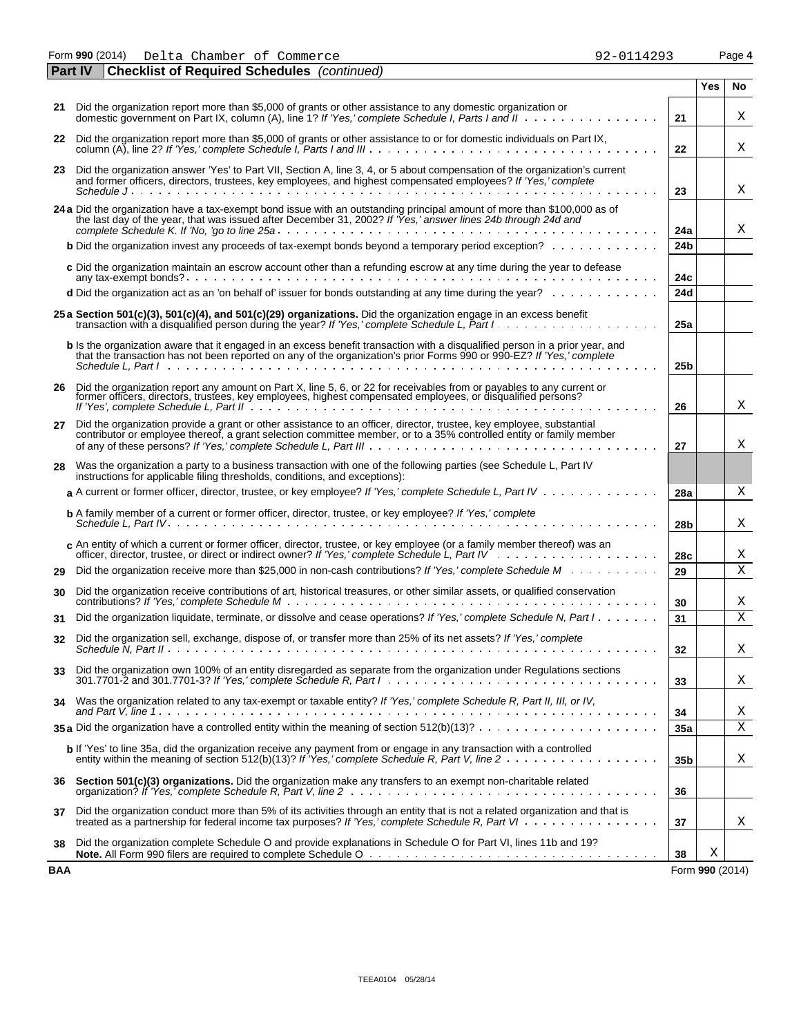Form **990** (2014) Page **4** Delta Chamber of Commerce 92-0114293

|            | <b>Checklist of Required Schedules</b> (continued)<br><b>Part IV</b>                                                                                                                                                                                                                                                                                                          |                 |                 |     |
|------------|-------------------------------------------------------------------------------------------------------------------------------------------------------------------------------------------------------------------------------------------------------------------------------------------------------------------------------------------------------------------------------|-----------------|-----------------|-----|
|            |                                                                                                                                                                                                                                                                                                                                                                               |                 | Yes             | No. |
|            | 21 Did the organization report more than \$5,000 of grants or other assistance to any domestic organization or                                                                                                                                                                                                                                                                | 21              |                 | Χ   |
|            | 22 Did the organization report more than \$5,000 of grants or other assistance to or for domestic individuals on Part IX,                                                                                                                                                                                                                                                     | 22              |                 | Χ   |
|            | 23 Did the organization answer 'Yes' to Part VII, Section A, line 3, 4, or 5 about compensation of the organization's current<br>and former officers, directors, trustees, key employees, and highest compensated employees? If 'Yes,' complete                                                                                                                               |                 |                 |     |
|            |                                                                                                                                                                                                                                                                                                                                                                               | 23              |                 | Χ   |
|            | 24 a Did the organization have a tax-exempt bond issue with an outstanding principal amount of more than \$100,000 as of<br>the last day of the year, that was issued after December 31, 2002? If 'Yes,' answer lines 24b through 24d and                                                                                                                                     | 24a             |                 | Χ   |
|            | <b>b</b> Did the organization invest any proceeds of tax-exempt bonds beyond a temporary period exception?                                                                                                                                                                                                                                                                    | 24 <sub>b</sub> |                 |     |
|            | c Did the organization maintain an escrow account other than a refunding escrow at any time during the year to defease                                                                                                                                                                                                                                                        | 24c             |                 |     |
|            | d Did the organization act as an 'on behalf of' issuer for bonds outstanding at any time during the year?                                                                                                                                                                                                                                                                     | 24d             |                 |     |
|            | 25 a Section 501(c)(3), 501(c)(4), and 501(c)(29) organizations. Did the organization engage in an excess benefit                                                                                                                                                                                                                                                             | 25a             |                 |     |
|            | <b>b</b> Is the organization aware that it engaged in an excess benefit transaction with a disqualified person in a prior year, and<br>that the transaction has not been reported on any of the organization's prior Forms 990 or 990-EZ? If 'Yes,' complete<br>Schedule L. Part Independent Letter Letter Letter Letter Letter Letter Letter Letter Letter Letter Letter Let | 25 <sub>b</sub> |                 |     |
|            |                                                                                                                                                                                                                                                                                                                                                                               |                 |                 |     |
|            | 26 Did the organization report any amount on Part X, line 5, 6, or 22 for receivables from or payables to any current or<br>former officers, directors, trustees, key employees, highest compensated employees, or disqualified persons?                                                                                                                                      | 26              |                 | Χ   |
|            | 27 Did the organization provide a grant or other assistance to an officer, director, trustee, key employee, substantial<br>contributor or employee thereof, a grant selection committee member, or to a 35% controlled entity or family member                                                                                                                                | 27              |                 | X   |
| 28         | Was the organization a party to a business transaction with one of the following parties (see Schedule L, Part IV<br>instructions for applicable filing thresholds, conditions, and exceptions):                                                                                                                                                                              |                 |                 |     |
|            | a A current or former officer, director, trustee, or key employee? If 'Yes,' complete Schedule L, Part IV                                                                                                                                                                                                                                                                     | 28a             |                 | Χ   |
|            | <b>b</b> A family member of a current or former officer, director, trustee, or key employee? If 'Yes,' complete                                                                                                                                                                                                                                                               | 28 <sub>b</sub> |                 | Χ   |
|            | c An entity of which a current or former officer, director, trustee, or key employee (or a family member thereof) was an                                                                                                                                                                                                                                                      | 28c             |                 | Χ   |
| 29         | Did the organization receive more than \$25,000 in non-cash contributions? If 'Yes,' complete Schedule M                                                                                                                                                                                                                                                                      | 29              |                 | X   |
| 30         | Did the organization receive contributions of art, historical treasures, or other similar assets, or qualified conservation                                                                                                                                                                                                                                                   | 30              |                 | Χ   |
| 31         | Did the organization liquidate, terminate, or dissolve and cease operations? If 'Yes,' complete Schedule N, Part I                                                                                                                                                                                                                                                            | 31              |                 | Χ   |
| 32         | Did the organization sell, exchange, dispose of, or transfer more than 25% of its net assets? If 'Yes,' complete                                                                                                                                                                                                                                                              | 32              |                 | Χ   |
| 33         | Did the organization own 100% of an entity disregarded as separate from the organization under Regulations sections                                                                                                                                                                                                                                                           | 33              |                 | X   |
| 34         | Was the organization related to any tax-exempt or taxable entity? If 'Yes,' complete Schedule R, Part II, III, or IV,                                                                                                                                                                                                                                                         | 34              |                 | Χ   |
|            | 35 a Did the organization have a controlled entity within the meaning of section $512(b)(13)? \ldots \ldots \ldots \ldots \ldots \ldots$                                                                                                                                                                                                                                      | 35a             |                 | Χ   |
|            | $\mathbf b$ If 'Yes' to line 35a, did the organization receive any payment from or engage in any transaction with a controlled                                                                                                                                                                                                                                                | 35 <sub>b</sub> |                 | Χ   |
| 36         | Section 501(c)(3) organizations. Did the organization make any transfers to an exempt non-charitable related                                                                                                                                                                                                                                                                  | 36              |                 |     |
| 37         | Did the organization conduct more than 5% of its activities through an entity that is not a related organization and that is<br>treated as a partnership for federal income tax purposes? If 'Yes,' complete Schedule R, Part VI                                                                                                                                              | 37              |                 | Χ   |
| 38         | Did the organization complete Schedule O and provide explanations in Schedule O for Part VI, lines 11b and 19?                                                                                                                                                                                                                                                                | 38              | Χ               |     |
| <b>BAA</b> |                                                                                                                                                                                                                                                                                                                                                                               |                 | Form 990 (2014) |     |

| $92 - 0114293$ |  |  |  |
|----------------|--|--|--|
|                |  |  |  |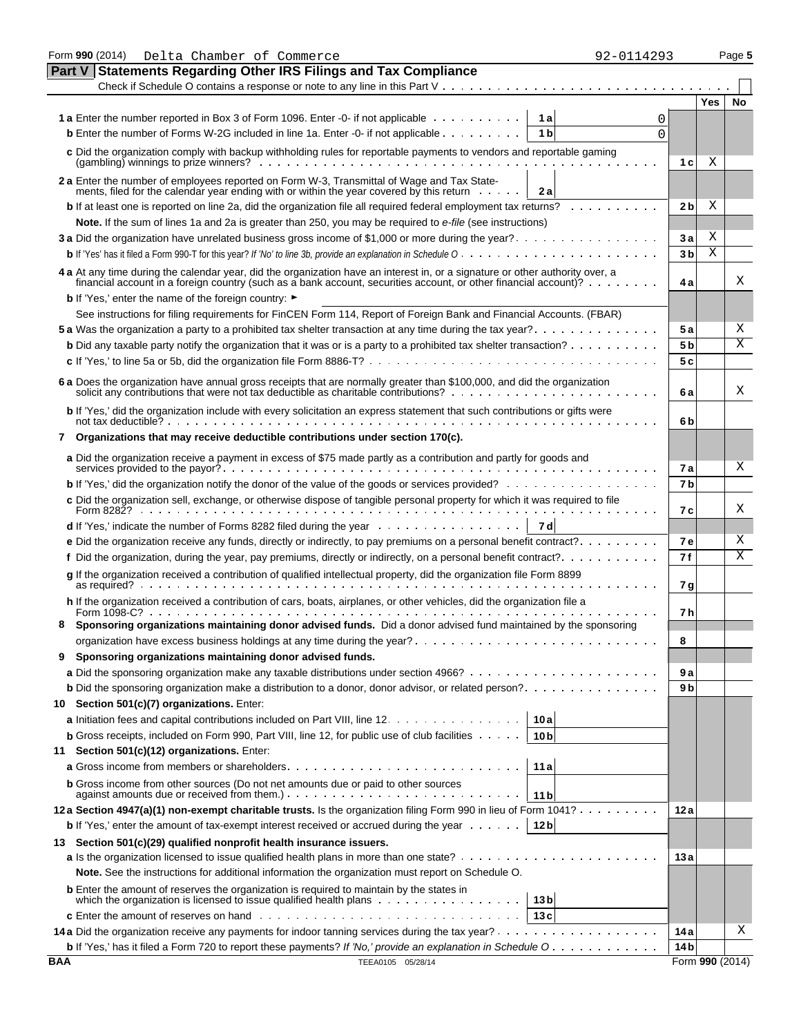|               | Form 990 (2014)<br>Delta Chamber of Commerce<br>92-0114293                                                                                                                                                                                        |                |                 | Page 5 |
|---------------|---------------------------------------------------------------------------------------------------------------------------------------------------------------------------------------------------------------------------------------------------|----------------|-----------------|--------|
| <b>Part V</b> | <b>Statements Regarding Other IRS Filings and Tax Compliance</b>                                                                                                                                                                                  |                |                 |        |
|               |                                                                                                                                                                                                                                                   |                | Yes             | No     |
|               | 1 a Enter the number reported in Box 3 of Form 1096. Enter -0- if not applicable<br>1a<br>0                                                                                                                                                       |                |                 |        |
|               | <b>b</b> Enter the number of Forms W-2G included in line 1a. Enter -0- if not applicable<br>1 <sub>b</sub><br>$\Omega$                                                                                                                            |                |                 |        |
|               | c Did the organization comply with backup withholding rules for reportable payments to vendors and reportable gaming                                                                                                                              |                |                 |        |
|               | $(gambling)$ winnings to prize winners? $\ldots$ , $\ldots$ , $\ldots$ , $\ldots$ , $\ldots$ , $\ldots$ , $\ldots$                                                                                                                                | 1 c l          | Χ               |        |
|               | 2 a Enter the number of employees reported on Form W-3, Transmittal of Wage and Tax State-                                                                                                                                                        |                |                 |        |
|               | ments, filed for the calendar year ending with or within the year covered by this return<br>2a                                                                                                                                                    |                |                 |        |
|               | <b>b</b> If at least one is reported on line 2a, did the organization file all required federal employment tax returns?                                                                                                                           | 2 bl           | Χ               |        |
|               | Note. If the sum of lines 1a and 2a is greater than 250, you may be required to e-file (see instructions)                                                                                                                                         |                |                 |        |
|               | 3 a Did the organization have unrelated business gross income of \$1,000 or more during the year?                                                                                                                                                 | Зa             | Χ               |        |
|               |                                                                                                                                                                                                                                                   | 3 <sub>b</sub> | X               |        |
|               | 4 a At any time during the calendar year, did the organization have an interest in, or a signature or other authority over, a<br>financial account in a foreign country (such as a bank account, securities account, or other financial account)? | 4 a            |                 | Χ      |
|               | <b>b</b> If 'Yes,' enter the name of the foreign country: ►                                                                                                                                                                                       |                |                 |        |
|               | See instructions for filing requirements for FinCEN Form 114, Report of Foreign Bank and Financial Accounts. (FBAR)                                                                                                                               |                |                 |        |
|               |                                                                                                                                                                                                                                                   | 5а             |                 | Χ      |
|               | <b>b</b> Did any taxable party notify the organization that it was or is a party to a prohibited tax shelter transaction?                                                                                                                         | 5 <sub>b</sub> |                 | Χ      |
|               |                                                                                                                                                                                                                                                   | 5c             |                 |        |
|               |                                                                                                                                                                                                                                                   |                |                 |        |
|               | 6 a Does the organization have annual gross receipts that are normally greater than \$100,000, and did the organization solicit any contributions that were not tax deductible as charitable contributions?                                       | 6 a            |                 | Χ      |
|               | b If 'Yes,' did the organization include with every solicitation an express statement that such contributions or gifts were                                                                                                                       | 6b             |                 |        |
|               | 7 Organizations that may receive deductible contributions under section 170(c).                                                                                                                                                                   |                |                 |        |
|               | a Did the organization receive a payment in excess of \$75 made partly as a contribution and partly for goods and                                                                                                                                 |                |                 |        |
|               |                                                                                                                                                                                                                                                   | 7 a            |                 | X      |
|               |                                                                                                                                                                                                                                                   | 7 <sub>b</sub> |                 |        |
|               | c Did the organization sell, exchange, or otherwise dispose of tangible personal property for which it was required to file                                                                                                                       | 7с             |                 | Χ      |
|               | 7 d                                                                                                                                                                                                                                               |                |                 |        |
|               | <b>e</b> Did the organization receive any funds, directly or indirectly, to pay premiums on a personal benefit contract?                                                                                                                          | <b>7e</b>      |                 | Χ      |
|               | f Did the organization, during the year, pay premiums, directly or indirectly, on a personal benefit contract?.                                                                                                                                   | 7 f            |                 | Χ      |
|               | g If the organization received a contribution of qualified intellectual property, did the organization file Form 8899                                                                                                                             |                |                 |        |
|               |                                                                                                                                                                                                                                                   | 7 g            |                 |        |
|               | h If the organization received a contribution of cars, boats, airplanes, or other vehicles, did the organization file a                                                                                                                           | 7 h            |                 |        |
|               | Sponsoring organizations maintaining donor advised funds. Did a donor advised fund maintained by the sponsoring                                                                                                                                   |                |                 |        |
|               |                                                                                                                                                                                                                                                   | 8              |                 |        |
| 9             | Sponsoring organizations maintaining donor advised funds.                                                                                                                                                                                         |                |                 |        |
|               |                                                                                                                                                                                                                                                   | 9a             |                 |        |
|               | <b>b</b> Did the sponsoring organization make a distribution to a donor, donor advisor, or related person?                                                                                                                                        | 9 b            |                 |        |
| 10            | Section 501(c)(7) organizations. Enter:                                                                                                                                                                                                           |                |                 |        |
|               | a Initiation fees and capital contributions included on Part VIII, line 12.<br>10 a                                                                                                                                                               |                |                 |        |
|               | <b>b</b> Gross receipts, included on Form 990, Part VIII, line 12, for public use of club facilities $\cdots$ .<br>10 <sub>b</sub>                                                                                                                |                |                 |        |
| 11            | Section 501(c)(12) organizations. Enter:                                                                                                                                                                                                          |                |                 |        |
|               | 11a                                                                                                                                                                                                                                               |                |                 |        |
|               | <b>b</b> Gross income from other sources (Do not net amounts due or paid to other sources<br>11 b                                                                                                                                                 |                |                 |        |
|               | 12a Section 4947(a)(1) non-exempt charitable trusts. Is the organization filing Form 990 in lieu of Form 1041?                                                                                                                                    | 12 a           |                 |        |
|               | <b>b</b> If 'Yes,' enter the amount of tax-exempt interest received or accrued during the year $\dots$ .<br>12 <sub>b</sub>                                                                                                                       |                |                 |        |
|               | 13 Section 501(c)(29) qualified nonprofit health insurance issuers.                                                                                                                                                                               |                |                 |        |
|               |                                                                                                                                                                                                                                                   | 13 a           |                 |        |
|               | Note. See the instructions for additional information the organization must report on Schedule O.                                                                                                                                                 |                |                 |        |
|               | <b>b</b> Enter the amount of reserves the organization is required to maintain by the states in                                                                                                                                                   |                |                 |        |
|               | which the organization is licensed to issue qualified health plans $\dots \dots \dots \dots \dots \dots$<br>13 <sub>b</sub>                                                                                                                       |                |                 |        |
|               | 13c                                                                                                                                                                                                                                               |                |                 |        |
|               |                                                                                                                                                                                                                                                   | 14 a           |                 | Χ      |
|               | <b>b</b> If 'Yes,' has it filed a Form 720 to report these payments? If 'No,' provide an explanation in Schedule O                                                                                                                                | 14 b           |                 |        |
| BAA           | TEEA0105 05/28/14                                                                                                                                                                                                                                 |                | Form 990 (2014) |        |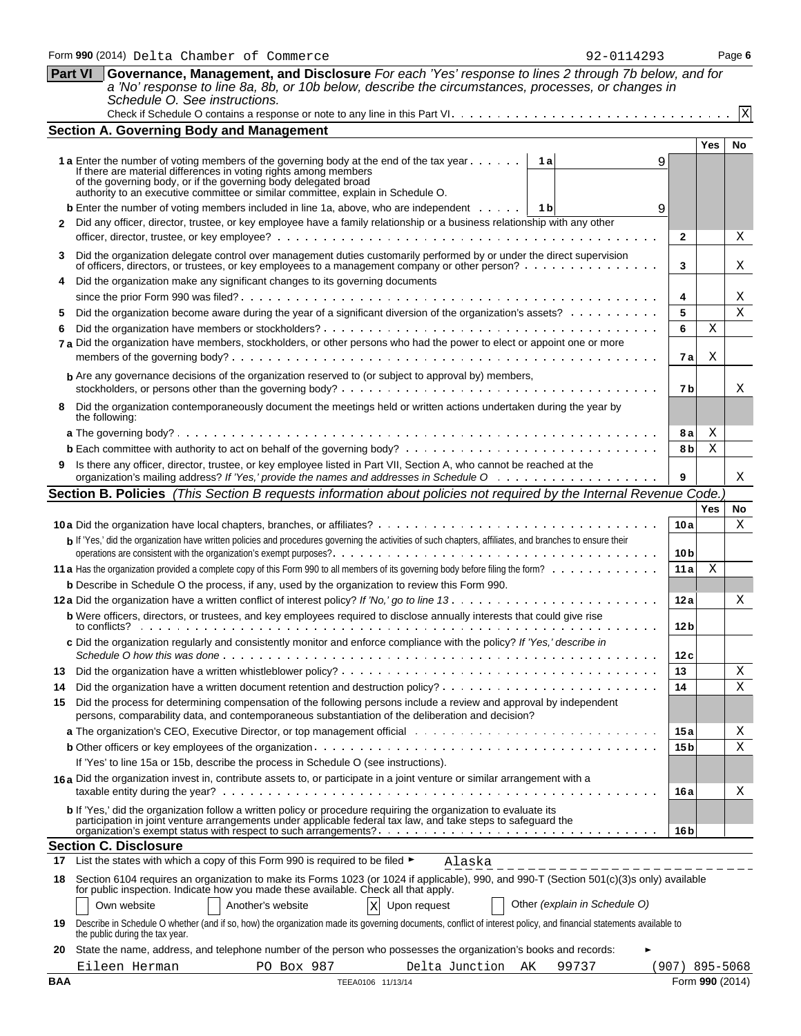| <b>Part VI</b> | Governance, Management, and Disclosure For each 'Yes' response to lines 2 through 7b below, and for                                                                                                                                      |                 |            |                 |
|----------------|------------------------------------------------------------------------------------------------------------------------------------------------------------------------------------------------------------------------------------------|-----------------|------------|-----------------|
|                | a 'No' response to line 8a, 8b, or 10b below, describe the circumstances, processes, or changes in<br>Schedule O. See instructions.                                                                                                      |                 |            |                 |
|                |                                                                                                                                                                                                                                          |                 |            | $\vert x \vert$ |
|                | <b>Section A. Governing Body and Management</b>                                                                                                                                                                                          |                 |            |                 |
|                |                                                                                                                                                                                                                                          |                 | Yes        | No              |
|                | 1 a Enter the number of voting members of the governing body at the end of the tax year<br>1al                                                                                                                                           | 9               |            |                 |
|                | If there are material differences in voting rights among members                                                                                                                                                                         |                 |            |                 |
|                | of the governing body, or if the governing body delegated broad authority to an executive committee or similar committee, explain in Schedule O.                                                                                         |                 |            |                 |
|                | <b>b</b> Enter the number of voting members included in line 1a, above, who are independent $\cdots$<br>1 b                                                                                                                              | 9               |            |                 |
| $\mathbf{2}$   | Did any officer, director, trustee, or key employee have a family relationship or a business relationship with any other                                                                                                                 |                 |            |                 |
|                |                                                                                                                                                                                                                                          | $\mathbf{2}$    |            | Χ               |
| 3              | Did the organization delegate control over management duties customarily performed by or under the direct supervision<br>of officers, directors, or trustees, or key employees to a management company or other person?                  | 3               |            | Χ               |
|                | Did the organization make any significant changes to its governing documents                                                                                                                                                             |                 |            |                 |
|                |                                                                                                                                                                                                                                          | 4               |            | Χ               |
| 5              | Did the organization become aware during the year of a significant diversion of the organization's assets?                                                                                                                               | 5<br>6          |            | $\mathbf X$     |
|                | 7 a Did the organization have members, stockholders, or other persons who had the power to elect or appoint one or more                                                                                                                  |                 | Χ          |                 |
|                |                                                                                                                                                                                                                                          | 7al             | Χ          |                 |
|                | <b>b</b> Are any governance decisions of the organization reserved to (or subject to approval by) members,                                                                                                                               |                 |            |                 |
|                |                                                                                                                                                                                                                                          | 7b              |            | х               |
| 8              | Did the organization contemporaneously document the meetings held or written actions undertaken during the year by                                                                                                                       |                 |            |                 |
|                | the following:                                                                                                                                                                                                                           | 8а              | Χ          |                 |
|                |                                                                                                                                                                                                                                          | 8 b             | Χ          |                 |
|                | Is there any officer, director, trustee, or key employee listed in Part VII, Section A, who cannot be reached at the                                                                                                                     |                 |            |                 |
|                |                                                                                                                                                                                                                                          | 9               |            | Χ               |
|                | Section B. Policies (This Section B requests information about policies not required by the Internal Revenue Code.)                                                                                                                      |                 |            |                 |
|                |                                                                                                                                                                                                                                          |                 | <b>Yes</b> | No.             |
|                |                                                                                                                                                                                                                                          | 10a             |            | Х               |
|                | b If 'Yes,' did the organization have written policies and procedures governing the activities of such chapters, affiliates, and branches to ensure their                                                                                | 10 <sub>b</sub> |            |                 |
|                |                                                                                                                                                                                                                                          | 11 a            | Χ          |                 |
|                | <b>b</b> Describe in Schedule O the process, if any, used by the organization to review this Form 990.                                                                                                                                   |                 |            |                 |
|                |                                                                                                                                                                                                                                          | 12a             |            | Χ               |
|                | b Were officers, directors, or trustees, and key employees required to disclose annually interests that could give rise<br>to conflicts?                                                                                                 | 12 <sub>b</sub> |            |                 |
|                | c Did the organization regularly and consistently monitor and enforce compliance with the policy? If 'Yes,' describe in<br>Schedule O how this was done                                                                                  | 12c             |            |                 |
| 13             |                                                                                                                                                                                                                                          | 13              |            | Χ               |
| 14             |                                                                                                                                                                                                                                          | 14              |            | Χ               |
| 15             | Did the process for determining compensation of the following persons include a review and approval by independent<br>persons, comparability data, and contemporaneous substantiation of the deliberation and decision?                  |                 |            |                 |
|                |                                                                                                                                                                                                                                          | 15 a            |            | Χ               |
|                |                                                                                                                                                                                                                                          | 15 <sub>b</sub> |            | Χ               |
|                | If 'Yes' to line 15a or 15b, describe the process in Schedule O (see instructions).                                                                                                                                                      |                 |            |                 |
|                | 16a Did the organization invest in, contribute assets to, or participate in a joint venture or similar arrangement with a                                                                                                                | 16 a            |            | Χ               |
|                | <b>b</b> If 'Yes,' did the organization follow a written policy or procedure requiring the organization to evaluate its<br>participation in joint venture arrangements under applicable federal tax law, and take steps to safeguard the |                 |            |                 |
|                |                                                                                                                                                                                                                                          | 16 <sub>b</sub> |            |                 |
|                | <b>Section C. Disclosure</b>                                                                                                                                                                                                             |                 |            |                 |
| 17             | List the states with which a copy of this Form 990 is required to be filed ►<br>Alaska                                                                                                                                                   |                 |            |                 |
|                | 18 Section 6104 requires an organization to make its Forms 1023 (or 1024 if applicable), 990, and 990-T (Section 501(c)(3)s only) available<br>for public inspection. Indicate how you made these available. Check all that apply.       |                 |            |                 |
|                | Other (explain in Schedule O)<br>Own website<br>Another's website<br>$\mathbf{x}$<br>Upon request                                                                                                                                        |                 |            |                 |
| 19             | Describe in Schedule O whether (and if so, how) the organization made its governing documents, conflict of interest policy, and financial statements available to<br>the public during the tax year.                                     |                 |            |                 |
| 20             | State the name, address, and telephone number of the person who possesses the organization's books and records:                                                                                                                          |                 |            |                 |
|                | PO Box 987<br>Delta Junction AK<br>Eileen Herman<br>99737                                                                                                                                                                                | (907) 895-5068  |            |                 |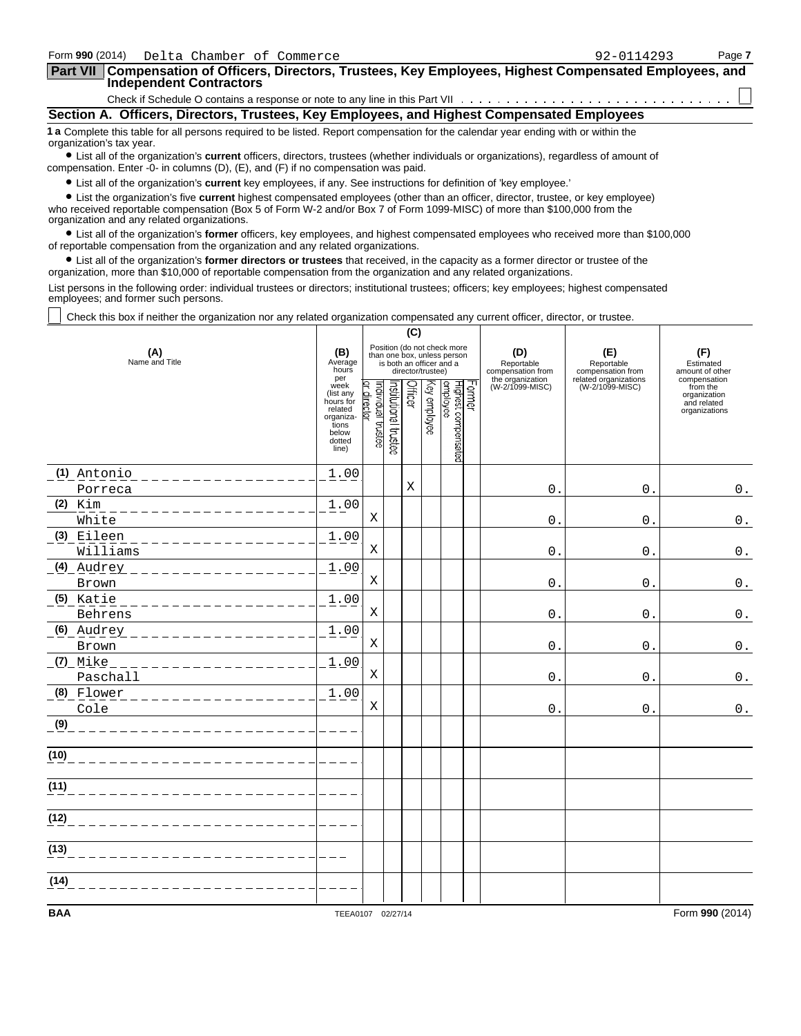| Form 990 (2014) Delta Chamber of Commerce                                                                                                                                                                                   | 92-0114293 | Page 7 |
|-----------------------------------------------------------------------------------------------------------------------------------------------------------------------------------------------------------------------------|------------|--------|
| <b>Part VII</b><br>Compensation of Officers, Directors, Trustees, Key Employees, Highest Compensated Employees, and<br><b>Independent Contractors</b>                                                                       |            |        |
|                                                                                                                                                                                                                             |            |        |
| Section A. Officers, Directors, Trustees, Key Employees, and Highest Compensated Employees                                                                                                                                  |            |        |
| 1 a Complete this table for all persons required to be listed. Report compensation for the calendar year ending with or within the<br>organization's tax year.                                                              |            |        |
| • List all of the organization's current officers, directors, trustees (whether individuals or organizations), regardless of amount of<br>compensation. Enter -0- in columns (D), (E), and (F) if no compensation was paid. |            |        |

? List all of the organization's **current** key employees, if any. See instructions for definition of 'key employee.'

? List the organization's five **current** highest compensated employees (other than an officer, director, trustee, or key employee) who received reportable compensation (Box 5 of Form W-2 and/or Box 7 of Form 1099-MISC) of more than \$100,000 from the organization and any related organizations.

? List all of the organization's **former** officers, key employees, and highest compensated employees who received more than \$100,000 of reportable compensation from the organization and any related organizations.

? List all of the organization's **former directors or trustees** that received, in the capacity as a former director or trustee of the organization, more than \$10,000 of reportable compensation from the organization and any related organizations.

List persons in the following order: individual trustees or directors; institutional trustees; officers; key employees; highest compensated employees; and former such persons.

Check this box if neither the organization nor any related organization compensated any current officer, director, or trustee.

|                                                           |                                                                                             |                               |                      | (C)     |                   |                                                                                        |        |                                        |                                                                 |                                                          |
|-----------------------------------------------------------|---------------------------------------------------------------------------------------------|-------------------------------|----------------------|---------|-------------------|----------------------------------------------------------------------------------------|--------|----------------------------------------|-----------------------------------------------------------------|----------------------------------------------------------|
| (A)<br>Name and Title                                     | (B)<br>Average<br>hours<br>per                                                              |                               |                      |         | director/trustee) | Position (do not check more<br>than one box, unless person<br>is both an officer and a |        | (D)<br>Reportable<br>compensation from | (E)<br>Reportable<br>compensation from<br>related organizations | (F)<br>Estimated<br>amount of other<br>compensation      |
|                                                           | week<br>(list any<br>hours for<br>related<br>organiza-<br>tions<br>below<br>dotted<br>line) | ndividual trustee<br>director | nstitutional trustee | Officer | Key employee      | Highest compensated<br>employee                                                        | Former | the organization<br>(W-2/1099-MISC)    | (W-2/1099-MISC)                                                 | from the<br>organization<br>and related<br>organizations |
| (1) Antonio                                               | 1.00                                                                                        |                               |                      |         |                   |                                                                                        |        |                                        |                                                                 |                                                          |
| Porreca                                                   |                                                                                             |                               |                      | X       |                   |                                                                                        |        | $\mathbf{0}$ .                         | $\mathbf 0$                                                     | $0$ .                                                    |
| $(2)$ Kim<br>_______________<br>White                     | 1.00                                                                                        | X                             |                      |         |                   |                                                                                        |        | $\mathbf{0}$ .                         | $\mathbf 0$ .                                                   | $0$ .                                                    |
| (3) Eileen                                                | 1.00                                                                                        |                               |                      |         |                   |                                                                                        |        |                                        |                                                                 |                                                          |
| ______________<br>Williams                                |                                                                                             | X                             |                      |         |                   |                                                                                        |        | $0$ .                                  | $\Omega$ .                                                      | $0$ .                                                    |
| $(4)$ Audrey<br>_________________                         | 1.00                                                                                        |                               |                      |         |                   |                                                                                        |        |                                        |                                                                 |                                                          |
| Brown                                                     |                                                                                             | Χ                             |                      |         |                   |                                                                                        |        | 0.                                     | $\mathbf 0$ .                                                   | $0$ .                                                    |
| $(5)$ Katie<br>_ _ _ _ _ _ _ _ _ _ _ _ _ _ _ _<br>Behrens | 1.00                                                                                        | X                             |                      |         |                   |                                                                                        |        | 0.                                     | $\mathbf 0$ .                                                   | $0$ .                                                    |
| (6) Audrey                                                | 1.00                                                                                        |                               |                      |         |                   |                                                                                        |        |                                        |                                                                 |                                                          |
| ________________<br>Brown                                 |                                                                                             | X                             |                      |         |                   |                                                                                        |        | 0.                                     | $\mathbf{0}$ .                                                  | $0$ .                                                    |
| $(7)$ _Mike<br>Paschall                                   | 1.00                                                                                        | X                             |                      |         |                   |                                                                                        |        | $\mathbf{0}$ .                         | $\mathbf{0}$                                                    | $\mathbf 0$ .                                            |
| (8) Flower<br>_ _ _ _ _ _ _ _ _ _ _ _ _ _ _ _ _           | 1.00                                                                                        |                               |                      |         |                   |                                                                                        |        |                                        |                                                                 |                                                          |
| Cole                                                      |                                                                                             | Χ                             |                      |         |                   |                                                                                        |        | 0                                      | $\mathsf{O}$ .                                                  | $0$ .                                                    |
| (9)                                                       |                                                                                             |                               |                      |         |                   |                                                                                        |        |                                        |                                                                 |                                                          |
| (10)                                                      |                                                                                             |                               |                      |         |                   |                                                                                        |        |                                        |                                                                 |                                                          |
| (11)                                                      |                                                                                             |                               |                      |         |                   |                                                                                        |        |                                        |                                                                 |                                                          |
| (12)                                                      |                                                                                             |                               |                      |         |                   |                                                                                        |        |                                        |                                                                 |                                                          |
| (13)                                                      |                                                                                             |                               |                      |         |                   |                                                                                        |        |                                        |                                                                 |                                                          |
| (14)                                                      |                                                                                             |                               |                      |         |                   |                                                                                        |        |                                        |                                                                 |                                                          |
| <b>BAA</b>                                                | TEEA0107 02/27/14                                                                           |                               |                      |         |                   |                                                                                        |        |                                        |                                                                 | Form 990 (2014)                                          |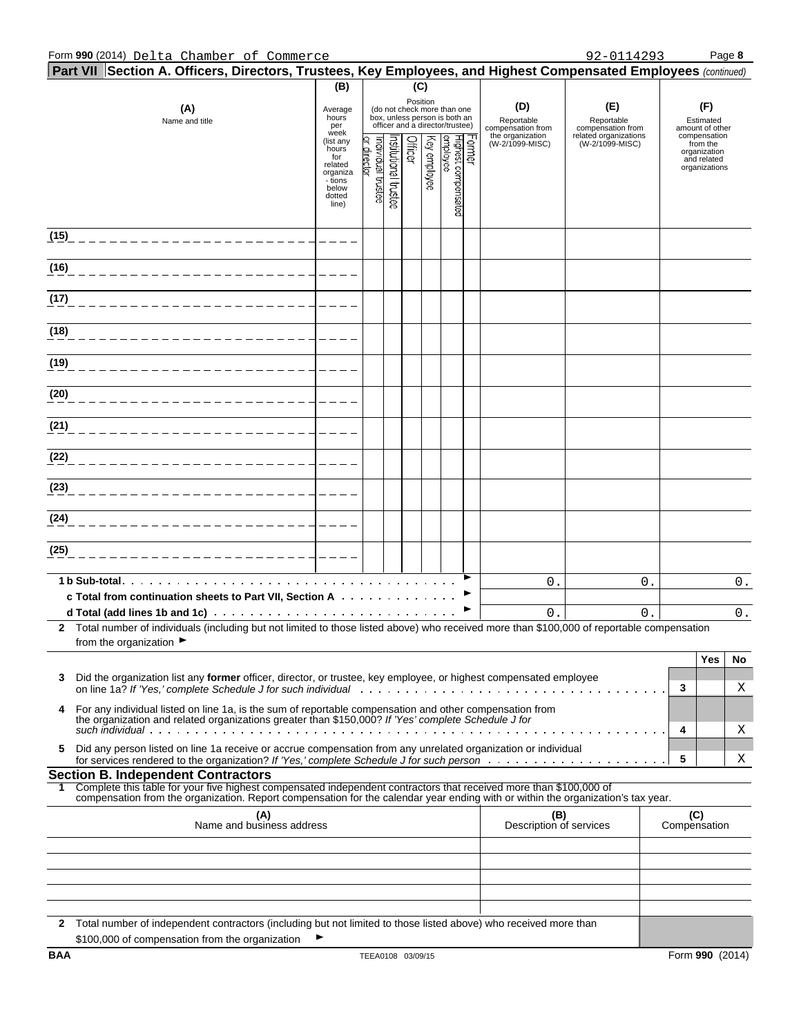#### Form **990** (2014) Page **8** Delta Chamber of Commerce 92-0114293

|            | Part VII Section A. Officers, Directors, Trustees, Key Employees, and Highest Compensated Employees (continued)                                                                                                                     |                                                                                         |                               |                      |          |              |                                                                                                 |       |                                        |                                          |                                                                          |
|------------|-------------------------------------------------------------------------------------------------------------------------------------------------------------------------------------------------------------------------------------|-----------------------------------------------------------------------------------------|-------------------------------|----------------------|----------|--------------|-------------------------------------------------------------------------------------------------|-------|----------------------------------------|------------------------------------------|--------------------------------------------------------------------------|
|            |                                                                                                                                                                                                                                     | (B)                                                                                     |                               |                      | (C)      |              |                                                                                                 |       |                                        |                                          |                                                                          |
|            | (A)<br>Name and title                                                                                                                                                                                                               | Average<br>hours<br>per<br>week                                                         |                               |                      | Position |              | (do not check more than one<br>box, unless person is both an<br>officer and a director/trustee) |       | (D)<br>Reportable<br>compensation from | (E)<br>Reportable<br>compensation from   | (F)<br>Estimated<br>amount of other                                      |
|            |                                                                                                                                                                                                                                     | (list any<br>hours<br>for<br>related<br>organiza<br>- tions<br>below<br>dotted<br>line) | ndividual trustee<br>director | rstitutional trustee | Officer  | Key employee | Highest compensa<br>employee<br>වූ                                                              | crmer | the organization<br>(W-2/1099-MISC)    | related organizations<br>(W-2/1099-MISC) | compensation<br>from the<br>organization<br>and related<br>organizations |
| (15)       |                                                                                                                                                                                                                                     |                                                                                         |                               |                      |          |              |                                                                                                 |       |                                        |                                          |                                                                          |
| (16)       |                                                                                                                                                                                                                                     |                                                                                         |                               |                      |          |              |                                                                                                 |       |                                        |                                          |                                                                          |
| (17)       |                                                                                                                                                                                                                                     |                                                                                         |                               |                      |          |              |                                                                                                 |       |                                        |                                          |                                                                          |
| (18)       |                                                                                                                                                                                                                                     |                                                                                         |                               |                      |          |              |                                                                                                 |       |                                        |                                          |                                                                          |
| (19)       |                                                                                                                                                                                                                                     |                                                                                         |                               |                      |          |              |                                                                                                 |       |                                        |                                          |                                                                          |
| (20)       |                                                                                                                                                                                                                                     |                                                                                         |                               |                      |          |              |                                                                                                 |       |                                        |                                          |                                                                          |
| (21)       |                                                                                                                                                                                                                                     |                                                                                         |                               |                      |          |              |                                                                                                 |       |                                        |                                          |                                                                          |
| (22)       |                                                                                                                                                                                                                                     |                                                                                         |                               |                      |          |              |                                                                                                 |       |                                        |                                          |                                                                          |
| (23)       |                                                                                                                                                                                                                                     |                                                                                         |                               |                      |          |              |                                                                                                 |       |                                        |                                          |                                                                          |
| (24)       |                                                                                                                                                                                                                                     |                                                                                         |                               |                      |          |              |                                                                                                 |       |                                        |                                          |                                                                          |
| (25)       |                                                                                                                                                                                                                                     |                                                                                         |                               |                      |          |              |                                                                                                 |       |                                        |                                          |                                                                          |
|            | c Total from continuation sheets to Part VII, Section A                                                                                                                                                                             |                                                                                         |                               |                      |          |              |                                                                                                 |       | 0.                                     | 0.                                       | $0$ .                                                                    |
|            | 2 Total number of individuals (including but not limited to those listed above) who received more than \$100,000 of reportable compensation                                                                                         |                                                                                         |                               |                      |          |              |                                                                                                 |       | 0.                                     | 0.                                       | $0_{.}$                                                                  |
|            | from the organization $\blacktriangleright$                                                                                                                                                                                         |                                                                                         |                               |                      |          |              |                                                                                                 |       |                                        |                                          | <b>Yes</b><br>No                                                         |
| 3          | Did the organization list any former officer, director, or trustee, key employee, or highest compensated employee<br>on line 1a? If 'Yes,' complete Schedule J for such individual et al., we are all assets as a series of the ser |                                                                                         |                               |                      |          |              |                                                                                                 |       |                                        |                                          | 3<br>Χ                                                                   |
| 4          | For any individual listed on line 1a, is the sum of reportable compensation and other compensation from<br>the organization and related organizations greater than \$150,000? If 'Yes' complete Schedule J for                      |                                                                                         |                               |                      |          |              |                                                                                                 |       |                                        |                                          |                                                                          |
| 5          | Did any person listed on line 1a receive or accrue compensation from any unrelated organization or individual                                                                                                                       |                                                                                         |                               |                      |          |              |                                                                                                 |       |                                        |                                          | 4<br>Χ<br>5                                                              |
|            | <b>Section B. Independent Contractors</b>                                                                                                                                                                                           |                                                                                         |                               |                      |          |              |                                                                                                 |       |                                        |                                          | Χ                                                                        |
| 1.         | Complete this table for your five highest compensated independent contractors that received more than \$100,000 of                                                                                                                  |                                                                                         |                               |                      |          |              |                                                                                                 |       |                                        |                                          |                                                                          |
|            | compensation from the organization. Report compensation for the calendar year ending with or within the organization's tax year.<br>(A)<br>Name and business address                                                                |                                                                                         |                               |                      |          |              |                                                                                                 |       | (B)<br>Description of services         |                                          | (C)<br>Compensation                                                      |
|            |                                                                                                                                                                                                                                     |                                                                                         |                               |                      |          |              |                                                                                                 |       |                                        |                                          |                                                                          |
|            |                                                                                                                                                                                                                                     |                                                                                         |                               |                      |          |              |                                                                                                 |       |                                        |                                          |                                                                          |
|            |                                                                                                                                                                                                                                     |                                                                                         |                               |                      |          |              |                                                                                                 |       |                                        |                                          |                                                                          |
|            | 2 Total number of independent contractors (including but not limited to those listed above) who received more than<br>\$100,000 of compensation from the organization                                                               |                                                                                         |                               |                      |          |              |                                                                                                 |       |                                        |                                          |                                                                          |
| <b>BAA</b> |                                                                                                                                                                                                                                     |                                                                                         | TEEA0108 03/09/15             |                      |          |              |                                                                                                 |       |                                        |                                          | Form 990 (2014)                                                          |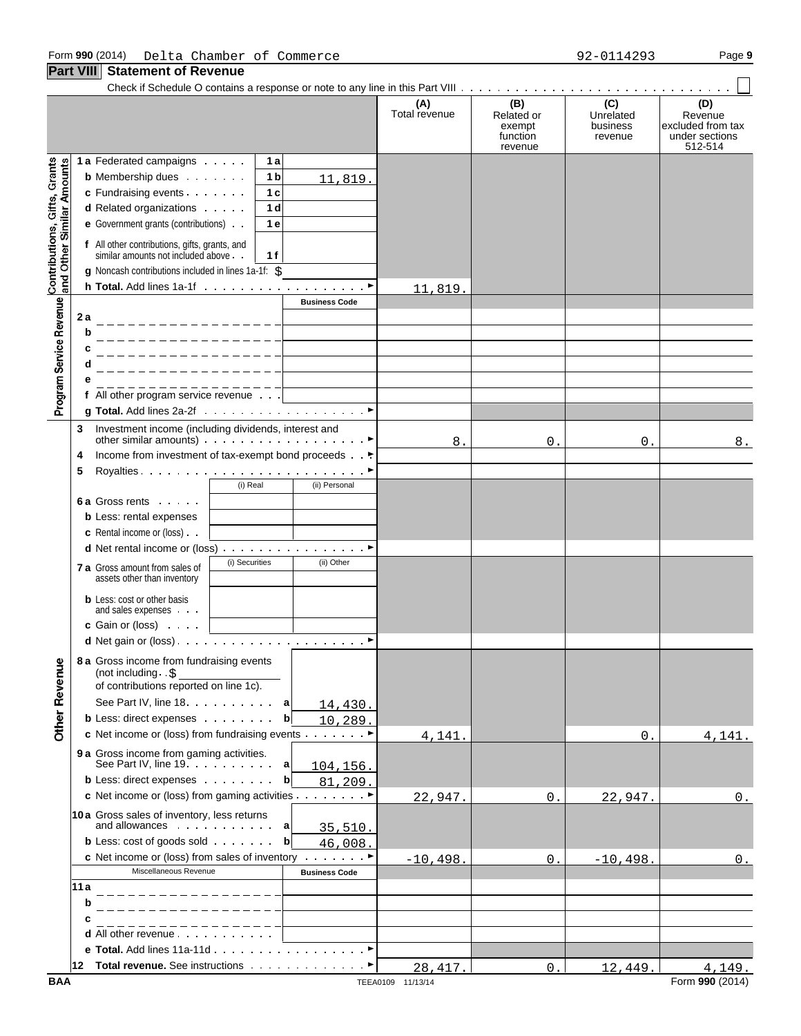**Part VIII Statement of Revenue**

|                              |                                                                                                |                        |                      | (B)                                         | (C)                              | (D)                                                       |
|------------------------------|------------------------------------------------------------------------------------------------|------------------------|----------------------|---------------------------------------------|----------------------------------|-----------------------------------------------------------|
|                              |                                                                                                |                        | (A)<br>Total revenue | Related or<br>exempt<br>function<br>revenue | Unrelated<br>business<br>revenue | Revenue<br>excluded from tax<br>under sections<br>512-514 |
|                              | 1 a Federated campaigns<br>1 a                                                                 |                        |                      |                                             |                                  |                                                           |
| Contributions, Gifts, Grants | <b>b</b> Membership dues<br>1 <sub>b</sub>                                                     | 11,819.                |                      |                                             |                                  |                                                           |
|                              | c Fundraising events<br>1 <sub>c</sub>                                                         |                        |                      |                                             |                                  |                                                           |
|                              | d Related organizations<br>1 d                                                                 |                        |                      |                                             |                                  |                                                           |
|                              | e Government grants (contributions)<br>1 e                                                     |                        |                      |                                             |                                  |                                                           |
| and Other Similar Amounts    | f All other contributions, gifts, grants, and<br>similar amounts not included above.<br>1 f    |                        |                      |                                             |                                  |                                                           |
|                              | g Noncash contributions included in lines 1a-1f: \$                                            |                        |                      |                                             |                                  |                                                           |
|                              |                                                                                                |                        | 11,819.              |                                             |                                  |                                                           |
|                              |                                                                                                | <b>Business Code</b>   |                      |                                             |                                  |                                                           |
|                              | 2а                                                                                             |                        |                      |                                             |                                  |                                                           |
|                              | b                                                                                              |                        |                      |                                             |                                  |                                                           |
|                              |                                                                                                |                        |                      |                                             |                                  |                                                           |
|                              |                                                                                                |                        |                      |                                             |                                  |                                                           |
|                              | ________________                                                                               |                        |                      |                                             |                                  |                                                           |
| Program Service Revenue      | f All other program service revenue                                                            |                        |                      |                                             |                                  |                                                           |
|                              |                                                                                                |                        |                      |                                             |                                  |                                                           |
|                              | Investment income (including dividends, interest and<br>3                                      |                        | 8.                   | 0.                                          | 0.                               | 8.                                                        |
|                              | Income from investment of tax-exempt bond proceeds<br>4                                        |                        |                      |                                             |                                  |                                                           |
|                              | 5                                                                                              |                        |                      |                                             |                                  |                                                           |
|                              | (i) Real                                                                                       | (ii) Personal          |                      |                                             |                                  |                                                           |
|                              | <b>6a Gross rents</b>                                                                          |                        |                      |                                             |                                  |                                                           |
|                              | <b>b</b> Less: rental expenses                                                                 |                        |                      |                                             |                                  |                                                           |
|                              | <b>c</b> Rental income or (loss).                                                              |                        |                      |                                             |                                  |                                                           |
|                              |                                                                                                |                        |                      |                                             |                                  |                                                           |
|                              | (i) Securities<br><b>7 a</b> Gross amount from sales of<br>assets other than inventory         | (ii) Other             |                      |                                             |                                  |                                                           |
|                              | <b>b</b> Less: cost or other basis<br>and sales expenses                                       |                        |                      |                                             |                                  |                                                           |
|                              | c Gain or (loss)                                                                               |                        |                      |                                             |                                  |                                                           |
|                              |                                                                                                |                        |                      |                                             |                                  |                                                           |
| <b>Other Revenue</b>         | 8 a Gross income from fundraising events<br>(not including $.5$                                |                        |                      |                                             |                                  |                                                           |
|                              | of contributions reported on line 1c).                                                         |                        |                      |                                             |                                  |                                                           |
|                              | See Part IV, line 18.                                                                          | a<br><u>14,430.</u>    |                      |                                             |                                  |                                                           |
|                              | <b>b</b> Less: direct expenses                                                                 | $\mathbf b$<br>10,289. |                      |                                             |                                  |                                                           |
|                              | c Net income or (loss) from fundraising events ►                                               |                        | 4,141.               |                                             | 0.                               | 4,141.                                                    |
|                              | 9 a Gross income from gaming activities.<br>See Part IV, line $19.$ $\ldots$ $\ldots$ $\ldots$ | а<br><u>104,156.</u>   |                      |                                             |                                  |                                                           |
|                              | <b>b</b> Less: direct expenses                                                                 | $\mathbf b$<br>81,209. |                      |                                             |                                  |                                                           |
|                              | c Net income or (loss) from gaming activities ▶                                                |                        | 22,947.              | $\mathbf 0$ .                               | 22,947                           | 0.                                                        |
|                              |                                                                                                |                        |                      |                                             |                                  |                                                           |
|                              | 10a Gross sales of inventory, less returns<br>and allowances a                                 | 35,510.                |                      |                                             |                                  |                                                           |
|                              | <b>b</b> Less: cost of goods sold $\cdots$                                                     | $\mathbf b$<br>46,008. |                      |                                             |                                  |                                                           |
|                              | c Net income or (loss) from sales of inventory $\dots$                                         |                        | $-10,498.$           | $\Omega$ .                                  | $-10, 498.$                      | 0.                                                        |
|                              | Miscellaneous Revenue                                                                          | <b>Business Code</b>   |                      |                                             |                                  |                                                           |
|                              | 11a                                                                                            |                        |                      |                                             |                                  |                                                           |
|                              | b                                                                                              |                        |                      |                                             |                                  |                                                           |
|                              | C                                                                                              |                        |                      |                                             |                                  |                                                           |
|                              | d All other revenue                                                                            |                        |                      |                                             |                                  |                                                           |
|                              |                                                                                                |                        |                      |                                             |                                  |                                                           |
|                              |                                                                                                |                        | 28, 417.             | 0.                                          | 12,449.                          | 4,149.                                                    |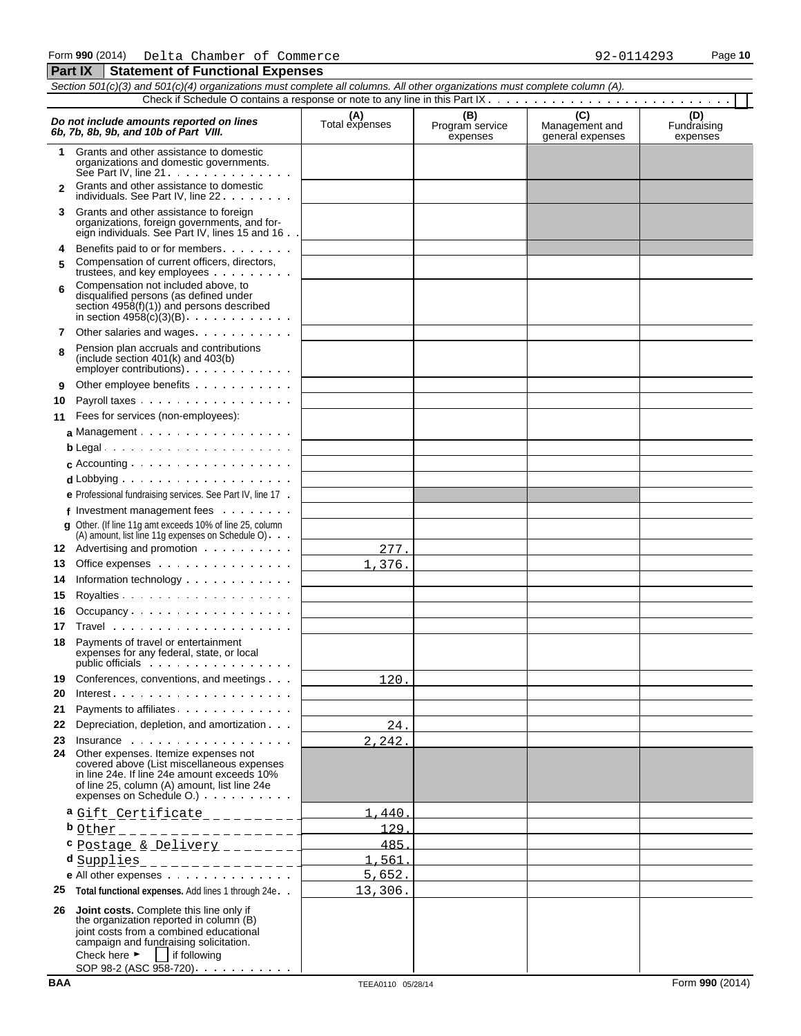|        | Section 501(c)(3) and 501(c)(4) organizations must complete all columns. All other organizations must complete column (A).                                                                                                                                   |                       |                                    |                                           |                                |  |  |  |  |
|--------|--------------------------------------------------------------------------------------------------------------------------------------------------------------------------------------------------------------------------------------------------------------|-----------------------|------------------------------------|-------------------------------------------|--------------------------------|--|--|--|--|
|        |                                                                                                                                                                                                                                                              |                       |                                    |                                           |                                |  |  |  |  |
|        | Do not include amounts reported on lines<br>6b, 7b, 8b, 9b, and 10b of Part VIII.                                                                                                                                                                            | (A)<br>Total expenses | (B)<br>Program service<br>expenses | (C)<br>Management and<br>general expenses | (D)<br>Fundraising<br>expenses |  |  |  |  |
| 1      | Grants and other assistance to domestic<br>organizations and domestic governments.<br>See Part IV. line $21 \ldots$                                                                                                                                          |                       |                                    |                                           |                                |  |  |  |  |
|        | Grants and other assistance to domestic<br>individuals. See Part IV, line 22                                                                                                                                                                                 |                       |                                    |                                           |                                |  |  |  |  |
| 3      | Grants and other assistance to foreign<br>organizations, foreign governments, and for-<br>eign individuals. See Part IV, lines 15 and 16.                                                                                                                    |                       |                                    |                                           |                                |  |  |  |  |
| 4<br>5 | Benefits paid to or for members<br>Compensation of current officers, directors,<br>trustees, and key employees                                                                                                                                               |                       |                                    |                                           |                                |  |  |  |  |
| 6      | Compensation not included above, to<br>disqualified persons (as defined under<br>section $4958(f)(1)$ and persons described<br>in section $49\overline{58}$ (c)(3)(B) $\ldots$ $\ldots$ $\ldots$                                                             |                       |                                    |                                           |                                |  |  |  |  |
| 7      | Other salaries and wages.                                                                                                                                                                                                                                    |                       |                                    |                                           |                                |  |  |  |  |
| 8      | Pension plan accruals and contributions<br>(include section $401(k)$ and $403(b)$ )<br>$\epsilon$ employer contributions) $\ldots$ $\ldots$ $\ldots$                                                                                                         |                       |                                    |                                           |                                |  |  |  |  |
| 9      | Other employee benefits                                                                                                                                                                                                                                      |                       |                                    |                                           |                                |  |  |  |  |
| 10     | Payroll taxes                                                                                                                                                                                                                                                |                       |                                    |                                           |                                |  |  |  |  |
| 11     | Fees for services (non-employees):                                                                                                                                                                                                                           |                       |                                    |                                           |                                |  |  |  |  |
|        | a Management                                                                                                                                                                                                                                                 |                       |                                    |                                           |                                |  |  |  |  |
|        | $b$ Legal                                                                                                                                                                                                                                                    |                       |                                    |                                           |                                |  |  |  |  |
|        |                                                                                                                                                                                                                                                              |                       |                                    |                                           |                                |  |  |  |  |
|        | $d$ Lobbying $\cdots$ $\cdots$ $\cdots$ $\cdots$ $\cdots$ $\cdots$                                                                                                                                                                                           |                       |                                    |                                           |                                |  |  |  |  |
|        | e Professional fundraising services. See Part IV, line 17.                                                                                                                                                                                                   |                       |                                    |                                           |                                |  |  |  |  |
|        | f Investment management fees                                                                                                                                                                                                                                 |                       |                                    |                                           |                                |  |  |  |  |
|        | g Other. (If line 11g amt exceeds 10% of line 25, column<br>(A) amount, list line 11g expenses on Schedule O)                                                                                                                                                |                       |                                    |                                           |                                |  |  |  |  |
| 12     | Advertising and promotion                                                                                                                                                                                                                                    | 277.                  |                                    |                                           |                                |  |  |  |  |
| 13     | Office expenses                                                                                                                                                                                                                                              | 376.<br>$1$ .         |                                    |                                           |                                |  |  |  |  |
| 14     | Information technology                                                                                                                                                                                                                                       |                       |                                    |                                           |                                |  |  |  |  |
| 15     |                                                                                                                                                                                                                                                              |                       |                                    |                                           |                                |  |  |  |  |
| 16     | Occupancy                                                                                                                                                                                                                                                    |                       |                                    |                                           |                                |  |  |  |  |
| 17     |                                                                                                                                                                                                                                                              |                       |                                    |                                           |                                |  |  |  |  |
| 18     | Payments of travel or entertainment<br>expenses for any federal, state, or local                                                                                                                                                                             |                       |                                    |                                           |                                |  |  |  |  |
| 19     | Conferences, conventions, and meetings                                                                                                                                                                                                                       | 120.                  |                                    |                                           |                                |  |  |  |  |
| 20     | $Interest.$                                                                                                                                                                                                                                                  |                       |                                    |                                           |                                |  |  |  |  |
| 21     | Payments to affiliates.                                                                                                                                                                                                                                      |                       |                                    |                                           |                                |  |  |  |  |
| 22     | Depreciation, depletion, and amortization                                                                                                                                                                                                                    | 24.                   |                                    |                                           |                                |  |  |  |  |
| 23     | $insurance \dots \dots \dots \dots \dots \dots$                                                                                                                                                                                                              | 2, 242.               |                                    |                                           |                                |  |  |  |  |
| 24     | Other expenses. Itemize expenses not<br>covered above (List miscellaneous expenses<br>in line 24e. If line 24e amount exceeds 10%<br>of line 25, column (A) amount, list line 24e<br>expenses on Schedule O.)                                                |                       |                                    |                                           |                                |  |  |  |  |
|        | a Gift Certificate __________                                                                                                                                                                                                                                | 1.440                 |                                    |                                           |                                |  |  |  |  |
|        | <b>b</b> other _ _ _ _ _ _ _ _ _ _ _ _ _ _ _ _ _                                                                                                                                                                                                             | 129                   |                                    |                                           |                                |  |  |  |  |
|        | C Postage & Delivery ________                                                                                                                                                                                                                                | 485                   |                                    |                                           |                                |  |  |  |  |
|        | d <u>Supplies ________________</u> ___                                                                                                                                                                                                                       | 1.561                 |                                    |                                           |                                |  |  |  |  |
|        | e All other expenses                                                                                                                                                                                                                                         | 5,652.                |                                    |                                           |                                |  |  |  |  |
| 25     | Total functional expenses. Add lines 1 through 24e. .                                                                                                                                                                                                        | 13,306.               |                                    |                                           |                                |  |  |  |  |
| 26     | <b>Joint costs.</b> Complete this line only if<br>the organization reported in column (B)<br>joint costs from a combined educational<br>campaign and fundraising solicitation.<br>Check here $\blacktriangleright$   if following<br>SOP 98-2 (ASC 958-720). |                       |                                    |                                           |                                |  |  |  |  |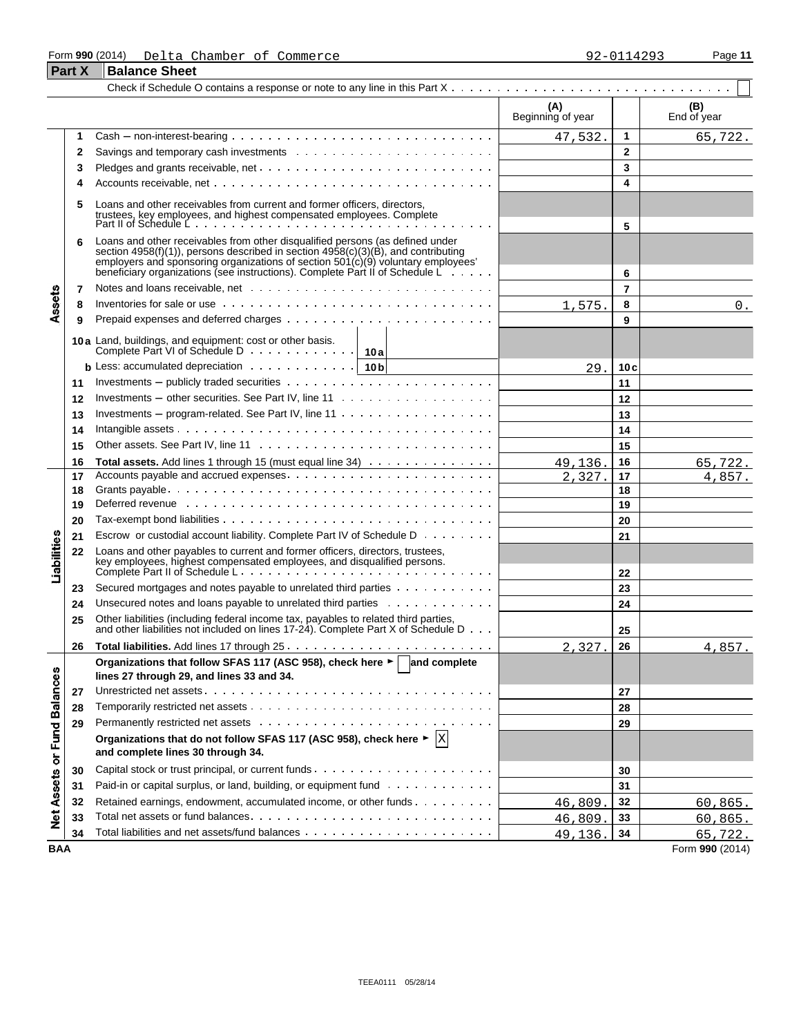#### Form **990** (2014) Page **11** Delta Chamber of Commerce 92-0114293

|                   | <b>Part X</b> | <b>Balance Sheet</b>                                                                                                                                                                                                                                                                                                                     |                          |                |                    |
|-------------------|---------------|------------------------------------------------------------------------------------------------------------------------------------------------------------------------------------------------------------------------------------------------------------------------------------------------------------------------------------------|--------------------------|----------------|--------------------|
|                   |               |                                                                                                                                                                                                                                                                                                                                          |                          |                |                    |
|                   |               |                                                                                                                                                                                                                                                                                                                                          | (A)<br>Beginning of year |                | (B)<br>End of year |
|                   | 1             | $Cash - non-interest-bearing \dots \dots \dots \dots \dots \dots \dots \dots \dots \dots \dots \dots$                                                                                                                                                                                                                                    | 47,532.                  | 1              | 65,722.            |
|                   | 2             |                                                                                                                                                                                                                                                                                                                                          |                          | $\mathbf{2}$   |                    |
|                   | 3             |                                                                                                                                                                                                                                                                                                                                          |                          | 3              |                    |
|                   | 4             |                                                                                                                                                                                                                                                                                                                                          |                          | 4              |                    |
|                   | 5             | Loans and other receivables from current and former officers, directors,<br>trustees, key employees, and highest compensated employees. Complete<br>Part II of Schedule L                                                                                                                                                                |                          | 5              |                    |
|                   | 6             | Loans and other receivables from other disqualified persons (as defined under<br>section 4958(f)(1)), persons described in section 4958(c)(3)(B), and contributing<br>employers and sponsoring organizations of section $501(c)(9)$ voluntary employees'<br>beneficiary organizations (see instructions). Complete Part II of Schedule L |                          | 6              |                    |
|                   | 7             |                                                                                                                                                                                                                                                                                                                                          |                          | $\overline{7}$ |                    |
| Assets            | 8             |                                                                                                                                                                                                                                                                                                                                          | 1,575                    | 8              | 0.                 |
|                   | 9             |                                                                                                                                                                                                                                                                                                                                          |                          | 9              |                    |
|                   |               | 10a Land, buildings, and equipment: cost or other basis.<br>Complete Part VI of Schedule D 10a                                                                                                                                                                                                                                           |                          |                |                    |
|                   |               | <b>b</b> Less: accumulated depreciation $\cdots$ $\cdots$ $\cdots$ $\cdots$ $\cdots$   10 <b>b</b>                                                                                                                                                                                                                                       | 29.                      | 10 c           |                    |
|                   | 11            |                                                                                                                                                                                                                                                                                                                                          |                          | 11             |                    |
|                   | 12            |                                                                                                                                                                                                                                                                                                                                          |                          | 12             |                    |
|                   | 13            | Investments – program-related. See Part IV, line $11 \ldots \ldots \ldots \ldots \ldots \ldots$                                                                                                                                                                                                                                          |                          | 13             |                    |
|                   | 14            |                                                                                                                                                                                                                                                                                                                                          |                          | 14             |                    |
|                   | 15            |                                                                                                                                                                                                                                                                                                                                          |                          | 15             |                    |
|                   | 16            | Total assets. Add lines 1 through 15 (must equal line 34)                                                                                                                                                                                                                                                                                | 49,136.                  | 16             | 65, 722.           |
|                   | 17            |                                                                                                                                                                                                                                                                                                                                          | 2,327                    | 17             | 4,857.             |
|                   | 18            |                                                                                                                                                                                                                                                                                                                                          |                          | 18             |                    |
|                   | 19            | Deferred revenue et al., respectively and the contract of the contract of the contract of the contract of the contract of the contract of the contract of the contract of the contract of the contract of the contract of the                                                                                                            |                          | 19             |                    |
|                   | 20            |                                                                                                                                                                                                                                                                                                                                          |                          | 20             |                    |
|                   | 21            | Escrow or custodial account liability. Complete Part IV of Schedule D                                                                                                                                                                                                                                                                    |                          | 21             |                    |
| Liabilities       | 22            | Loans and other payables to current and former officers, directors, trustees,                                                                                                                                                                                                                                                            |                          | 22             |                    |
|                   | 23            | Secured mortgages and notes payable to unrelated third parties                                                                                                                                                                                                                                                                           |                          | 23             |                    |
|                   | 24            | Unsecured notes and loans payable to unrelated third parties                                                                                                                                                                                                                                                                             |                          | 24             |                    |
|                   | 25            | Other liabilities (including federal income tax, payables to related third parties,<br>and other liabilities not included on lines 17-24). Complete Part X of Schedule D                                                                                                                                                                 |                          | 25             |                    |
|                   | 26            |                                                                                                                                                                                                                                                                                                                                          | 2.327.                   | 26             | 4,857.             |
|                   |               | Organizations that follow SFAS 117 (ASC 958), check here ► and complete                                                                                                                                                                                                                                                                  |                          |                |                    |
|                   |               | lines 27 through 29, and lines 33 and 34.                                                                                                                                                                                                                                                                                                |                          |                |                    |
|                   | 27            |                                                                                                                                                                                                                                                                                                                                          |                          | 27             |                    |
|                   | 28            |                                                                                                                                                                                                                                                                                                                                          |                          | 28             |                    |
|                   | 29            |                                                                                                                                                                                                                                                                                                                                          |                          | 29             |                    |
| or Fund Balances  |               | Organizations that do not follow SFAS 117 (ASC 958), check here $\blacktriangleright$ $\vert X \vert$<br>and complete lines 30 through 34.                                                                                                                                                                                               |                          |                |                    |
|                   | 30            |                                                                                                                                                                                                                                                                                                                                          |                          | 30             |                    |
|                   | 31            | Paid-in or capital surplus, or land, building, or equipment fund                                                                                                                                                                                                                                                                         |                          | 31             |                    |
|                   | 32            | Retained earnings, endowment, accumulated income, or other funds                                                                                                                                                                                                                                                                         | 46,809.                  | 32             | 60,865.            |
| <b>Net Assets</b> | 33            |                                                                                                                                                                                                                                                                                                                                          | 46,809.                  | 33             | 60, 865.           |
|                   | 34            |                                                                                                                                                                                                                                                                                                                                          | 49,136.                  | 34             | 65, 722.           |

**BAA** Form **990** (2014)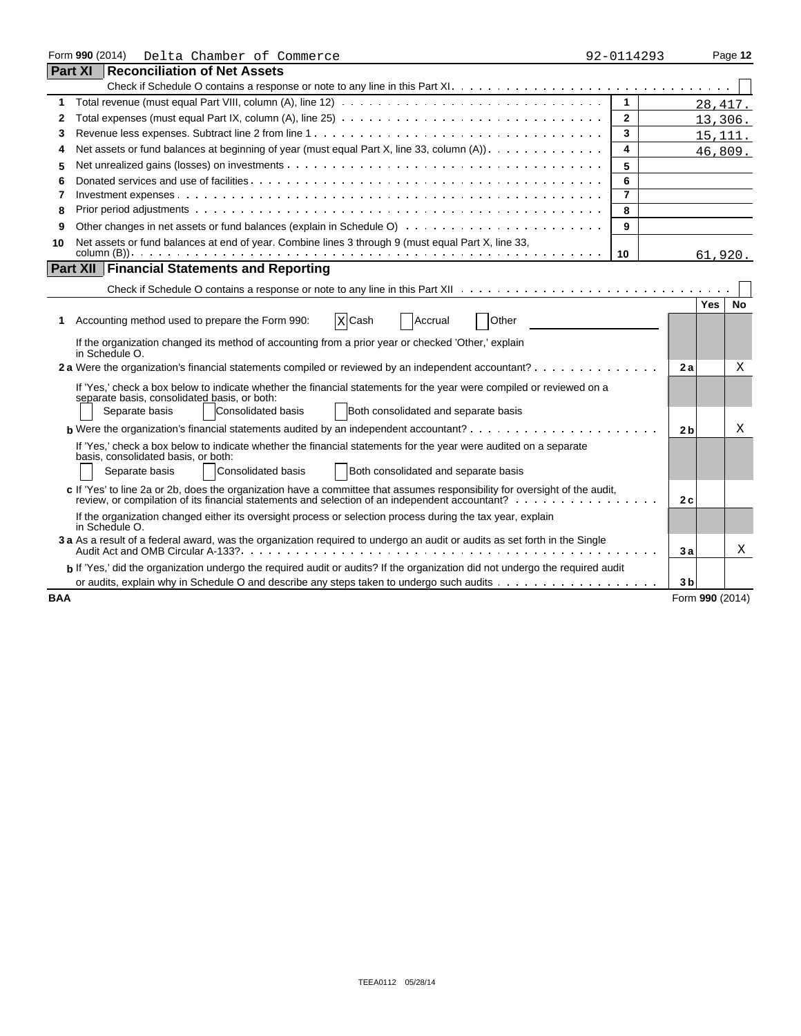|                                                                                                                            | Form 990 (2014)<br>Delta Chamber of Commerce                                                                                                                                                                                  | 92-0114293     |                 |            | Page 12   |  |  |
|----------------------------------------------------------------------------------------------------------------------------|-------------------------------------------------------------------------------------------------------------------------------------------------------------------------------------------------------------------------------|----------------|-----------------|------------|-----------|--|--|
|                                                                                                                            | <b>Part XI Reconciliation of Net Assets</b>                                                                                                                                                                                   |                |                 |            |           |  |  |
|                                                                                                                            |                                                                                                                                                                                                                               |                |                 |            |           |  |  |
| 1                                                                                                                          |                                                                                                                                                                                                                               | $\mathbf{1}$   |                 | 28, 417.   |           |  |  |
| 2                                                                                                                          |                                                                                                                                                                                                                               | $\mathbf{2}$   |                 | 13,306.    |           |  |  |
| 3                                                                                                                          |                                                                                                                                                                                                                               | 3              |                 | 15, 111.   |           |  |  |
| 4                                                                                                                          | Net assets or fund balances at beginning of year (must equal Part X, line 33, column $(A)$ ).                                                                                                                                 | 4              |                 |            | 46,809.   |  |  |
| 5                                                                                                                          | 5                                                                                                                                                                                                                             |                |                 |            |           |  |  |
| 6                                                                                                                          |                                                                                                                                                                                                                               | 6              |                 |            |           |  |  |
| 7                                                                                                                          |                                                                                                                                                                                                                               | $\overline{7}$ |                 |            |           |  |  |
| 8                                                                                                                          |                                                                                                                                                                                                                               | 8              |                 |            |           |  |  |
| 9                                                                                                                          |                                                                                                                                                                                                                               | 9              |                 |            |           |  |  |
| Net assets or fund balances at end of year. Combine lines 3 through 9 (must equal Part X, line 33,<br>10                   |                                                                                                                                                                                                                               |                |                 |            |           |  |  |
| 10<br>61,920.                                                                                                              |                                                                                                                                                                                                                               |                |                 |            |           |  |  |
|                                                                                                                            | Part XII   Financial Statements and Reporting                                                                                                                                                                                 |                |                 |            |           |  |  |
|                                                                                                                            |                                                                                                                                                                                                                               |                |                 |            |           |  |  |
|                                                                                                                            |                                                                                                                                                                                                                               |                |                 | <b>Yes</b> | <b>No</b> |  |  |
| 1.                                                                                                                         | Other<br>X Cash<br>Accounting method used to prepare the Form 990:<br>Accrual                                                                                                                                                 |                |                 |            |           |  |  |
|                                                                                                                            | If the organization changed its method of accounting from a prior year or checked 'Other,' explain<br>in Schedule O.                                                                                                          |                |                 |            |           |  |  |
|                                                                                                                            | 2 a Were the organization's financial statements compiled or reviewed by an independent accountant?                                                                                                                           |                | 2a              |            | X         |  |  |
|                                                                                                                            | If 'Yes,' check a box below to indicate whether the financial statements for the year were compiled or reviewed on a                                                                                                          |                |                 |            |           |  |  |
|                                                                                                                            | separate basis, consolidated basis, or both:                                                                                                                                                                                  |                |                 |            |           |  |  |
|                                                                                                                            | Consolidated basis<br>Both consolidated and separate basis<br>Separate basis                                                                                                                                                  |                |                 |            |           |  |  |
|                                                                                                                            | <b>b</b> Were the organization's financial statements audited by an independent accountant? $\cdots$ , $\cdots$ , $\cdots$ , $\cdots$ , $\cdots$                                                                              |                | 2 <sub>b</sub>  |            | Χ         |  |  |
|                                                                                                                            | If 'Yes,' check a box below to indicate whether the financial statements for the year were audited on a separate                                                                                                              |                |                 |            |           |  |  |
|                                                                                                                            | basis, consolidated basis, or both:                                                                                                                                                                                           |                |                 |            |           |  |  |
|                                                                                                                            | Both consolidated and separate basis<br>Separate basis<br>Consolidated basis                                                                                                                                                  |                |                 |            |           |  |  |
|                                                                                                                            | c If 'Yes' to line 2a or 2b, does the organization have a committee that assumes responsibility for oversight of the audit,<br>review, or compilation of its financial statements and selection of an independent accountant? |                | 2c              |            |           |  |  |
|                                                                                                                            | If the organization changed either its oversight process or selection process during the tax year, explain<br>in Schedule O.                                                                                                  |                |                 |            |           |  |  |
| 3 a As a result of a federal award, was the organization required to undergo an audit or audits as set forth in the Single |                                                                                                                                                                                                                               |                |                 |            |           |  |  |
|                                                                                                                            | b If 'Yes,' did the organization undergo the required audit or audits? If the organization did not undergo the required audit                                                                                                 |                |                 |            |           |  |  |
|                                                                                                                            |                                                                                                                                                                                                                               |                | 3 <sub>b</sub>  |            |           |  |  |
| <b>BAA</b>                                                                                                                 |                                                                                                                                                                                                                               |                | Form 990 (2014) |            |           |  |  |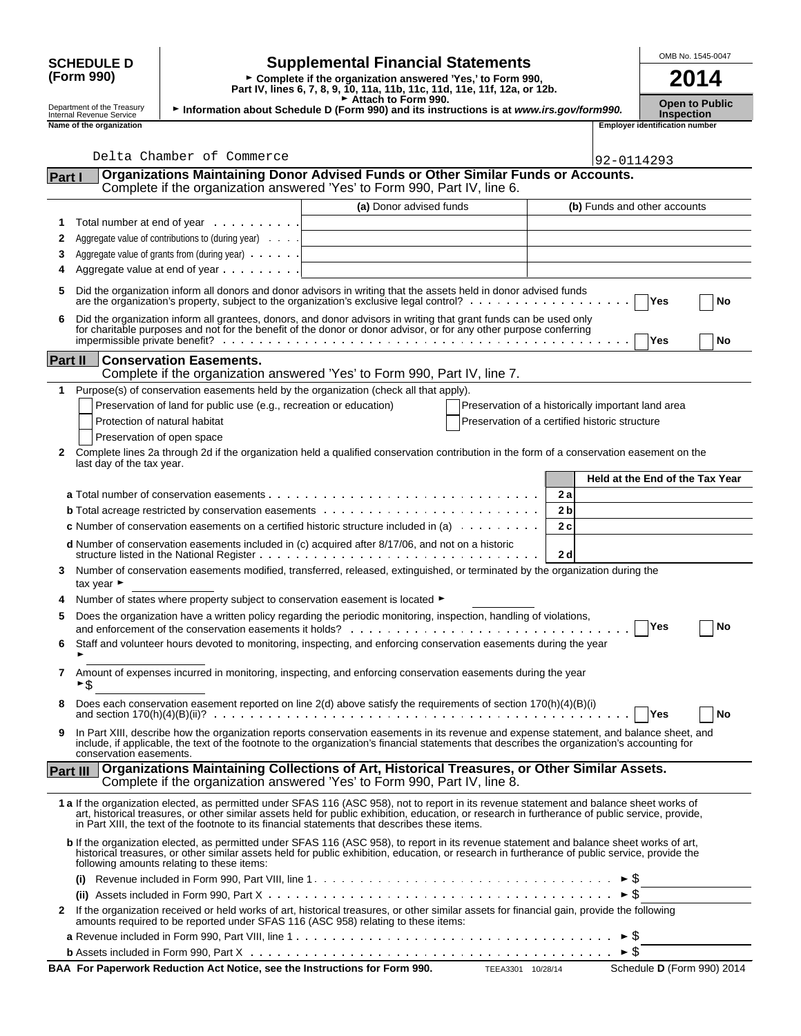|        | <b>SCHEDULE D</b>                                                                                                                                                      |                                                                                                   | <b>Supplemental Financial Statements</b>                                                                                                                                                                                                                                                                                                                                                        |                                                    |            | OMB No. 1545-0047                          |  |  |  |
|--------|------------------------------------------------------------------------------------------------------------------------------------------------------------------------|---------------------------------------------------------------------------------------------------|-------------------------------------------------------------------------------------------------------------------------------------------------------------------------------------------------------------------------------------------------------------------------------------------------------------------------------------------------------------------------------------------------|----------------------------------------------------|------------|--------------------------------------------|--|--|--|
|        | (Form 990)                                                                                                                                                             |                                                                                                   | ► Complete if the organization answered 'Yes,' to Form 990,<br>Part IV, lines 6, 7, 8, 9, 10, 11a, 11b, 11c, 11d, 11e, 11f, 12a, or 12b.                                                                                                                                                                                                                                                        |                                                    |            | 2014                                       |  |  |  |
|        | Department of the Treasury<br>Internal Revenue Service                                                                                                                 |                                                                                                   | Attach to Form 990.<br>Information about Schedule D (Form 990) and its instructions is at www.irs.gov/form990.                                                                                                                                                                                                                                                                                  |                                                    |            | <b>Open to Public</b><br><b>Inspection</b> |  |  |  |
|        | Name of the organization                                                                                                                                               |                                                                                                   |                                                                                                                                                                                                                                                                                                                                                                                                 |                                                    |            | <b>Employer identification number</b>      |  |  |  |
|        |                                                                                                                                                                        |                                                                                                   |                                                                                                                                                                                                                                                                                                                                                                                                 |                                                    |            |                                            |  |  |  |
|        |                                                                                                                                                                        | Delta Chamber of Commerce                                                                         |                                                                                                                                                                                                                                                                                                                                                                                                 |                                                    | 92-0114293 |                                            |  |  |  |
| Part I |                                                                                                                                                                        |                                                                                                   | Organizations Maintaining Donor Advised Funds or Other Similar Funds or Accounts.<br>Complete if the organization answered 'Yes' to Form 990, Part IV, line 6.                                                                                                                                                                                                                                  |                                                    |            |                                            |  |  |  |
|        |                                                                                                                                                                        |                                                                                                   | (a) Donor advised funds                                                                                                                                                                                                                                                                                                                                                                         |                                                    |            | (b) Funds and other accounts               |  |  |  |
| 1      |                                                                                                                                                                        | Total number at end of year                                                                       |                                                                                                                                                                                                                                                                                                                                                                                                 |                                                    |            |                                            |  |  |  |
| 2      |                                                                                                                                                                        | Aggregate value of contributions to (during year)<br>Aggregate value of grants from (during year) |                                                                                                                                                                                                                                                                                                                                                                                                 |                                                    |            |                                            |  |  |  |
| 3<br>4 |                                                                                                                                                                        | Aggregate value at end of year                                                                    |                                                                                                                                                                                                                                                                                                                                                                                                 |                                                    |            |                                            |  |  |  |
|        |                                                                                                                                                                        |                                                                                                   |                                                                                                                                                                                                                                                                                                                                                                                                 |                                                    |            |                                            |  |  |  |
| 5      |                                                                                                                                                                        |                                                                                                   | Did the organization inform all donors and donor advisors in writing that the assets held in donor advised funds<br>are the organization's property, subject to the organization's exclusive legal control? $\ldots$ ,                                                                                                                                                                          |                                                    |            | Yes<br>No                                  |  |  |  |
| 6      |                                                                                                                                                                        |                                                                                                   | Did the organization inform all grantees, donors, and donor advisors in writing that grant funds can be used only<br>for charitable purposes and not for the benefit of the donor or donor advisor, or for any other purpose conferring                                                                                                                                                         |                                                    |            | Yes<br>No                                  |  |  |  |
|        | Part II                                                                                                                                                                | <b>Conservation Easements.</b>                                                                    | Complete if the organization answered 'Yes' to Form 990, Part IV, line 7.                                                                                                                                                                                                                                                                                                                       |                                                    |            |                                            |  |  |  |
| 1      |                                                                                                                                                                        |                                                                                                   | Purpose(s) of conservation easements held by the organization (check all that apply).                                                                                                                                                                                                                                                                                                           |                                                    |            |                                            |  |  |  |
|        |                                                                                                                                                                        | Preservation of land for public use (e.g., recreation or education)                               |                                                                                                                                                                                                                                                                                                                                                                                                 | Preservation of a historically important land area |            |                                            |  |  |  |
|        | Protection of natural habitat<br>Preservation of a certified historic structure                                                                                        |                                                                                                   |                                                                                                                                                                                                                                                                                                                                                                                                 |                                                    |            |                                            |  |  |  |
|        | Preservation of open space                                                                                                                                             |                                                                                                   |                                                                                                                                                                                                                                                                                                                                                                                                 |                                                    |            |                                            |  |  |  |
| 2      | Complete lines 2a through 2d if the organization held a qualified conservation contribution in the form of a conservation easement on the<br>last day of the tax year. |                                                                                                   |                                                                                                                                                                                                                                                                                                                                                                                                 |                                                    |            |                                            |  |  |  |
|        |                                                                                                                                                                        |                                                                                                   |                                                                                                                                                                                                                                                                                                                                                                                                 |                                                    |            | Held at the End of the Tax Year            |  |  |  |
|        | 2а<br>2 b                                                                                                                                                              |                                                                                                   |                                                                                                                                                                                                                                                                                                                                                                                                 |                                                    |            |                                            |  |  |  |
|        | 2c<br><b>c</b> Number of conservation easements on a certified historic structure included in (a) $\dots \dots \dots$                                                  |                                                                                                   |                                                                                                                                                                                                                                                                                                                                                                                                 |                                                    |            |                                            |  |  |  |
|        |                                                                                                                                                                        |                                                                                                   | d Number of conservation easements included in (c) acquired after 8/17/06, and not on a historic                                                                                                                                                                                                                                                                                                | 2 <sub>d</sub>                                     |            |                                            |  |  |  |
| 3      | tax year $\blacktriangleright$                                                                                                                                         |                                                                                                   | Number of conservation easements modified, transferred, released, extinguished, or terminated by the organization during the                                                                                                                                                                                                                                                                    |                                                    |            |                                            |  |  |  |
|        |                                                                                                                                                                        |                                                                                                   | Number of states where property subject to conservation easement is located ►                                                                                                                                                                                                                                                                                                                   |                                                    |            |                                            |  |  |  |
| 5      |                                                                                                                                                                        |                                                                                                   | Does the organization have a written policy regarding the periodic monitoring, inspection, handling of violations,                                                                                                                                                                                                                                                                              |                                                    |            |                                            |  |  |  |
| 6      |                                                                                                                                                                        |                                                                                                   | Staff and volunteer hours devoted to monitoring, inspecting, and enforcing conservation easements during the year                                                                                                                                                                                                                                                                               |                                                    |            | <b>IYes</b><br>No                          |  |  |  |
| 7      | ►\$                                                                                                                                                                    |                                                                                                   | Amount of expenses incurred in monitoring, inspecting, and enforcing conservation easements during the year                                                                                                                                                                                                                                                                                     |                                                    |            |                                            |  |  |  |
| 8      |                                                                                                                                                                        |                                                                                                   | Does each conservation easement reported on line $2(d)$ above satisfy the requirements of section $170(h)(4)(B)(i)$                                                                                                                                                                                                                                                                             |                                                    |            | Yes<br>No                                  |  |  |  |
| 9      | conservation easements.                                                                                                                                                |                                                                                                   | In Part XIII, describe how the organization reports conservation easements in its revenue and expense statement, and balance sheet, and<br>include, if applicable, the text of the footnote to the organization's financial statements that describes the organization's accounting for                                                                                                         |                                                    |            |                                            |  |  |  |
|        | <b>Part III</b>                                                                                                                                                        |                                                                                                   | Organizations Maintaining Collections of Art, Historical Treasures, or Other Similar Assets.<br>Complete if the organization answered 'Yes' to Form 990, Part IV, line 8.                                                                                                                                                                                                                       |                                                    |            |                                            |  |  |  |
|        |                                                                                                                                                                        |                                                                                                   | 1 a If the organization elected, as permitted under SFAS 116 (ASC 958), not to report in its revenue statement and balance sheet works of<br>art, historical treasures, or other similar assets held for public exhibition, education, or research in furtherance of public service, provide,<br>in Part XIII, the text of the footnote to its financial statements that describes these items. |                                                    |            |                                            |  |  |  |
|        |                                                                                                                                                                        | following amounts relating to these items:                                                        | b If the organization elected, as permitted under SFAS 116 (ASC 958), to report in its revenue statement and balance sheet works of art,<br>historical treasures, or other similar assets held for public exhibition, education, or research in furtherance of public service, provide the                                                                                                      |                                                    |            |                                            |  |  |  |
|        |                                                                                                                                                                        |                                                                                                   |                                                                                                                                                                                                                                                                                                                                                                                                 |                                                    |            |                                            |  |  |  |
|        |                                                                                                                                                                        |                                                                                                   |                                                                                                                                                                                                                                                                                                                                                                                                 |                                                    | ► \$       |                                            |  |  |  |
| 2      |                                                                                                                                                                        |                                                                                                   | If the organization received or held works of art, historical treasures, or other similar assets for financial gain, provide the following<br>amounts required to be reported under SFAS 116 (ASC 958) relating to these items:                                                                                                                                                                 |                                                    |            |                                            |  |  |  |
|        |                                                                                                                                                                        |                                                                                                   |                                                                                                                                                                                                                                                                                                                                                                                                 |                                                    |            |                                            |  |  |  |
|        |                                                                                                                                                                        |                                                                                                   |                                                                                                                                                                                                                                                                                                                                                                                                 |                                                    |            |                                            |  |  |  |

**BAA For Paperwork Reduction Act Notice, see the Instructions for Form 990.** TEEA3301 10/28/14 Schedule **D** (Form 990) 2014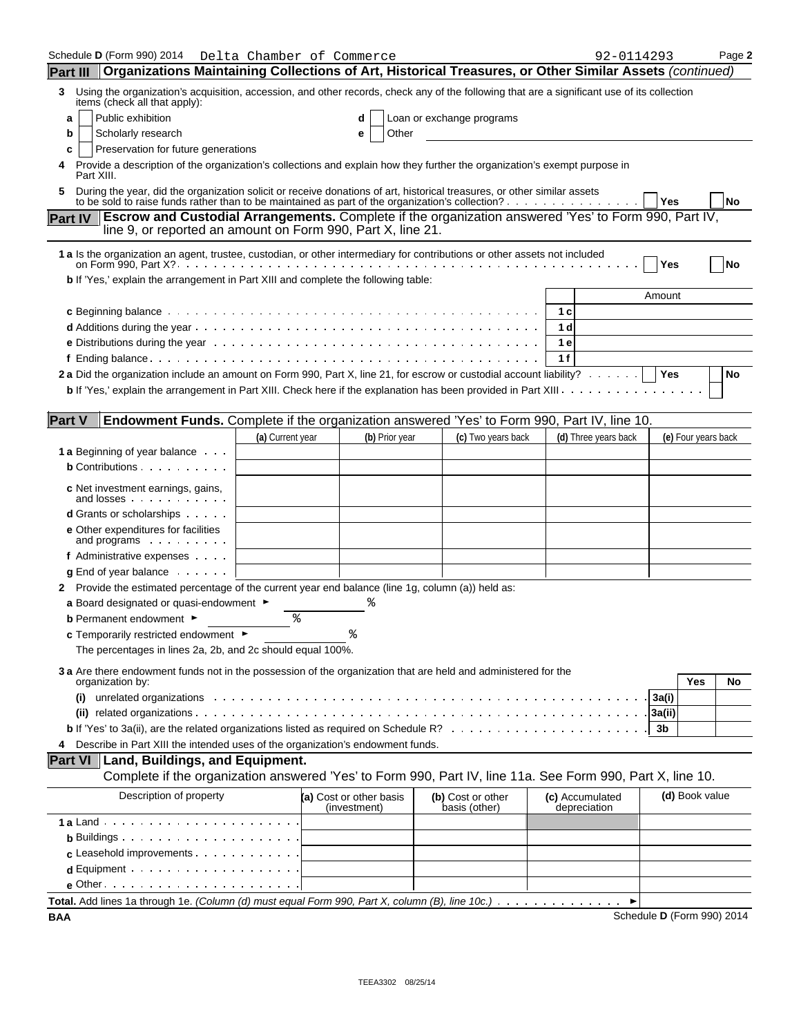|                 | Schedule <b>D</b> (Form 990) 2014                                                                                                                                                                                                       | Delta Chamber of Commerce |                                         |                                    | 92-0114293                      |                            | Page 2    |
|-----------------|-----------------------------------------------------------------------------------------------------------------------------------------------------------------------------------------------------------------------------------------|---------------------------|-----------------------------------------|------------------------------------|---------------------------------|----------------------------|-----------|
| <b>Part III</b> | Organizations Maintaining Collections of Art, Historical Treasures, or Other Similar Assets (continued)                                                                                                                                 |                           |                                         |                                    |                                 |                            |           |
| 3               | Using the organization's acquisition, accession, and other records, check any of the following that are a significant use of its collection<br>items (check all that apply):                                                            |                           |                                         |                                    |                                 |                            |           |
|                 | Public exhibition<br>a                                                                                                                                                                                                                  |                           |                                         | Loan or exchange programs          |                                 |                            |           |
|                 | Scholarly research<br>b                                                                                                                                                                                                                 |                           | Other<br>е                              |                                    |                                 |                            |           |
| c               | Preservation for future generations                                                                                                                                                                                                     |                           |                                         |                                    |                                 |                            |           |
|                 | Provide a description of the organization's collections and explain how they further the organization's exempt purpose in<br>Part XIII.                                                                                                 |                           |                                         |                                    |                                 |                            |           |
|                 | During the year, did the organization solicit or receive donations of art, historical treasures, or other similar assets<br>to be sold to raise funds rather than to be maintained as part of the organization's collection? $\ldots$ , |                           |                                         |                                    |                                 | Yes                        | <b>No</b> |
| <b>Part IV</b>  | <b>Escrow and Custodial Arrangements.</b> Complete if the organization answered 'Yes' to Form 990, Part IV,<br>line 9, or reported an amount on Form 990, Part X, line 21.                                                              |                           |                                         |                                    |                                 |                            |           |
|                 | 1 a Is the organization an agent, trustee, custodian, or other intermediary for contributions or other assets not included                                                                                                              |                           |                                         |                                    |                                 | Yes                        | <b>No</b> |
|                 | b If 'Yes,' explain the arrangement in Part XIII and complete the following table:                                                                                                                                                      |                           |                                         |                                    |                                 |                            |           |
|                 |                                                                                                                                                                                                                                         |                           |                                         |                                    |                                 | Amount                     |           |
|                 |                                                                                                                                                                                                                                         |                           |                                         |                                    | 1 c                             |                            |           |
|                 |                                                                                                                                                                                                                                         |                           |                                         |                                    | 1 d                             |                            |           |
|                 |                                                                                                                                                                                                                                         |                           |                                         |                                    | 1 e                             |                            |           |
|                 |                                                                                                                                                                                                                                         |                           |                                         |                                    | 1 f                             |                            |           |
|                 | 2 a Did the organization include an amount on Form 990, Part X, line 21, for escrow or custodial account liability? $\cdots \cdots$                                                                                                     |                           |                                         |                                    |                                 | Yes                        | No        |
|                 | <b>b</b> If 'Yes,' explain the arrangement in Part XIII. Check here if the explanation has been provided in Part XIII. $\dots$                                                                                                          |                           |                                         |                                    |                                 |                            |           |
| <b>Part V</b>   | Endowment Funds. Complete if the organization answered 'Yes' to Form 990, Part IV, line 10.                                                                                                                                             |                           |                                         |                                    |                                 |                            |           |
|                 |                                                                                                                                                                                                                                         | (a) Current year          | (b) Prior year                          | (c) Two years back                 | (d) Three years back            | (e) Four years back        |           |
|                 | <b>1 a</b> Beginning of year balance                                                                                                                                                                                                    |                           |                                         |                                    |                                 |                            |           |
|                 | <b>b</b> Contributions                                                                                                                                                                                                                  |                           |                                         |                                    |                                 |                            |           |
|                 | c Net investment earnings, gains,<br>and losses experience and losses                                                                                                                                                                   |                           |                                         |                                    |                                 |                            |           |
|                 | <b>d</b> Grants or scholarships                                                                                                                                                                                                         |                           |                                         |                                    |                                 |                            |           |
|                 | <b>e</b> Other expenditures for facilities<br>and programs                                                                                                                                                                              |                           |                                         |                                    |                                 |                            |           |
|                 | f Administrative expenses                                                                                                                                                                                                               |                           |                                         |                                    |                                 |                            |           |
|                 | $g$ End of year balance $\cdots$                                                                                                                                                                                                        |                           |                                         |                                    |                                 |                            |           |
|                 | 2 Provide the estimated percentage of the current year end balance (line 1g, column (a)) held as:                                                                                                                                       |                           |                                         |                                    |                                 |                            |           |
|                 | a Board designated or quasi-endowment $\blacktriangleright$                                                                                                                                                                             |                           |                                         |                                    |                                 |                            |           |
|                 | <b>b</b> Permanent endowment ►                                                                                                                                                                                                          | နွ                        |                                         |                                    |                                 |                            |           |
|                 | <b>c</b> Temporarily restricted endowment $\blacktriangleright$                                                                                                                                                                         |                           |                                         |                                    |                                 |                            |           |
|                 | The percentages in lines 2a, 2b, and 2c should equal 100%.                                                                                                                                                                              |                           |                                         |                                    |                                 |                            |           |
|                 | 3 a Are there endowment funds not in the possession of the organization that are held and administered for the<br>organization by:                                                                                                      |                           |                                         |                                    |                                 | Yes                        | No        |
|                 | (i)                                                                                                                                                                                                                                     |                           |                                         |                                    |                                 | 3a(i)                      |           |
|                 |                                                                                                                                                                                                                                         |                           |                                         |                                    |                                 | 3a(ii)                     |           |
|                 |                                                                                                                                                                                                                                         |                           |                                         |                                    |                                 | 3b                         |           |
| 4               | Describe in Part XIII the intended uses of the organization's endowment funds.                                                                                                                                                          |                           |                                         |                                    |                                 |                            |           |
|                 | Land, Buildings, and Equipment.<br><b>Part VI</b>                                                                                                                                                                                       |                           |                                         |                                    |                                 |                            |           |
|                 | Complete if the organization answered 'Yes' to Form 990, Part IV, line 11a. See Form 990, Part X, line 10.                                                                                                                              |                           |                                         |                                    |                                 |                            |           |
|                 | Description of property                                                                                                                                                                                                                 |                           |                                         |                                    |                                 | (d) Book value             |           |
|                 |                                                                                                                                                                                                                                         |                           | (a) Cost or other basis<br>(investment) | (b) Cost or other<br>basis (other) | (c) Accumulated<br>depreciation |                            |           |
|                 |                                                                                                                                                                                                                                         |                           |                                         |                                    |                                 |                            |           |
|                 | <b>b</b> Buildings $\cdots$ $\cdots$ $\cdots$ $\cdots$ $\cdots$ $\cdots$                                                                                                                                                                |                           |                                         |                                    |                                 |                            |           |
|                 | c Leasehold improvements                                                                                                                                                                                                                |                           |                                         |                                    |                                 |                            |           |
|                 |                                                                                                                                                                                                                                         |                           |                                         |                                    |                                 |                            |           |
|                 | $e$ Other $\cdots$ $\cdots$ $\cdots$ $\cdots$ $\cdots$ $\cdots$                                                                                                                                                                         |                           |                                         |                                    |                                 |                            |           |
|                 | Total. Add lines 1a through 1e. (Column (d) must equal Form 990, Part X, column (B), line 10c.)                                                                                                                                         |                           |                                         |                                    | ►                               |                            |           |
| <b>BAA</b>      |                                                                                                                                                                                                                                         |                           |                                         |                                    |                                 | Schedule D (Form 990) 2014 |           |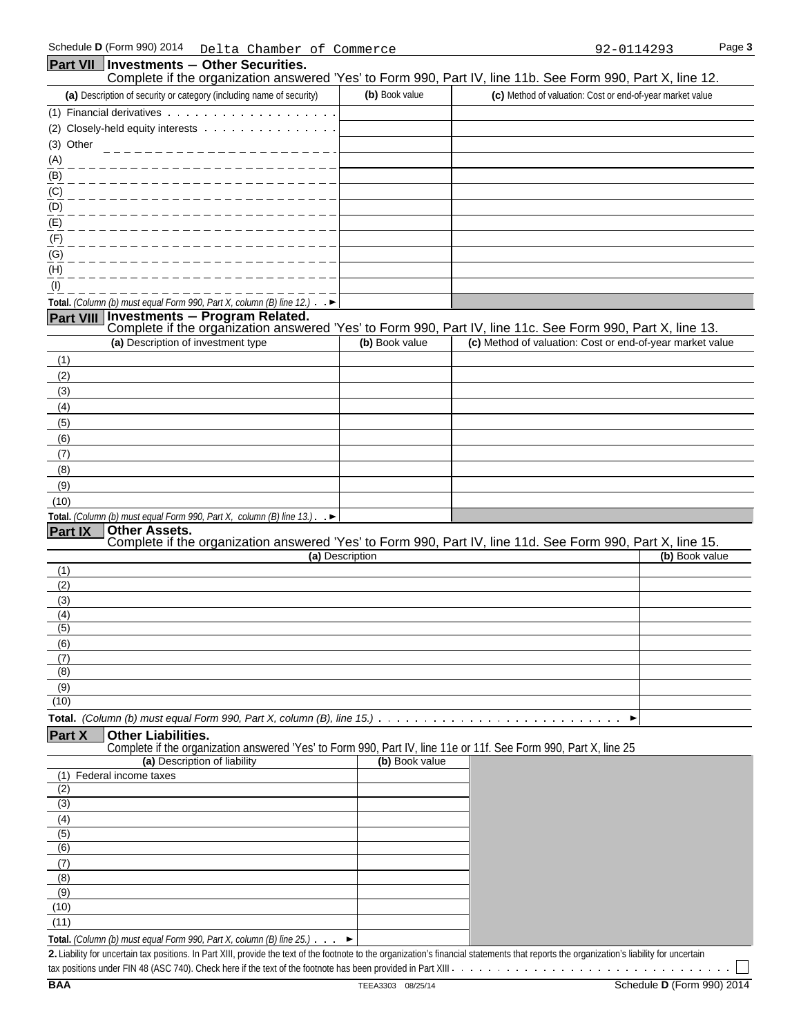#### Schedule **D** (Form 990) 2014 Page **3** Delta Chamber of Commerce 92-0114293**Part VII** | Investments - Other Securities. Complete if the organization answered 'Yes' to Form 990, Part IV, line 11b. See Form 990, Part X, line 12. **(a)** Description of security or category (including name of security) **(b)** Book value **(c)** Method of valuation: Cost or end-of-year market value (1) Financial derivatives (2) Closely-held equity interests (3) Other (A) (B) (C) (D) (E) (F) (G) (H) (I) **Total.** *(Column (b) must equal Form 990, Part X, column (B) line 12.)* **Part VIII Investments** ' **Program Related.**  Complete if the organization answered 'Yes' to Form 990, Part IV, line 11c. See Form 990, Part X, line 13. **(a)** Description of investment type **(b)** Book value **(c)** Method of valuation: Cost or end-of-year market value (1) (2) (3) (4) (5) (6) (7) (8) (9) (10) **Total.** *(Column (b) must equal Form 990, Part X, column (B) line 13.)* ,  $\blacktriangleright$ **Part IX Other Assets.**  Complete if the organization answered 'Yes' to Form 990, Part IV, line 11d. See Form 990, Part X, line 15. **(a)** Description **(b)** Book value (1) (2) (3) (4) (5) (6) (7) (8) (9) (10) **Total.** *(Column (b) must equal Form 990, Part X, column (B), line 15.)* **Part X Other Liabilities.**  Complete if the organization answered 'Yes' to Form 990, Part IV, line 11e or 11f. See Form 990, Part X, line 25 **(a)** Description of liability **(b)** Book value (1) Federal income taxes (2) (3) (4) (5) (6) (7) (8) (9) (10)

**Total.** *(Column (b) must equal Form 990, Part X, column (B) line 25.)*  $\blacktriangleright$ 

**2.** Liability for uncertain tax positions. In Part XIII, provide the text of the footnote to the organization's financial statements that reports the organization's liability for uncertain

tax positions under FIN 48 (ASC 740). Check here if the text of the footnote has been provided in Part XIII

(11)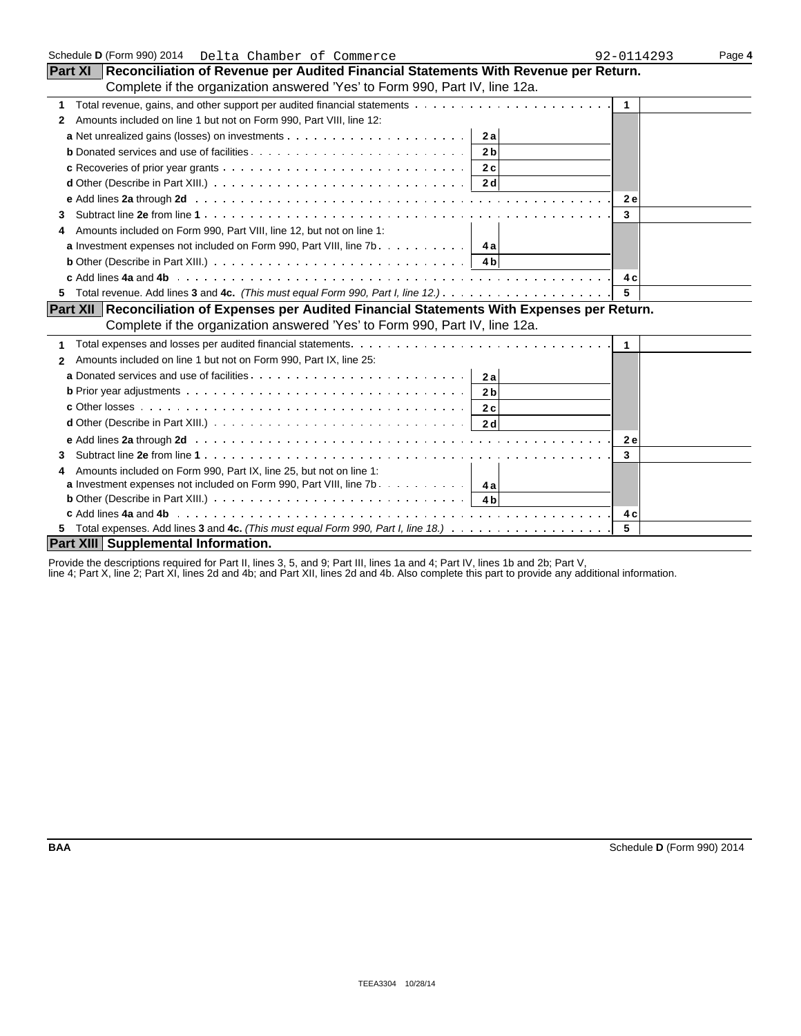| Schedule D (Form 990) 2014  Delta Chamber of Commerce                                                                                    | 92-0114293              | Page 4 |
|------------------------------------------------------------------------------------------------------------------------------------------|-------------------------|--------|
| Part XI   Reconciliation of Revenue per Audited Financial Statements With Revenue per Return.                                            |                         |        |
| Complete if the organization answered 'Yes' to Form 990, Part IV, line 12a.                                                              |                         |        |
| 1                                                                                                                                        | $\overline{1}$          |        |
| Amounts included on line 1 but not on Form 990, Part VIII, line 12:<br>2                                                                 |                         |        |
| 2a                                                                                                                                       |                         |        |
| 2 <sub>b</sub>                                                                                                                           |                         |        |
| 2c                                                                                                                                       |                         |        |
| <b>d</b> Other (Describe in Part XIII.) $\ldots$ $\ldots$ $\ldots$ $\ldots$ $\ldots$ $\ldots$ $\ldots$ $\ldots$ $\ldots$ $\ldots$<br>2 d |                         |        |
|                                                                                                                                          | <b>2e</b>               |        |
| 3                                                                                                                                        | 3                       |        |
| Amounts included on Form 990, Part VIII, line 12, but not on line 1:                                                                     |                         |        |
| <b>a</b> Investment expenses not included on Form 990, Part VIII, line $7b$ $\mathbf{4a}$                                                |                         |        |
| <b>b</b> Other (Describe in Part XIII.) $\ldots \ldots \ldots \ldots \ldots \ldots \ldots \ldots \ldots \ldots \ldots \ldots$            |                         |        |
|                                                                                                                                          | 4 c                     |        |
| 5.                                                                                                                                       | 5                       |        |
| Part XII Reconciliation of Expenses per Audited Financial Statements With Expenses per Return.                                           |                         |        |
| Complete if the organization answered 'Yes' to Form 990, Part IV, line 12a.                                                              |                         |        |
| 1                                                                                                                                        | $\overline{\mathbf{1}}$ |        |
| Amounts included on line 1 but not on Form 990, Part IX, line 25:<br>2                                                                   |                         |        |
| 2al                                                                                                                                      |                         |        |
| 2 <sub>b</sub>                                                                                                                           |                         |        |
| 2c                                                                                                                                       |                         |        |
| 2d                                                                                                                                       |                         |        |
|                                                                                                                                          | <b>2e</b>               |        |
| 3                                                                                                                                        | 3                       |        |
| Amounts included on Form 990, Part IX, line 25, but not on line 1:<br>4                                                                  |                         |        |
| <b>a</b> Investment expenses not included on Form 990, Part VIII, line 7b. $\ldots$ , $\ldots$ , $\ldots$                                |                         |        |
|                                                                                                                                          |                         |        |
|                                                                                                                                          | 4 c                     |        |
|                                                                                                                                          | 5                       |        |
| Part XIII Supplemental Information.                                                                                                      |                         |        |

Provide the descriptions required for Part II, lines 3, 5, and 9; Part III, lines 1a and 4; Part IV, lines 1b and 2b; Part V,

line 4; Part X, line 2; Part XI, lines 2d and 4b; and Part XII, lines 2d and 4b. Also complete this part to provide any additional information.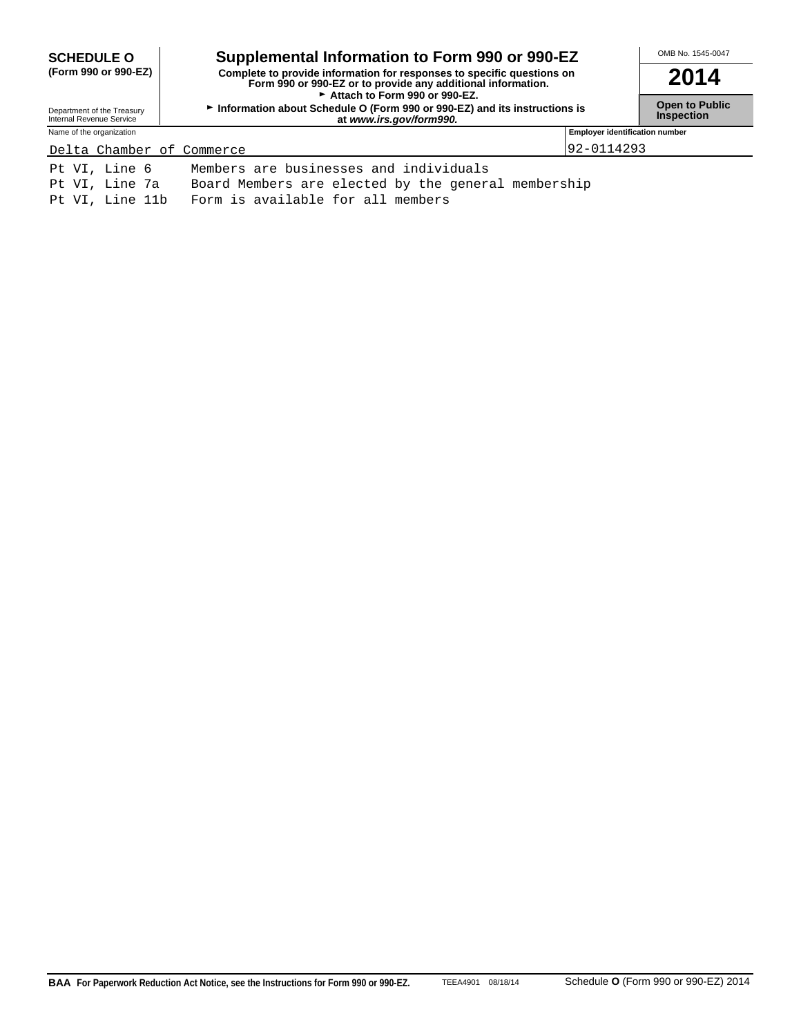| <b>SCHEDULE O</b>                                                     | Supplemental Information to Form 990 or 990-EZ | OMB No. 1545-0047                     |  |  |  |
|-----------------------------------------------------------------------|------------------------------------------------|---------------------------------------|--|--|--|
| (Form 990 or 990-EZ)                                                  | 2014                                           |                                       |  |  |  |
| Department of the Treasury<br>Internal Revenue Service                | <b>Open to Public</b><br><b>Inspection</b>     |                                       |  |  |  |
| Name of the organization                                              |                                                | <b>Employer identification number</b> |  |  |  |
| Delta Chamber of Commerce                                             |                                                | 92-0114293                            |  |  |  |
| Pt VI, Line 6                                                         | Members are businesses and individuals         |                                       |  |  |  |
| Board Members are elected by the general membership<br>Pt VI, Line 7a |                                                |                                       |  |  |  |
| Form is available for all members<br>Pt VI, Line 11b                  |                                                |                                       |  |  |  |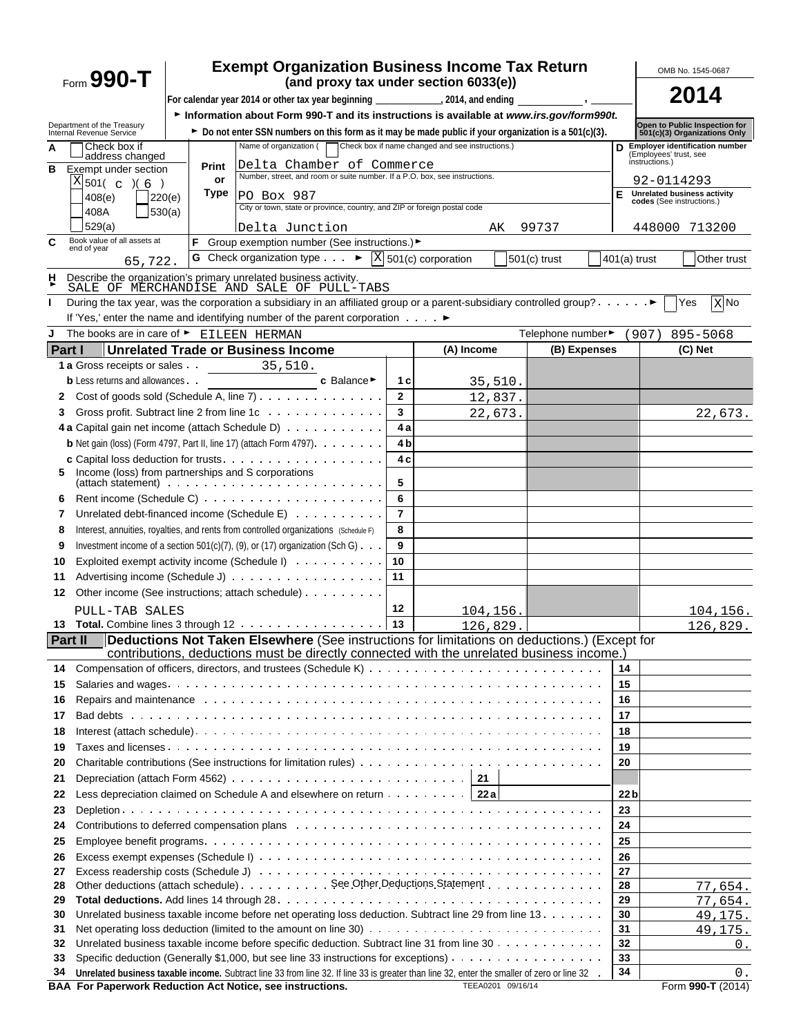|                | $_{\text{Form}}$ 990-T                                                                                                                                                                                               |                                                                                                                                                                                     | <b>Exempt Organization Business Income Tax Return</b>                                                                                                                                                                          |                |            |                   |                  |                 |                                          | OMB No. 1545-0687                                             |
|----------------|----------------------------------------------------------------------------------------------------------------------------------------------------------------------------------------------------------------------|-------------------------------------------------------------------------------------------------------------------------------------------------------------------------------------|--------------------------------------------------------------------------------------------------------------------------------------------------------------------------------------------------------------------------------|----------------|------------|-------------------|------------------|-----------------|------------------------------------------|---------------------------------------------------------------|
|                | (and proxy tax under section 6033(e))<br>For calendar year 2014 or other tax year beginning __________________, 2014, and ending _<br>$\overline{\phantom{a}}$ , $\overline{\phantom{a}}$ , $\overline{\phantom{a}}$ |                                                                                                                                                                                     |                                                                                                                                                                                                                                |                |            |                   |                  |                 | 2014                                     |                                                               |
|                |                                                                                                                                                                                                                      |                                                                                                                                                                                     | Information about Form 990-T and its instructions is available at www.irs.gov/form990t.                                                                                                                                        |                |            |                   |                  |                 |                                          |                                                               |
|                | Department of the Treasury<br>Internal Revenue Service                                                                                                                                                               |                                                                                                                                                                                     |                                                                                                                                                                                                                                |                |            |                   |                  |                 |                                          | Open to Public Inspection for<br>501(c)(3) Organizations Only |
| A              | Check box if                                                                                                                                                                                                         | ► Do not enter SSN numbers on this form as it may be made public if your organization is a 501(c)(3).<br>Check box if name changed and see instructions.)<br>Name of organization ( |                                                                                                                                                                                                                                |                |            |                   |                  |                 |                                          | D Employer identification number                              |
| B              | address changed<br>Exempt under section                                                                                                                                                                              | Print                                                                                                                                                                               | Delta Chamber of Commerce                                                                                                                                                                                                      |                |            |                   |                  |                 | (Employees' trust, see<br>instructions.) |                                                               |
|                | X 501( c ) (6 )                                                                                                                                                                                                      | or                                                                                                                                                                                  | Number, street, and room or suite number. If a P.O. box, see instructions.                                                                                                                                                     |                |            |                   |                  |                 | 92-0114293                               |                                                               |
|                | 408(e)                                                                                                                                                                                                               | Type<br>220(e)                                                                                                                                                                      | PO Box 987                                                                                                                                                                                                                     |                |            |                   |                  | Е               | codes (See instructions.)                | <b>Unrelated business activity</b>                            |
|                | 408A                                                                                                                                                                                                                 | 530(a)                                                                                                                                                                              | City or town, state or province, country, and ZIP or foreign postal code                                                                                                                                                       |                |            |                   |                  |                 |                                          |                                                               |
|                | 529(a)                                                                                                                                                                                                               |                                                                                                                                                                                     | Delta Junction                                                                                                                                                                                                                 |                | AK         |                   | 99737            |                 |                                          | 448000 713200                                                 |
| C              | Book value of all assets at<br>end of year                                                                                                                                                                           | F                                                                                                                                                                                   | Group exemption number (See instructions.) ►                                                                                                                                                                                   |                |            |                   |                  |                 |                                          |                                                               |
|                | 65,722.                                                                                                                                                                                                              |                                                                                                                                                                                     | G Check organization type $\qquad \qquad \blacktriangleright \ \boxed{X}$ 501(c) corporation                                                                                                                                   |                |            | $501(c)$ trust    |                  |                 | $401(a)$ trust                           | Other trust                                                   |
| н              |                                                                                                                                                                                                                      |                                                                                                                                                                                     | Describe the organization's primary unrelated business activity.<br>SALE OF MERCHANDISE AND SALE OF PULL-TABS                                                                                                                  |                |            |                   |                  |                 |                                          |                                                               |
| L              |                                                                                                                                                                                                                      |                                                                                                                                                                                     | During the tax year, was the corporation a subsidiary in an affiliated group or a parent-subsidiary controlled group? ▶                                                                                                        |                |            |                   |                  |                 |                                          | Yes<br>X No                                                   |
|                |                                                                                                                                                                                                                      |                                                                                                                                                                                     | If 'Yes,' enter the name and identifying number of the parent corporation ▶                                                                                                                                                    |                |            |                   |                  |                 |                                          |                                                               |
| J              | The books are in care of ► EILEEN HERMAN                                                                                                                                                                             |                                                                                                                                                                                     |                                                                                                                                                                                                                                |                |            |                   | Telephone number |                 | (907)                                    | 895-5068                                                      |
| <b>Part I</b>  |                                                                                                                                                                                                                      |                                                                                                                                                                                     | <b>Unrelated Trade or Business Income</b>                                                                                                                                                                                      |                | (A) Income |                   | (B) Expenses     |                 |                                          | (C) Net                                                       |
|                | 1 a Gross receipts or sales . 35, 510.                                                                                                                                                                               |                                                                                                                                                                                     |                                                                                                                                                                                                                                |                |            |                   |                  |                 |                                          |                                                               |
|                | <b>b</b> Less returns and allowances.                                                                                                                                                                                |                                                                                                                                                                                     | c Balance ►                                                                                                                                                                                                                    | 1 с            | 35,510.    |                   |                  |                 |                                          |                                                               |
| 2              |                                                                                                                                                                                                                      |                                                                                                                                                                                     | Cost of goods sold (Schedule A, line $7$ ) $\ldots$                                                                                                                                                                            | $\overline{2}$ | 12,837.    |                   |                  |                 |                                          |                                                               |
| 3              |                                                                                                                                                                                                                      |                                                                                                                                                                                     | Gross profit. Subtract line 2 from line 1c                                                                                                                                                                                     | 3              | 22,673.    |                   |                  |                 |                                          | 22,673.                                                       |
|                |                                                                                                                                                                                                                      |                                                                                                                                                                                     | 4 a Capital gain net income (attach Schedule D)                                                                                                                                                                                | 4 a            |            |                   |                  |                 |                                          |                                                               |
|                |                                                                                                                                                                                                                      |                                                                                                                                                                                     | <b>b</b> Net gain (loss) (Form 4797, Part II, line 17) (attach Form 4797). $\ldots$                                                                                                                                            | 4 <sub>b</sub> |            |                   |                  |                 |                                          |                                                               |
| 5.             | Income (loss) from partnerships and S corporations                                                                                                                                                                   |                                                                                                                                                                                     |                                                                                                                                                                                                                                | 4 c            |            |                   |                  |                 |                                          |                                                               |
|                |                                                                                                                                                                                                                      |                                                                                                                                                                                     |                                                                                                                                                                                                                                | 5              |            |                   |                  |                 |                                          |                                                               |
| 6              |                                                                                                                                                                                                                      |                                                                                                                                                                                     |                                                                                                                                                                                                                                | 6              |            |                   |                  |                 |                                          |                                                               |
| 7              |                                                                                                                                                                                                                      |                                                                                                                                                                                     | Unrelated debt-financed income (Schedule E)                                                                                                                                                                                    | $\overline{7}$ |            |                   |                  |                 |                                          |                                                               |
| 8              |                                                                                                                                                                                                                      |                                                                                                                                                                                     | Interest, annuities, royalties, and rents from controlled organizations (Schedule F)                                                                                                                                           | 8              |            |                   |                  |                 |                                          |                                                               |
| 9              |                                                                                                                                                                                                                      |                                                                                                                                                                                     | Investment income of a section 501(c)(7), (9), or (17) organization (Sch G) $\ldots$                                                                                                                                           | 9              |            |                   |                  |                 |                                          |                                                               |
| 10             |                                                                                                                                                                                                                      |                                                                                                                                                                                     | Exploited exempt activity income (Schedule I)                                                                                                                                                                                  | 10             |            |                   |                  |                 |                                          |                                                               |
| 11             |                                                                                                                                                                                                                      |                                                                                                                                                                                     | Advertising income (Schedule J)                                                                                                                                                                                                | 11             |            |                   |                  |                 |                                          |                                                               |
| 12             |                                                                                                                                                                                                                      |                                                                                                                                                                                     | Other income (See instructions; attach schedule)                                                                                                                                                                               |                |            |                   |                  |                 |                                          |                                                               |
|                | PULL-TAB SALES                                                                                                                                                                                                       |                                                                                                                                                                                     |                                                                                                                                                                                                                                | 12             | 104,156.   |                   |                  |                 |                                          | 104,156.                                                      |
|                |                                                                                                                                                                                                                      |                                                                                                                                                                                     | 13 Total. Combine lines 3 through 12                                                                                                                                                                                           | 13             | 126,829.   |                   |                  |                 |                                          | 126,829.                                                      |
| <b>Part II</b> |                                                                                                                                                                                                                      |                                                                                                                                                                                     | Deductions Not Taken Elsewhere (See instructions for limitations on deductions.) (Except for                                                                                                                                   |                |            |                   |                  |                 |                                          |                                                               |
|                |                                                                                                                                                                                                                      |                                                                                                                                                                                     | contributions, deductions must be directly connected with the unrelated business income.)                                                                                                                                      |                |            |                   |                  | 14              |                                          |                                                               |
| 14<br>15       |                                                                                                                                                                                                                      |                                                                                                                                                                                     |                                                                                                                                                                                                                                |                |            |                   |                  | 15              |                                          |                                                               |
| 16             |                                                                                                                                                                                                                      |                                                                                                                                                                                     | Repairs and maintenance education of the control of the control of the control of the control of the control of the control of the control of the control of the control of the control of the control of the control of the c |                |            |                   |                  | 16              |                                          |                                                               |
| 17             |                                                                                                                                                                                                                      |                                                                                                                                                                                     |                                                                                                                                                                                                                                |                |            |                   |                  | 17              |                                          |                                                               |
| 18             |                                                                                                                                                                                                                      |                                                                                                                                                                                     |                                                                                                                                                                                                                                |                |            |                   |                  | 18              |                                          |                                                               |
| 19             |                                                                                                                                                                                                                      |                                                                                                                                                                                     |                                                                                                                                                                                                                                |                |            |                   |                  | 19              |                                          |                                                               |
| 20             |                                                                                                                                                                                                                      |                                                                                                                                                                                     |                                                                                                                                                                                                                                |                |            |                   |                  | 20              |                                          |                                                               |
| 21             |                                                                                                                                                                                                                      |                                                                                                                                                                                     |                                                                                                                                                                                                                                |                |            |                   |                  |                 |                                          |                                                               |
| 22             |                                                                                                                                                                                                                      |                                                                                                                                                                                     | Less depreciation claimed on Schedule A and elsewhere on return 22a                                                                                                                                                            |                |            |                   |                  | 22 <sub>b</sub> |                                          |                                                               |
| 23             |                                                                                                                                                                                                                      |                                                                                                                                                                                     |                                                                                                                                                                                                                                |                |            |                   |                  | 23              |                                          |                                                               |
| 24             |                                                                                                                                                                                                                      |                                                                                                                                                                                     |                                                                                                                                                                                                                                |                |            |                   |                  | 24              |                                          |                                                               |
| 25             |                                                                                                                                                                                                                      |                                                                                                                                                                                     |                                                                                                                                                                                                                                |                |            |                   |                  | 25              |                                          |                                                               |
| 26             |                                                                                                                                                                                                                      |                                                                                                                                                                                     |                                                                                                                                                                                                                                |                |            |                   |                  | 26              |                                          |                                                               |
| 27             |                                                                                                                                                                                                                      |                                                                                                                                                                                     |                                                                                                                                                                                                                                |                |            |                   |                  | 27              |                                          |                                                               |
| 28             |                                                                                                                                                                                                                      |                                                                                                                                                                                     | Other deductions (attach schedule) See Other Deductions Statement                                                                                                                                                              |                |            |                   |                  | 28              |                                          | 77,654.                                                       |
| 29             |                                                                                                                                                                                                                      |                                                                                                                                                                                     |                                                                                                                                                                                                                                |                |            |                   |                  | 29              |                                          | 77,654.                                                       |
| 30             |                                                                                                                                                                                                                      |                                                                                                                                                                                     | Unrelated business taxable income before net operating loss deduction. Subtract line 29 from line 13                                                                                                                           |                |            |                   |                  | 30<br>31        |                                          | 49,175.                                                       |
| 31<br>32       |                                                                                                                                                                                                                      |                                                                                                                                                                                     | Unrelated business taxable income before specific deduction. Subtract line 31 from line 30                                                                                                                                     |                |            |                   |                  | 32              |                                          | 49,175.<br>0.                                                 |
| 33             |                                                                                                                                                                                                                      |                                                                                                                                                                                     | Specific deduction (Generally \$1,000, but see line 33 instructions for exceptions) $\ldots \ldots \ldots \ldots \ldots$                                                                                                       |                |            |                   |                  | 33              |                                          |                                                               |
| 34             |                                                                                                                                                                                                                      |                                                                                                                                                                                     | Unrelated business taxable income. Subtract line 33 from line 32. If line 33 is greater than line 32, enter the smaller of zero or line 32 .                                                                                   |                |            |                   |                  | 34              |                                          | 0.                                                            |
|                |                                                                                                                                                                                                                      |                                                                                                                                                                                     | BAA For Paperwork Reduction Act Notice, see instructions.                                                                                                                                                                      |                |            | TEEA0201 09/16/14 |                  |                 |                                          | Form 990-T (2014)                                             |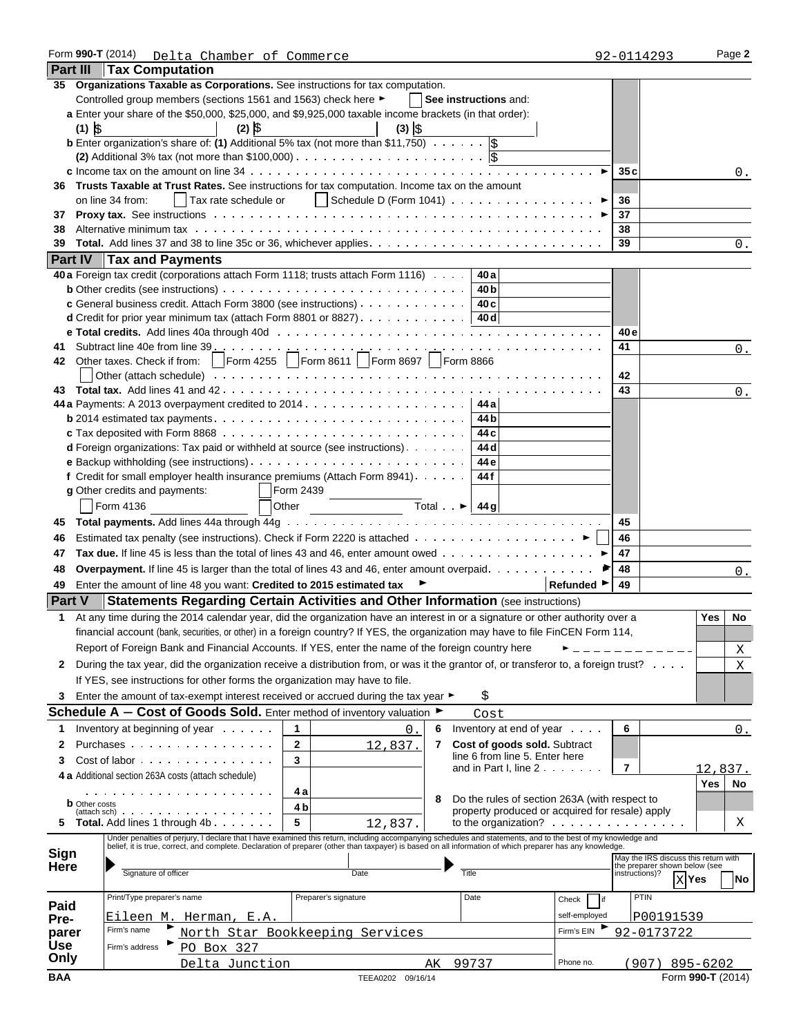|                 | Form 990-T (2014)                 | Delta Chamber of Commerce                                            |                                                                                                                                                                                                                                                                                                                           |    |                                                 |                                | 92-0114293                                      | Page 2                               |
|-----------------|-----------------------------------|----------------------------------------------------------------------|---------------------------------------------------------------------------------------------------------------------------------------------------------------------------------------------------------------------------------------------------------------------------------------------------------------------------|----|-------------------------------------------------|--------------------------------|-------------------------------------------------|--------------------------------------|
| <b>Part III</b> | <b>Tax Computation</b>            |                                                                      |                                                                                                                                                                                                                                                                                                                           |    |                                                 |                                |                                                 |                                      |
|                 |                                   |                                                                      | 35 Organizations Taxable as Corporations. See instructions for tax computation.                                                                                                                                                                                                                                           |    |                                                 |                                |                                                 |                                      |
|                 |                                   | Controlled group members (sections 1561 and 1563) check here ►       |                                                                                                                                                                                                                                                                                                                           |    | See instructions and:                           |                                |                                                 |                                      |
|                 |                                   |                                                                      | a Enter your share of the \$50,000, \$25,000, and \$9,925,000 taxable income brackets (in that order):                                                                                                                                                                                                                    |    |                                                 |                                |                                                 |                                      |
|                 | $(1)$ $\frac{1}{2}$               | $(2)$ $\hat{S}$                                                      | $(3)$ $\circ$                                                                                                                                                                                                                                                                                                             |    |                                                 |                                |                                                 |                                      |
|                 |                                   |                                                                      | <b>b</b> Enter organization's share of: (1) Additional 5% tax (not more than \$11,750) $\cdots$ , $ \xi $                                                                                                                                                                                                                 |    |                                                 |                                |                                                 |                                      |
|                 |                                   |                                                                      | (2) Additional 3% tax (not more than \$100,000) $\ldots$                                                                                                                                                                                                                                                                  |    |                                                 |                                |                                                 |                                      |
|                 |                                   |                                                                      |                                                                                                                                                                                                                                                                                                                           |    |                                                 | $\blacktriangleright$          | 35 c                                            | 0.                                   |
|                 |                                   |                                                                      | 36 Trusts Taxable at Trust Rates. See instructions for tax computation. Income tax on the amount                                                                                                                                                                                                                          |    |                                                 |                                |                                                 |                                      |
|                 | on line 34 from:                  |                                                                      | Tax rate schedule or   Schedule D (Form 1041) ▶                                                                                                                                                                                                                                                                           |    |                                                 |                                | 36                                              |                                      |
| 37              |                                   |                                                                      |                                                                                                                                                                                                                                                                                                                           |    |                                                 |                                | 37                                              |                                      |
| 38              |                                   |                                                                      |                                                                                                                                                                                                                                                                                                                           |    |                                                 |                                | 38                                              |                                      |
| 39              |                                   |                                                                      |                                                                                                                                                                                                                                                                                                                           |    |                                                 |                                | 39                                              | 0.                                   |
|                 | <b>Part IV   Tax and Payments</b> |                                                                      |                                                                                                                                                                                                                                                                                                                           |    |                                                 |                                |                                                 |                                      |
|                 |                                   |                                                                      | 40 a Foreign tax credit (corporations attach Form 1118; trusts attach Form 1116)   40 a                                                                                                                                                                                                                                   |    |                                                 |                                |                                                 |                                      |
|                 |                                   |                                                                      |                                                                                                                                                                                                                                                                                                                           |    | 40 <sub>b</sub>                                 |                                |                                                 |                                      |
|                 |                                   |                                                                      | c General business credit. Attach Form 3800 (see instructions)                                                                                                                                                                                                                                                            |    | 40 c                                            |                                |                                                 |                                      |
|                 |                                   |                                                                      | <b>d</b> Credit for prior year minimum tax (attach Form 8801 or 8827). 40 d                                                                                                                                                                                                                                               |    |                                                 |                                |                                                 |                                      |
|                 |                                   |                                                                      |                                                                                                                                                                                                                                                                                                                           |    |                                                 |                                | 40 e                                            |                                      |
| 41              |                                   |                                                                      | Subtract line 40e from line $39$ $\cdots$ $\cdots$ $\cdots$ $\cdots$ $\cdots$ $\cdots$ $\cdots$ $\cdots$ $\cdots$ $\cdots$ $\cdots$ $\cdots$ $\cdots$                                                                                                                                                                     |    |                                                 |                                | 41                                              | 0.                                   |
|                 |                                   |                                                                      | 42 Other taxes. Check if from:    Form 4255    Form 8611    Form 8697    Form 8866                                                                                                                                                                                                                                        |    |                                                 |                                |                                                 |                                      |
|                 |                                   |                                                                      |                                                                                                                                                                                                                                                                                                                           |    |                                                 |                                | 42                                              |                                      |
| 43.             |                                   |                                                                      |                                                                                                                                                                                                                                                                                                                           |    |                                                 |                                | 43                                              | 0.                                   |
|                 |                                   |                                                                      |                                                                                                                                                                                                                                                                                                                           |    |                                                 |                                |                                                 |                                      |
|                 |                                   |                                                                      | <b>b</b> 2014 estimated tax payments $\ldots \ldots \ldots \ldots \ldots \ldots \ldots \ldots \ldots \ldots$                                                                                                                                                                                                              |    | 44 b                                            |                                |                                                 |                                      |
|                 |                                   |                                                                      |                                                                                                                                                                                                                                                                                                                           |    | 44 c<br>44 d                                    |                                |                                                 |                                      |
|                 |                                   |                                                                      | <b>d</b> Foreign organizations: Tax paid or withheld at source (see instructions)                                                                                                                                                                                                                                         |    | 44 e                                            |                                |                                                 |                                      |
|                 |                                   |                                                                      | f Credit for small employer health insurance premiums (Attach Form 8941).                                                                                                                                                                                                                                                 |    | 44 f                                            |                                |                                                 |                                      |
|                 | g Other credits and payments:     |                                                                      | Form 2439                                                                                                                                                                                                                                                                                                                 |    |                                                 |                                |                                                 |                                      |
|                 | Form 4136                         |                                                                      | Other                                                                                                                                                                                                                                                                                                                     |    | Total $\rightarrow$ 44g                         |                                |                                                 |                                      |
|                 |                                   |                                                                      |                                                                                                                                                                                                                                                                                                                           |    |                                                 |                                |                                                 |                                      |
| 45              |                                   |                                                                      |                                                                                                                                                                                                                                                                                                                           |    |                                                 |                                | 45                                              |                                      |
| 46              |                                   |                                                                      | Estimated tax penalty (see instructions). Check if Form 2220 is attached ▶                                                                                                                                                                                                                                                |    |                                                 |                                | 46                                              |                                      |
| 47              |                                   |                                                                      | Tax due. If line 45 is less than the total of lines 43 and 46, enter amount owed $\ldots \ldots \ldots \ldots \ldots$                                                                                                                                                                                                     |    |                                                 |                                | 47                                              |                                      |
| 48              |                                   |                                                                      | <b>Overpayment.</b> If line 45 is larger than the total of lines 43 and 46, enter amount overpaid.                                                                                                                                                                                                                        |    |                                                 |                                | 48                                              | 0.                                   |
| 49              |                                   | Enter the amount of line 48 you want: Credited to 2015 estimated tax |                                                                                                                                                                                                                                                                                                                           |    |                                                 | Refunded $\blacktriangleright$ | 49                                              |                                      |
| <b>Part V</b>   |                                   |                                                                      | <b>Statements Regarding Certain Activities and Other Information (see instructions)</b>                                                                                                                                                                                                                                   |    |                                                 |                                |                                                 |                                      |
| 1.              |                                   |                                                                      | At any time during the 2014 calendar year, did the organization have an interest in or a signature or other authority over a                                                                                                                                                                                              |    |                                                 |                                |                                                 | Yes<br><b>No</b>                     |
|                 |                                   |                                                                      | financial account (bank, securities, or other) in a foreign country? If YES, the organization may have to file FinCEN Form 114,                                                                                                                                                                                           |    |                                                 |                                |                                                 |                                      |
|                 |                                   |                                                                      | Report of Foreign Bank and Financial Accounts. If YES, enter the name of the foreign country here                                                                                                                                                                                                                         |    |                                                 |                                |                                                 | Χ                                    |
| 2               |                                   |                                                                      | During the tax year, did the organization receive a distribution from, or was it the grantor of, or transferor to, a foreign trust?                                                                                                                                                                                       |    |                                                 |                                |                                                 | X                                    |
|                 |                                   |                                                                      | If YES, see instructions for other forms the organization may have to file.                                                                                                                                                                                                                                               |    |                                                 |                                |                                                 |                                      |
| 3               |                                   |                                                                      | Enter the amount of tax-exempt interest received or accrued during the tax year ▶                                                                                                                                                                                                                                         |    | \$                                              |                                |                                                 |                                      |
|                 |                                   |                                                                      | <b>Schedule A - Cost of Goods Sold.</b> Enter method of inventory valuation $\blacktriangleright$                                                                                                                                                                                                                         |    | Cost                                            |                                |                                                 |                                      |
| 1               |                                   | Inventory at beginning of year                                       | 1<br>0                                                                                                                                                                                                                                                                                                                    | 6  | Inventory at end of year                        |                                | 6                                               | 0.                                   |
| 2               |                                   | Purchases                                                            | $\mathbf{2}$<br>12,837.                                                                                                                                                                                                                                                                                                   | 7  | Cost of goods sold. Subtract                    |                                |                                                 |                                      |
|                 |                                   | Cost of labor                                                        |                                                                                                                                                                                                                                                                                                                           |    | line 6 from line 5. Enter here                  |                                |                                                 |                                      |
| 3               |                                   |                                                                      | 3                                                                                                                                                                                                                                                                                                                         |    | and in Part I, line 2                           |                                | 7                                               | 12,837.                              |
|                 |                                   | 4 a Additional section 263A costs (attach schedule)                  |                                                                                                                                                                                                                                                                                                                           |    |                                                 |                                |                                                 | Yes<br>No                            |
|                 | <b>b</b> Other costs              | .                                                                    | 4 a                                                                                                                                                                                                                                                                                                                       | 8  | Do the rules of section 263A (with respect to   |                                |                                                 |                                      |
|                 |                                   | $(\text{attach sch})$                                                | 4 b                                                                                                                                                                                                                                                                                                                       |    | property produced or acquired for resale) apply |                                |                                                 |                                      |
| 5               |                                   | Total. Add lines 1 through 4b                                        | 5<br>12,837.                                                                                                                                                                                                                                                                                                              |    |                                                 |                                |                                                 | Χ                                    |
|                 |                                   |                                                                      | Under penalties of perjury, I declare that I have examined this return, including accompanying schedules and statements, and to the best of my knowledge and<br>belief, it is true, correct, and complete. Declaration of preparer (other than taxpayer) is based on all information of which preparer has any knowledge. |    |                                                 |                                |                                                 |                                      |
| Sign            |                                   |                                                                      |                                                                                                                                                                                                                                                                                                                           |    |                                                 |                                |                                                 | May the IRS discuss this return with |
| Here            | Signature of officer              |                                                                      | Date                                                                                                                                                                                                                                                                                                                      |    | Title                                           |                                | the preparer shown below (see<br>instructions)? |                                      |
|                 |                                   |                                                                      |                                                                                                                                                                                                                                                                                                                           |    |                                                 |                                |                                                 | $X$ Yes<br>No                        |
| Paid            | Print/Type preparer's name        |                                                                      | Preparer's signature                                                                                                                                                                                                                                                                                                      |    | Date                                            | Check<br>lif                   | PTIN                                            |                                      |
| Pre-            |                                   | Eileen M. Herman, E.A.                                               |                                                                                                                                                                                                                                                                                                                           |    |                                                 | self-employed                  | P00191539                                       |                                      |
| parer           | Firm's name                       |                                                                      | North Star Bookkeeping Services                                                                                                                                                                                                                                                                                           |    |                                                 | Firm's EIN                     | 92-0173722                                      |                                      |
| Use             | Firm's address                    | PO Box 327                                                           |                                                                                                                                                                                                                                                                                                                           |    |                                                 |                                |                                                 |                                      |
| Only            |                                   | Delta Junction                                                       |                                                                                                                                                                                                                                                                                                                           | AК | 99737                                           | Phone no.                      |                                                 | (907) 895-6202                       |
| <b>BAA</b>      |                                   |                                                                      | TEEA0202 09/16/14                                                                                                                                                                                                                                                                                                         |    |                                                 |                                |                                                 | Form 990-T (2014)                    |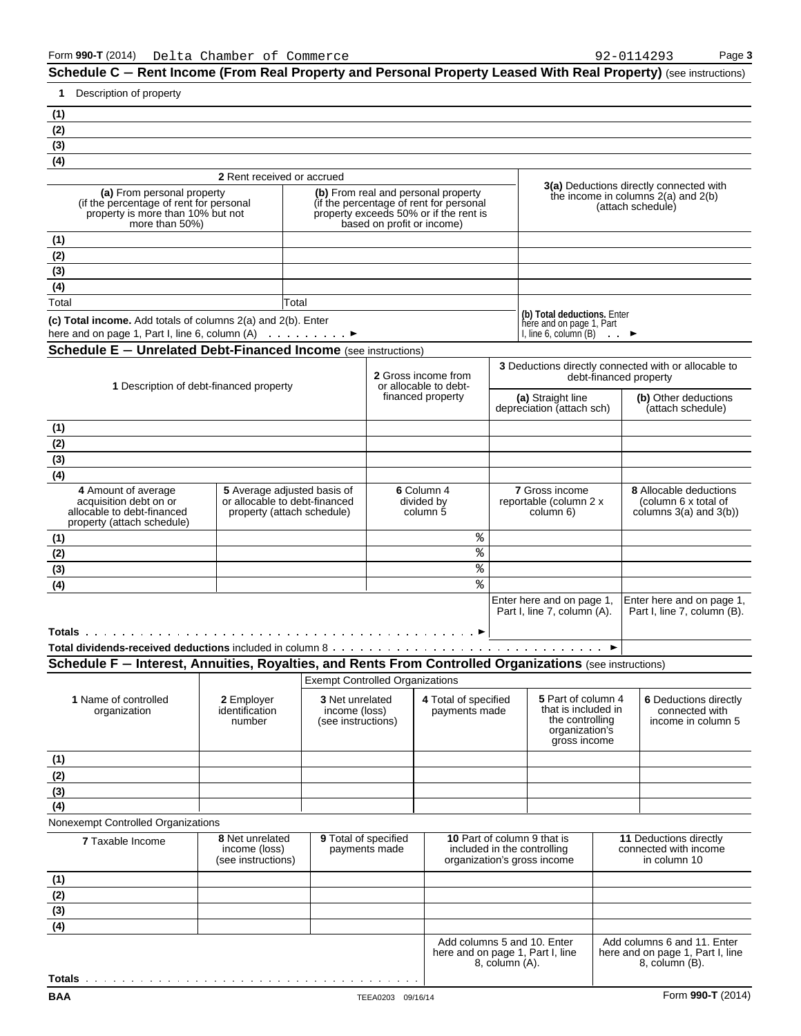| Description of property<br>1.                                                                                                                                                                           |                                                                                                                                                                                                                                        |                                                               |                                      |                                                |                                                                                                  |                                           |                                                                                      |  |
|---------------------------------------------------------------------------------------------------------------------------------------------------------------------------------------------------------|----------------------------------------------------------------------------------------------------------------------------------------------------------------------------------------------------------------------------------------|---------------------------------------------------------------|--------------------------------------|------------------------------------------------|--------------------------------------------------------------------------------------------------|-------------------------------------------|--------------------------------------------------------------------------------------|--|
| (1)                                                                                                                                                                                                     |                                                                                                                                                                                                                                        |                                                               |                                      |                                                |                                                                                                  |                                           |                                                                                      |  |
| (2)                                                                                                                                                                                                     |                                                                                                                                                                                                                                        |                                                               |                                      |                                                |                                                                                                  |                                           |                                                                                      |  |
| (3)                                                                                                                                                                                                     |                                                                                                                                                                                                                                        |                                                               |                                      |                                                |                                                                                                  |                                           |                                                                                      |  |
| (4)                                                                                                                                                                                                     |                                                                                                                                                                                                                                        |                                                               |                                      |                                                |                                                                                                  |                                           |                                                                                      |  |
|                                                                                                                                                                                                         | 2 Rent received or accrued                                                                                                                                                                                                             |                                                               |                                      |                                                |                                                                                                  |                                           | <b>3(a)</b> Deductions directly connected with                                       |  |
| (a) From personal property<br>more than 50%)                                                                                                                                                            | (b) From real and personal property<br>(if the percentage of rent for personal<br>(if the percentage of rent for personal<br>property exceeds 50% or if the rent is<br>property is more than 10% but not<br>based on profit or income) |                                                               |                                      |                                                |                                                                                                  |                                           | the income in columns $2(a)$ and $2(b)$<br>(attach schedule)                         |  |
| (1)                                                                                                                                                                                                     |                                                                                                                                                                                                                                        |                                                               |                                      |                                                |                                                                                                  |                                           |                                                                                      |  |
| (2)                                                                                                                                                                                                     |                                                                                                                                                                                                                                        |                                                               |                                      |                                                |                                                                                                  |                                           |                                                                                      |  |
| (3)                                                                                                                                                                                                     |                                                                                                                                                                                                                                        |                                                               |                                      |                                                |                                                                                                  |                                           |                                                                                      |  |
| (4)                                                                                                                                                                                                     |                                                                                                                                                                                                                                        |                                                               |                                      |                                                |                                                                                                  |                                           |                                                                                      |  |
| Total                                                                                                                                                                                                   | Total                                                                                                                                                                                                                                  |                                                               |                                      |                                                |                                                                                                  |                                           |                                                                                      |  |
| (c) Total income. Add totals of columns 2(a) and 2(b). Enter                                                                                                                                            |                                                                                                                                                                                                                                        |                                                               |                                      |                                                | (b) Total deductions. Enter<br>here and on page 1, Part                                          |                                           |                                                                                      |  |
| here and on page 1, Part I, line 6, column $(A)$                                                                                                                                                        |                                                                                                                                                                                                                                        |                                                               |                                      |                                                | I, line $6$ , column $(B)$                                                                       | $\cdots$                                  |                                                                                      |  |
| <b>Schedule E - Unrelated Debt-Financed Income</b> (see instructions)                                                                                                                                   |                                                                                                                                                                                                                                        |                                                               |                                      |                                                |                                                                                                  |                                           |                                                                                      |  |
| 1 Description of debt-financed property                                                                                                                                                                 |                                                                                                                                                                                                                                        |                                                               |                                      | 2 Gross income from<br>or allocable to debt-   |                                                                                                  |                                           | 3 Deductions directly connected with or allocable to<br>debt-financed property       |  |
|                                                                                                                                                                                                         |                                                                                                                                                                                                                                        |                                                               | financed property                    | (a) Straight line<br>depreciation (attach sch) |                                                                                                  | (b) Other deductions<br>(attach schedule) |                                                                                      |  |
| (1)                                                                                                                                                                                                     |                                                                                                                                                                                                                                        |                                                               |                                      |                                                |                                                                                                  |                                           |                                                                                      |  |
| (2)                                                                                                                                                                                                     |                                                                                                                                                                                                                                        |                                                               |                                      |                                                |                                                                                                  |                                           |                                                                                      |  |
| (3)                                                                                                                                                                                                     |                                                                                                                                                                                                                                        |                                                               |                                      |                                                |                                                                                                  |                                           |                                                                                      |  |
| (4)                                                                                                                                                                                                     |                                                                                                                                                                                                                                        |                                                               |                                      |                                                |                                                                                                  |                                           |                                                                                      |  |
| 4 Amount of average<br>5 Average adjusted basis of<br>acquisition debt on or<br>or allocable to debt-financed<br>allocable to debt-financed<br>property (attach schedule)<br>property (attach schedule) |                                                                                                                                                                                                                                        |                                                               | 6 Column 4<br>divided by<br>column 5 |                                                | 7 Gross income<br>reportable (column 2 x<br>column 6)                                            |                                           | <b>8</b> Allocable deductions<br>(column 6 x total of<br>columns $3(a)$ and $3(b)$ ) |  |
| (1)                                                                                                                                                                                                     |                                                                                                                                                                                                                                        |                                                               |                                      | ి                                              |                                                                                                  |                                           |                                                                                      |  |
| (2)                                                                                                                                                                                                     |                                                                                                                                                                                                                                        |                                                               |                                      | ి                                              |                                                                                                  |                                           |                                                                                      |  |
| (3)                                                                                                                                                                                                     |                                                                                                                                                                                                                                        |                                                               |                                      | ి                                              |                                                                                                  |                                           |                                                                                      |  |
| (4)                                                                                                                                                                                                     |                                                                                                                                                                                                                                        |                                                               |                                      | %                                              |                                                                                                  |                                           |                                                                                      |  |
|                                                                                                                                                                                                         |                                                                                                                                                                                                                                        |                                                               |                                      |                                                | Enter here and on page 1.<br>Part I, line 7, column (A).                                         |                                           | Enter here and on page 1,<br>Part I, line 7, column (B).                             |  |
|                                                                                                                                                                                                         |                                                                                                                                                                                                                                        |                                                               |                                      |                                                |                                                                                                  |                                           |                                                                                      |  |
| Schedule F - Interest, Annuities, Royalties, and Rents From Controlled Organizations (see instructions)                                                                                                 |                                                                                                                                                                                                                                        |                                                               |                                      |                                                |                                                                                                  |                                           |                                                                                      |  |
|                                                                                                                                                                                                         |                                                                                                                                                                                                                                        | <b>Exempt Controlled Organizations</b>                        |                                      |                                                |                                                                                                  |                                           |                                                                                      |  |
| 1 Name of controlled<br>organization                                                                                                                                                                    | 2 Employer<br>identification<br>number                                                                                                                                                                                                 | <b>3 Net unrelated</b><br>income (loss)<br>(see instructions) |                                      | 4 Total of specified<br>payments made          | 5 Part of column 4<br>that is included in<br>the controlling<br>organization's<br>gross income   |                                           | 6 Deductions directly<br>connected with<br>income in column 5                        |  |
| (1)                                                                                                                                                                                                     |                                                                                                                                                                                                                                        |                                                               |                                      |                                                |                                                                                                  |                                           |                                                                                      |  |
| (2)                                                                                                                                                                                                     |                                                                                                                                                                                                                                        |                                                               |                                      |                                                |                                                                                                  |                                           |                                                                                      |  |
| (3)                                                                                                                                                                                                     |                                                                                                                                                                                                                                        |                                                               |                                      |                                                |                                                                                                  |                                           |                                                                                      |  |
| (4)                                                                                                                                                                                                     |                                                                                                                                                                                                                                        |                                                               |                                      |                                                |                                                                                                  |                                           |                                                                                      |  |
| Nonexempt Controlled Organizations                                                                                                                                                                      |                                                                                                                                                                                                                                        |                                                               |                                      |                                                |                                                                                                  |                                           |                                                                                      |  |
| <b>7 Taxable Income</b>                                                                                                                                                                                 | 8 Net unrelated<br>income (loss)<br>(see instructions)                                                                                                                                                                                 | 9 Total of specified                                          | payments made                        |                                                | <b>10 Part of column 9 that is</b><br>included in the controlling<br>organization's gross income |                                           | 11 Deductions directly<br>connected with income<br>in column 10                      |  |
| (1)                                                                                                                                                                                                     |                                                                                                                                                                                                                                        |                                                               |                                      |                                                |                                                                                                  |                                           |                                                                                      |  |
| (2)                                                                                                                                                                                                     |                                                                                                                                                                                                                                        |                                                               |                                      |                                                |                                                                                                  |                                           |                                                                                      |  |
| $\overline{(3)}$                                                                                                                                                                                        |                                                                                                                                                                                                                                        |                                                               |                                      |                                                |                                                                                                  |                                           |                                                                                      |  |
| (4)                                                                                                                                                                                                     |                                                                                                                                                                                                                                        |                                                               |                                      |                                                |                                                                                                  |                                           |                                                                                      |  |
|                                                                                                                                                                                                         |                                                                                                                                                                                                                                        |                                                               |                                      |                                                | Add columns 5 and 10. Enter                                                                      |                                           | Add columns 6 and 11. Enter                                                          |  |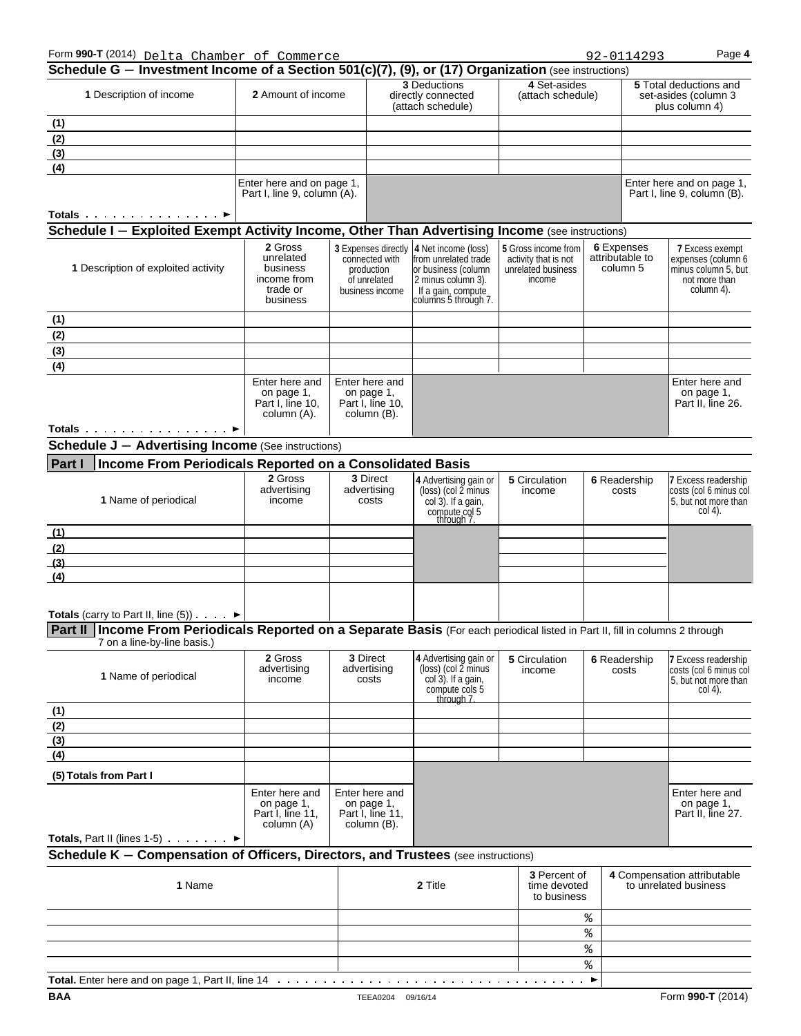| Form 990-T (2014) Delta Chamber of Commerce                                                                                      |                                                                         |             |                                                                                        |                                                                                                                                        |                                   |                                                                           | 92-0114293   |                                                                         | Page 4                                                                                             |
|----------------------------------------------------------------------------------------------------------------------------------|-------------------------------------------------------------------------|-------------|----------------------------------------------------------------------------------------|----------------------------------------------------------------------------------------------------------------------------------------|-----------------------------------|---------------------------------------------------------------------------|--------------|-------------------------------------------------------------------------|----------------------------------------------------------------------------------------------------|
| Schedule G - Investment Income of a Section 501(c)(7), (9), or (17) Organization (see instructions)                              |                                                                         |             |                                                                                        |                                                                                                                                        |                                   |                                                                           |              |                                                                         |                                                                                                    |
| 1 Description of income                                                                                                          | 2 Amount of income                                                      |             |                                                                                        | 3 Deductions<br>directly connected<br>(attach schedule)                                                                                | 4 Set-asides<br>(attach schedule) |                                                                           |              | <b>5</b> Total deductions and<br>set-asides (column 3<br>plus column 4) |                                                                                                    |
| (1)                                                                                                                              |                                                                         |             |                                                                                        |                                                                                                                                        |                                   |                                                                           |              |                                                                         |                                                                                                    |
| (2)                                                                                                                              |                                                                         |             |                                                                                        |                                                                                                                                        |                                   |                                                                           |              |                                                                         |                                                                                                    |
| $\frac{(3)}{(4)}$                                                                                                                |                                                                         |             |                                                                                        |                                                                                                                                        |                                   |                                                                           |              |                                                                         |                                                                                                    |
|                                                                                                                                  |                                                                         |             |                                                                                        |                                                                                                                                        |                                   |                                                                           |              |                                                                         |                                                                                                    |
|                                                                                                                                  | Enter here and on page 1,<br>Part I, line 9, column (A).                |             |                                                                                        |                                                                                                                                        |                                   |                                                                           |              |                                                                         | Enter here and on page 1,<br>Part I, line 9, column (B).                                           |
| Totals $\cdots$ $\blacktriangleright$                                                                                            |                                                                         |             |                                                                                        |                                                                                                                                        |                                   |                                                                           |              |                                                                         |                                                                                                    |
| Schedule I - Exploited Exempt Activity Income, Other Than Advertising Income (see instructions)                                  |                                                                         |             |                                                                                        |                                                                                                                                        |                                   |                                                                           |              |                                                                         |                                                                                                    |
|                                                                                                                                  |                                                                         |             |                                                                                        |                                                                                                                                        |                                   |                                                                           | 6 Expenses   |                                                                         |                                                                                                    |
| 1 Description of exploited activity                                                                                              | 2 Gross<br>unrelated<br>business<br>income from<br>trade or<br>business |             | 3 Expenses directly<br>connected with<br>production<br>of unrelated<br>business income | 4 Net income (loss)<br>from unrelated trade<br>or business (column<br>2 minus column 3).<br>If a gain, compute<br>columns 5 through 7. | 5 Gross income from<br>income     | attributable to<br>activity that is not<br>column 5<br>unrelated business |              |                                                                         | <b>7 Excess exempt</b><br>expenses (column 6<br>minus column 5, but<br>not more than<br>column 4). |
| (1)                                                                                                                              |                                                                         |             |                                                                                        |                                                                                                                                        |                                   |                                                                           |              |                                                                         |                                                                                                    |
| (2)                                                                                                                              |                                                                         |             |                                                                                        |                                                                                                                                        |                                   |                                                                           |              |                                                                         |                                                                                                    |
| (3)                                                                                                                              |                                                                         |             |                                                                                        |                                                                                                                                        |                                   |                                                                           |              |                                                                         |                                                                                                    |
| (4)                                                                                                                              |                                                                         |             |                                                                                        |                                                                                                                                        |                                   |                                                                           |              |                                                                         |                                                                                                    |
|                                                                                                                                  | Enter here and<br>on page 1,<br>Part I, line 10,<br>column (A).         |             | Enter here and<br>on page 1,<br>Part I, line 10,<br>column (B).                        |                                                                                                                                        |                                   |                                                                           |              |                                                                         | Enter here and<br>on page 1,<br>Part II, line 26.                                                  |
|                                                                                                                                  |                                                                         |             |                                                                                        |                                                                                                                                        |                                   |                                                                           |              |                                                                         |                                                                                                    |
| Totals ►                                                                                                                         |                                                                         |             |                                                                                        |                                                                                                                                        |                                   |                                                                           |              |                                                                         |                                                                                                    |
| <b>Schedule J - Advertising Income (See instructions)</b>                                                                        |                                                                         |             |                                                                                        |                                                                                                                                        |                                   |                                                                           |              |                                                                         |                                                                                                    |
| Income From Periodicals Reported on a Consolidated Basis<br><b>Part I</b>                                                        |                                                                         |             |                                                                                        |                                                                                                                                        |                                   |                                                                           |              |                                                                         |                                                                                                    |
| 1 Name of periodical                                                                                                             | 2 Gross<br>advertising<br>income                                        | advertising |                                                                                        | 3 Direct<br>4 Advertising gain or<br>(loss) (col 2 minus<br>costs<br>$col(3)$ . If a gain,<br>compute col 5<br>through 7.              |                                   | 5 Circulation<br>6 Readership<br>income<br>costs                          |              |                                                                         | <b>7 Excess readership</b><br>costs (col 6 minus col<br>5, but not more than<br>col 4).            |
| (1)                                                                                                                              |                                                                         |             |                                                                                        |                                                                                                                                        |                                   |                                                                           |              |                                                                         |                                                                                                    |
| (2)                                                                                                                              |                                                                         |             |                                                                                        |                                                                                                                                        |                                   |                                                                           |              |                                                                         |                                                                                                    |
| (3)                                                                                                                              |                                                                         |             |                                                                                        |                                                                                                                                        |                                   |                                                                           |              |                                                                         |                                                                                                    |
| (4)                                                                                                                              |                                                                         |             |                                                                                        |                                                                                                                                        |                                   |                                                                           |              |                                                                         |                                                                                                    |
|                                                                                                                                  |                                                                         |             |                                                                                        |                                                                                                                                        |                                   |                                                                           |              |                                                                         |                                                                                                    |
|                                                                                                                                  |                                                                         |             |                                                                                        |                                                                                                                                        |                                   |                                                                           |              |                                                                         |                                                                                                    |
| <b>Totals</b> (carry to Part II, line $(5)$ ). $\blacktriangleright$                                                             |                                                                         |             |                                                                                        |                                                                                                                                        |                                   |                                                                           |              |                                                                         |                                                                                                    |
| Part II   Income From Periodicals Reported on a Separate Basis (For each periodical listed in Part II, fill in columns 2 through |                                                                         |             |                                                                                        |                                                                                                                                        |                                   |                                                                           |              |                                                                         |                                                                                                    |
| 7 on a line-by-line basis.)                                                                                                      |                                                                         |             |                                                                                        |                                                                                                                                        |                                   |                                                                           |              |                                                                         |                                                                                                    |
|                                                                                                                                  | 2 Gross                                                                 |             | 3 Direct                                                                               | 4 Advertising gain or                                                                                                                  | 5 Circulation                     |                                                                           | 6 Readership |                                                                         | 7 Excess readership                                                                                |
| 1 Name of periodical                                                                                                             | advertising<br>income                                                   |             | advertising<br>costs                                                                   | $(\text{loss})$ (col 2 minus)<br>col 3). If a gain,<br>compute cols 5<br>through 7.                                                    | income                            |                                                                           | costs        |                                                                         | costs (col 6 minus col<br>5, but not more than<br>$col(4)$ .                                       |
| (1)                                                                                                                              |                                                                         |             |                                                                                        |                                                                                                                                        |                                   |                                                                           |              |                                                                         |                                                                                                    |
| (2)                                                                                                                              |                                                                         |             |                                                                                        |                                                                                                                                        |                                   |                                                                           |              |                                                                         |                                                                                                    |
| (3)                                                                                                                              |                                                                         |             |                                                                                        |                                                                                                                                        |                                   |                                                                           |              |                                                                         |                                                                                                    |
| (4)                                                                                                                              |                                                                         |             |                                                                                        |                                                                                                                                        |                                   |                                                                           |              |                                                                         |                                                                                                    |
| (5) Totals from Part I                                                                                                           |                                                                         |             |                                                                                        |                                                                                                                                        |                                   |                                                                           |              |                                                                         |                                                                                                    |
|                                                                                                                                  | Enter here and<br>on page 1,<br>Part I, line 11,<br>column (A)          |             | Enter here and<br>on page 1,<br>Part I, line 11,<br>column (B).                        |                                                                                                                                        |                                   |                                                                           |              |                                                                         | Enter here and<br>on page 1,<br>Part II, line 27.                                                  |
| <b>Totals, Part II (lines 1-5)</b> $\ldots$ $\blacktriangleright$                                                                |                                                                         |             |                                                                                        |                                                                                                                                        |                                   |                                                                           |              |                                                                         |                                                                                                    |
| Schedule K - Compensation of Officers, Directors, and Trustees (see instructions)                                                |                                                                         |             |                                                                                        |                                                                                                                                        |                                   |                                                                           |              |                                                                         |                                                                                                    |
| 1 Name                                                                                                                           |                                                                         |             |                                                                                        | 2 Title                                                                                                                                | 3 Percent of<br>time devoted      | to business                                                               |              |                                                                         | 4 Compensation attributable<br>to unrelated business                                               |
|                                                                                                                                  |                                                                         |             |                                                                                        |                                                                                                                                        |                                   | %                                                                         |              |                                                                         |                                                                                                    |
|                                                                                                                                  |                                                                         |             |                                                                                        |                                                                                                                                        |                                   | %                                                                         |              |                                                                         |                                                                                                    |
|                                                                                                                                  |                                                                         |             |                                                                                        |                                                                                                                                        |                                   | %                                                                         |              |                                                                         |                                                                                                    |
|                                                                                                                                  |                                                                         |             |                                                                                        |                                                                                                                                        |                                   | %                                                                         |              |                                                                         |                                                                                                    |
| Total Enter here and on nane 1 Part II line 14                                                                                   |                                                                         |             |                                                                                        |                                                                                                                                        |                                   |                                                                           |              |                                                                         |                                                                                                    |

**Total.** Enter here and on page 1, Part II, line 14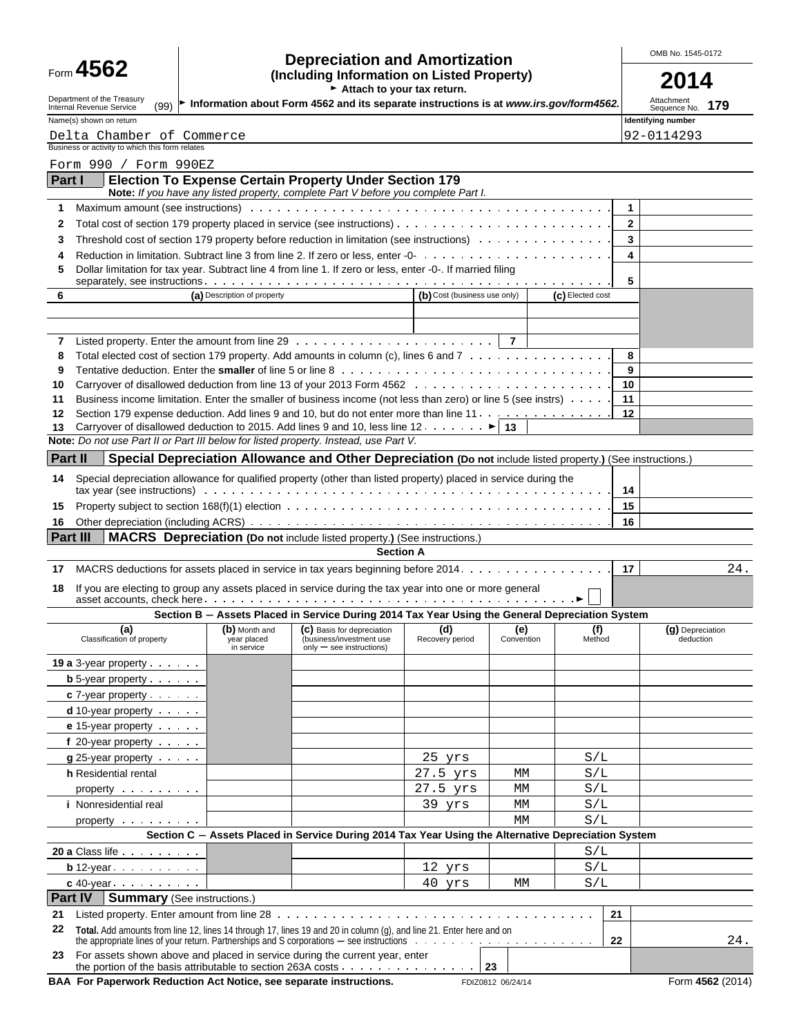| Form 4562 |  |  |
|-----------|--|--|
|-----------|--|--|

# Form **4562 Depreciation and Amortization COMB No. 1545-0172**<br>
(Including Information on Listed Property) **COLL**

| ⊦crm 号JVŁ                                                                            |                             | (Including Information on Listed Property)<br>Attach to your tax return.                                                                                                                                                                                                                                                                          |                              |                |                  |              |                                    |
|--------------------------------------------------------------------------------------|-----------------------------|---------------------------------------------------------------------------------------------------------------------------------------------------------------------------------------------------------------------------------------------------------------------------------------------------------------------------------------------------|------------------------------|----------------|------------------|--------------|------------------------------------|
| Department of the Treasury<br>(99)                                                   |                             | Information about Form 4562 and its separate instructions is at www.irs.gov/form4562.                                                                                                                                                                                                                                                             |                              |                |                  |              | Attachment<br>179                  |
| Internal Revenue Service<br>Name(s) shown on return                                  |                             |                                                                                                                                                                                                                                                                                                                                                   |                              |                |                  |              | Sequence No.<br>Identifying number |
| Delta Chamber of Commerce<br>Business or activity to which this form relates         |                             |                                                                                                                                                                                                                                                                                                                                                   |                              |                |                  |              | 92-0114293                         |
| Form 990 / Form 990EZ                                                                |                             |                                                                                                                                                                                                                                                                                                                                                   |                              |                |                  |              |                                    |
| Part I                                                                               |                             | <b>Election To Expense Certain Property Under Section 179</b><br>Note: If you have any listed property, complete Part V before you complete Part I.                                                                                                                                                                                               |                              |                |                  |              |                                    |
| 1                                                                                    |                             |                                                                                                                                                                                                                                                                                                                                                   |                              |                |                  | 1            |                                    |
| 2                                                                                    |                             | Total cost of section 179 property placed in service (see instructions)                                                                                                                                                                                                                                                                           |                              |                |                  | $\mathbf{2}$ |                                    |
| 3                                                                                    |                             | Threshold cost of section 179 property before reduction in limitation (see instructions) $\dots \dots \dots \dots \dots$                                                                                                                                                                                                                          |                              |                |                  | 3            |                                    |
| 4                                                                                    |                             |                                                                                                                                                                                                                                                                                                                                                   |                              |                |                  | 4            |                                    |
| 5                                                                                    |                             | Dollar limitation for tax year. Subtract line 4 from line 1. If zero or less, enter -0-. If married filing                                                                                                                                                                                                                                        |                              |                |                  | 5            |                                    |
| 6                                                                                    | (a) Description of property |                                                                                                                                                                                                                                                                                                                                                   | (b) Cost (business use only) |                | (c) Elected cost |              |                                    |
|                                                                                      |                             |                                                                                                                                                                                                                                                                                                                                                   |                              |                |                  |              |                                    |
| 7                                                                                    |                             | Listed property. Enter the amount from line $29 \ldots \ldots \ldots \ldots \ldots \ldots \ldots \ldots$                                                                                                                                                                                                                                          |                              | $\overline{7}$ |                  |              |                                    |
| 8                                                                                    |                             | Total elected cost of section 179 property. Add amounts in column (c), lines 6 and 7                                                                                                                                                                                                                                                              |                              |                |                  | 8            |                                    |
| 9                                                                                    |                             |                                                                                                                                                                                                                                                                                                                                                   |                              |                |                  | 9            |                                    |
| 10                                                                                   |                             |                                                                                                                                                                                                                                                                                                                                                   |                              |                |                  | 10           |                                    |
| 11                                                                                   |                             | Business income limitation. Enter the smaller of business income (not less than zero) or line 5 (see instrs)                                                                                                                                                                                                                                      |                              |                |                  | 11           |                                    |
| 12                                                                                   |                             | Section 179 expense deduction. Add lines 9 and 10, but do not enter more than line 11                                                                                                                                                                                                                                                             |                              |                |                  | 12           |                                    |
| 13                                                                                   |                             | Carryover of disallowed deduction to 2015. Add lines 9 and 10, less line 12. $\dots \dots$ . $\blacktriangleright$ 13                                                                                                                                                                                                                             |                              |                |                  |              |                                    |
| Note: Do not use Part II or Part III below for listed property. Instead, use Part V. |                             |                                                                                                                                                                                                                                                                                                                                                   |                              |                |                  |              |                                    |
| Part II                                                                              |                             | Special Depreciation Allowance and Other Depreciation (Do not include listed property.) (See instructions.)                                                                                                                                                                                                                                       |                              |                |                  |              |                                    |
| 14                                                                                   |                             | Special depreciation allowance for qualified property (other than listed property) placed in service during the<br>tax year (see instructions) with the content of the content of the content of the content of the content of the content of the content of the content of the content of the content of the content of the content of the conte |                              |                |                  | 14           |                                    |
| 15                                                                                   |                             |                                                                                                                                                                                                                                                                                                                                                   |                              |                |                  | 15           |                                    |
| 16                                                                                   |                             |                                                                                                                                                                                                                                                                                                                                                   |                              |                |                  | 16           |                                    |
| Part III                                                                             |                             | <b>MACRS</b> Depreciation (Do not include listed property.) (See instructions.)                                                                                                                                                                                                                                                                   |                              |                |                  |              |                                    |
|                                                                                      |                             | <b>Section A</b>                                                                                                                                                                                                                                                                                                                                  |                              |                |                  | 17           | 24.                                |
| 17<br>18                                                                             |                             | MACRS deductions for assets placed in service in tax years beginning before 2014.<br>If you are electing to group any assets placed in service during the tax year into one or more general                                                                                                                                                       |                              |                |                  |              |                                    |
|                                                                                      |                             |                                                                                                                                                                                                                                                                                                                                                   |                              |                |                  |              |                                    |
| (a)                                                                                  | (b) Month and               | Section B - Assets Placed in Service During 2014 Tax Year Using the General Depreciation System<br>(C) Basis for depreciation                                                                                                                                                                                                                     | (d)                          | (e)            | (f)              |              | (g) Depreciation                   |
| Classification of property                                                           | year placed<br>in service   | (business/investment use<br>only - see instructions)                                                                                                                                                                                                                                                                                              | Recovery period              | Convention     | Method           |              | deduction                          |
| <b>19 a</b> $3$ -year property $\cdots$                                              |                             |                                                                                                                                                                                                                                                                                                                                                   |                              |                |                  |              |                                    |
| <b>b</b> 5-year property $\cdot$ $\cdot$ $\cdot$                                     |                             |                                                                                                                                                                                                                                                                                                                                                   |                              |                |                  |              |                                    |
| $c$ 7-year property $\cdots$                                                         |                             |                                                                                                                                                                                                                                                                                                                                                   |                              |                |                  |              |                                    |
| $d$ 10-year property $\cdots$                                                        |                             |                                                                                                                                                                                                                                                                                                                                                   |                              |                |                  |              |                                    |
| e 15-year property                                                                   |                             |                                                                                                                                                                                                                                                                                                                                                   |                              |                |                  |              |                                    |
| f 20-year property                                                                   |                             |                                                                                                                                                                                                                                                                                                                                                   |                              |                |                  |              |                                    |
| $g$ 25-year property $\cdots$                                                        |                             |                                                                                                                                                                                                                                                                                                                                                   | 25 yrs                       |                | S/L              |              |                                    |
| h Residential rental                                                                 |                             |                                                                                                                                                                                                                                                                                                                                                   | 27.5 yrs                     | МM             | S/L              |              |                                    |
| property exercise the contract of                                                    |                             |                                                                                                                                                                                                                                                                                                                                                   | 27.5 yrs                     | МM             | S/L              |              |                                    |
| <i>i</i> Nonresidential real                                                         |                             |                                                                                                                                                                                                                                                                                                                                                   | 39 yrs                       | МM             | S/L              |              |                                    |
|                                                                                      |                             |                                                                                                                                                                                                                                                                                                                                                   |                              | МM             | S/L              |              |                                    |
|                                                                                      |                             | Section C - Assets Placed in Service During 2014 Tax Year Using the Alternative Depreciation System                                                                                                                                                                                                                                               |                              |                |                  |              |                                    |
| 20 a Class life                                                                      |                             |                                                                                                                                                                                                                                                                                                                                                   |                              |                | S/L              |              |                                    |
| $\mathbf{b}$ 12-year $\cdots$                                                        | S/L<br>12 yrs               |                                                                                                                                                                                                                                                                                                                                                   |                              |                |                  |              |                                    |
| $c$ 40-year $\cdots$ $\cdots$                                                        |                             |                                                                                                                                                                                                                                                                                                                                                   | $40 \text{ yrs}$             | МM             | S/L              |              |                                    |
| <b>Part IV</b><br><b>Summary</b> (See instructions.)                                 |                             |                                                                                                                                                                                                                                                                                                                                                   |                              |                |                  |              |                                    |
|                                                                                      |                             |                                                                                                                                                                                                                                                                                                                                                   |                              |                |                  |              |                                    |
| Listed property. Enter amount from line 28<br>21                                     |                             |                                                                                                                                                                                                                                                                                                                                                   |                              |                | 21               |              |                                    |

| 22 | Total. Add amounts from line 12, lines 14 through 17, lines 19 and 20 in column (g), and line 21. Enter here and on                                       |  | 24. |
|----|-----------------------------------------------------------------------------------------------------------------------------------------------------------|--|-----|
|    | 23 For assets shown above and placed in service during the current year, enter<br>the portion of the basis attributable to section 263A costs $\cdots$ 23 |  |     |

**BAA For Paperwork Reduction Act Notice, see separate instructions.** FDIZ0812 06/24/14 FORM 4562 (2014)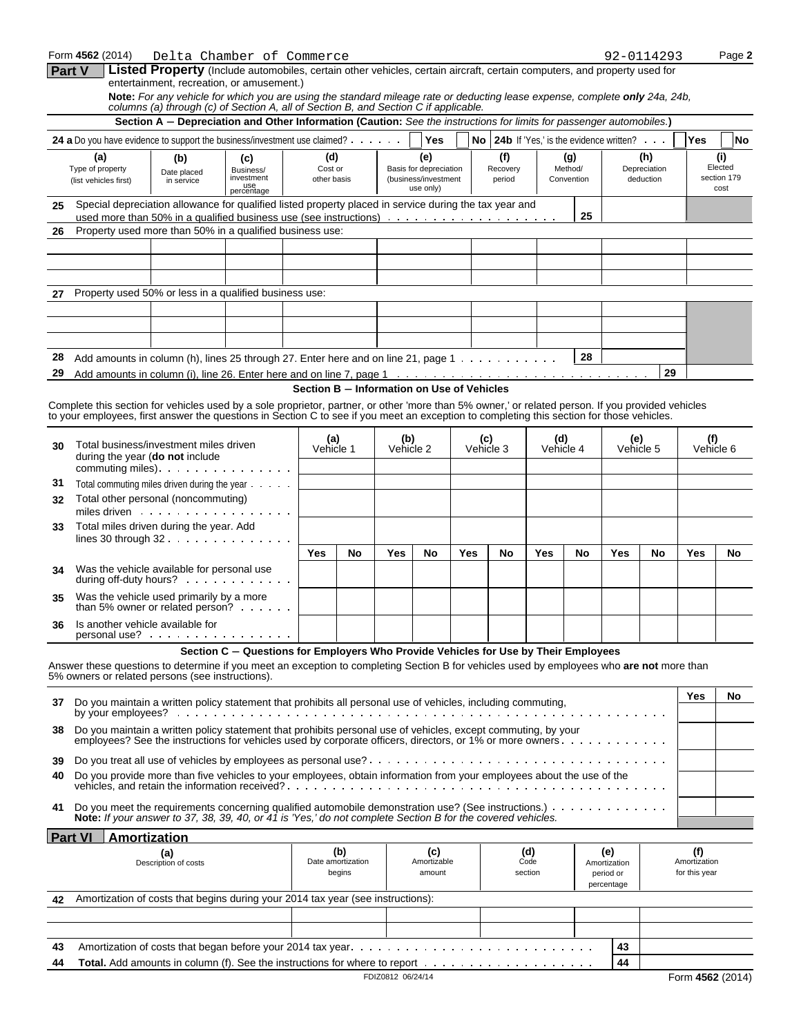|    | Form 4562 (2014)                                                                                                                                                                                                                   |                           | Delta Chamber of Commerce                                                                                                                                                                                           |                |                             |                                            |                                   |     |                 |                 |                |                                           | 92-0114293          |                               | Page 2              |
|----|------------------------------------------------------------------------------------------------------------------------------------------------------------------------------------------------------------------------------------|---------------------------|---------------------------------------------------------------------------------------------------------------------------------------------------------------------------------------------------------------------|----------------|-----------------------------|--------------------------------------------|-----------------------------------|-----|-----------------|-----------------|----------------|-------------------------------------------|---------------------|-------------------------------|---------------------|
|    | Part V                                                                                                                                                                                                                             |                           | Listed Property (Include automobiles, certain other vehicles, certain aircraft, certain computers, and property used for<br>entertainment, recreation, or amusement.)                                               |                |                             |                                            |                                   |     |                 |                 |                |                                           |                     |                               |                     |
|    |                                                                                                                                                                                                                                    |                           | Note: For any vehicle for which you are using the standard mileage rate or deducting lease expense, complete only 24a, 24b,<br>columns (a) through (c) of Section A, all of Section B, and Section C if applicable. |                |                             |                                            |                                   |     |                 |                 |                |                                           |                     |                               |                     |
|    |                                                                                                                                                                                                                                    |                           | Section A - Depreciation and Other Information (Caution: See the instructions for limits for passenger automobiles.)                                                                                                |                |                             |                                            |                                   |     |                 |                 |                |                                           |                     |                               |                     |
|    | 24 a Do you have evidence to support the business/investment use claimed?                                                                                                                                                          |                           |                                                                                                                                                                                                                     |                |                             |                                            | <b>Yes</b>                        |     |                 |                 |                | No 24b If 'Yes.' is the evidence written? |                     | Yes                           | No                  |
|    | (a)<br>Type of property                                                                                                                                                                                                            | (b)                       | (c)<br>Business/                                                                                                                                                                                                    | (d)<br>Cost or |                             |                                            | (e)<br>Basis for depreciation     |     | (f)<br>Recovery |                 | (g)<br>Method/ |                                           | (h)<br>Depreciation |                               | (i)<br>Elected      |
|    | (list vehicles first)                                                                                                                                                                                                              | Date placed<br>in service | investment<br>use<br>percentage                                                                                                                                                                                     | other basis    |                             |                                            | (business/investment<br>use only) |     | period          |                 | Convention     |                                           | deduction           |                               | section 179<br>cost |
| 25 | Special depreciation allowance for qualified listed property placed in service during the tax year and                                                                                                                             |                           |                                                                                                                                                                                                                     |                |                             |                                            |                                   |     |                 |                 |                |                                           |                     |                               |                     |
|    |                                                                                                                                                                                                                                    |                           |                                                                                                                                                                                                                     |                |                             |                                            |                                   |     |                 |                 | 25             |                                           |                     |                               |                     |
| 26 | Property used more than 50% in a qualified business use:                                                                                                                                                                           |                           |                                                                                                                                                                                                                     |                |                             |                                            |                                   |     |                 |                 |                |                                           |                     |                               |                     |
|    |                                                                                                                                                                                                                                    |                           |                                                                                                                                                                                                                     |                |                             |                                            |                                   |     |                 |                 |                |                                           |                     |                               |                     |
|    |                                                                                                                                                                                                                                    |                           |                                                                                                                                                                                                                     |                |                             |                                            |                                   |     |                 |                 |                |                                           |                     |                               |                     |
| 27 | Property used 50% or less in a qualified business use:                                                                                                                                                                             |                           |                                                                                                                                                                                                                     |                |                             |                                            |                                   |     |                 |                 |                |                                           |                     |                               |                     |
|    |                                                                                                                                                                                                                                    |                           |                                                                                                                                                                                                                     |                |                             |                                            |                                   |     |                 |                 |                |                                           |                     |                               |                     |
|    |                                                                                                                                                                                                                                    |                           |                                                                                                                                                                                                                     |                |                             |                                            |                                   |     |                 |                 |                |                                           |                     |                               |                     |
|    |                                                                                                                                                                                                                                    |                           |                                                                                                                                                                                                                     |                |                             |                                            |                                   |     |                 |                 |                |                                           |                     |                               |                     |
| 28 | Add amounts in column (h), lines 25 through 27. Enter here and on line 21, page $1 \cdot \cdot \cdot \cdot \cdot \cdot \cdot \cdot \cdot$                                                                                          |                           |                                                                                                                                                                                                                     |                |                             |                                            |                                   |     |                 |                 | 28             |                                           |                     |                               |                     |
| 29 |                                                                                                                                                                                                                                    |                           |                                                                                                                                                                                                                     |                |                             | Section B - Information on Use of Vehicles |                                   |     |                 |                 |                |                                           | 29                  |                               |                     |
|    | Complete this section for vehicles used by a sole proprietor, partner, or other 'more than 5% owner,' or related person. If you provided vehicles                                                                                  |                           |                                                                                                                                                                                                                     |                |                             |                                            |                                   |     |                 |                 |                |                                           |                     |                               |                     |
|    | to your employees, first answer the questions in Section C to see if you meet an exception to completing this section for those vehicles.                                                                                          |                           |                                                                                                                                                                                                                     |                |                             |                                            |                                   |     |                 |                 |                |                                           |                     |                               |                     |
| 30 | Total business/investment miles driven                                                                                                                                                                                             |                           |                                                                                                                                                                                                                     |                | (a)                         | (b)                                        |                                   | (c) |                 | (d)             |                | (e)                                       |                     | (f)                           |                     |
|    | during the year (do not include                                                                                                                                                                                                    |                           |                                                                                                                                                                                                                     | Vehicle 1      |                             | Vehicle 2                                  |                                   |     | Vehicle 3       |                 | Vehicle 4      |                                           | Vehicle 5           |                               | Vehicle 6           |
| 31 |                                                                                                                                                                                                                                    |                           |                                                                                                                                                                                                                     |                |                             |                                            |                                   |     |                 |                 |                |                                           |                     |                               |                     |
| 32 | Total commuting miles driven during the year<br>Total other personal (noncommuting)                                                                                                                                                |                           |                                                                                                                                                                                                                     |                |                             |                                            |                                   |     |                 |                 |                |                                           |                     |                               |                     |
|    | miles driven                                                                                                                                                                                                                       |                           |                                                                                                                                                                                                                     |                |                             |                                            |                                   |     |                 |                 |                |                                           |                     |                               |                     |
| 33 | Total miles driven during the year. Add<br>lines 30 through $32 \cdot \cdot \cdot \cdot \cdot \cdot \cdot \cdot \cdot \cdot \cdot \cdot$                                                                                           |                           |                                                                                                                                                                                                                     |                |                             |                                            |                                   |     |                 |                 |                |                                           |                     |                               |                     |
|    |                                                                                                                                                                                                                                    |                           |                                                                                                                                                                                                                     | Yes            | No                          | Yes                                        | No                                | Yes | No              | Yes             | No             | Yes                                       | No                  | Yes                           | No                  |
| 34 | Was the vehicle available for personal use                                                                                                                                                                                         |                           |                                                                                                                                                                                                                     |                |                             |                                            |                                   |     |                 |                 |                |                                           |                     |                               |                     |
|    | during off-duty hours?                                                                                                                                                                                                             |                           |                                                                                                                                                                                                                     |                |                             |                                            |                                   |     |                 |                 |                |                                           |                     |                               |                     |
| 35 | Was the vehicle used primarily by a more<br>than 5% owner or related person?                                                                                                                                                       |                           |                                                                                                                                                                                                                     |                |                             |                                            |                                   |     |                 |                 |                |                                           |                     |                               |                     |
| 36 | Is another vehicle available for                                                                                                                                                                                                   |                           |                                                                                                                                                                                                                     |                |                             |                                            |                                   |     |                 |                 |                |                                           |                     |                               |                     |
|    |                                                                                                                                                                                                                                    |                           | Section C - Questions for Employers Who Provide Vehicles for Use by Their Employees                                                                                                                                 |                |                             |                                            |                                   |     |                 |                 |                |                                           |                     |                               |                     |
|    | Answer these questions to determine if you meet an exception to completing Section B for vehicles used by employees who are not more than                                                                                          |                           |                                                                                                                                                                                                                     |                |                             |                                            |                                   |     |                 |                 |                |                                           |                     |                               |                     |
|    | 5% owners or related persons (see instructions).                                                                                                                                                                                   |                           |                                                                                                                                                                                                                     |                |                             |                                            |                                   |     |                 |                 |                |                                           |                     |                               |                     |
| 37 | Do you maintain a written policy statement that prohibits all personal use of vehicles, including commuting,                                                                                                                       |                           |                                                                                                                                                                                                                     |                |                             |                                            |                                   |     |                 |                 |                |                                           |                     | <b>Yes</b>                    | No                  |
|    |                                                                                                                                                                                                                                    |                           |                                                                                                                                                                                                                     |                |                             |                                            |                                   |     |                 |                 |                |                                           |                     |                               |                     |
| 38 | Do you maintain a written policy statement that prohibits personal use of vehicles, except commuting, by your<br>employees? See the instructions for vehicles used by corporate officers, directors, or 1% or more owners.         |                           |                                                                                                                                                                                                                     |                |                             |                                            |                                   |     |                 |                 |                |                                           |                     |                               |                     |
| 39 |                                                                                                                                                                                                                                    |                           |                                                                                                                                                                                                                     |                |                             |                                            |                                   |     |                 |                 |                |                                           |                     |                               |                     |
| 40 | Do you provide more than five vehicles to your employees, obtain information from your employees about the use of the                                                                                                              |                           |                                                                                                                                                                                                                     |                |                             |                                            |                                   |     |                 |                 |                |                                           |                     |                               |                     |
|    |                                                                                                                                                                                                                                    |                           |                                                                                                                                                                                                                     |                |                             |                                            |                                   |     |                 |                 |                |                                           |                     |                               |                     |
| 41 | Do you meet the requirements concerning qualified automobile demonstration use? (See instructions.) $\ldots \ldots$<br>Note: If your answer to 37, 38, 39, 40, or 41 is 'Yes,' do not complete Section B for the covered vehicles. |                           |                                                                                                                                                                                                                     |                |                             |                                            |                                   |     |                 |                 |                |                                           |                     |                               |                     |
|    | <b>Part VI</b><br>Amortization                                                                                                                                                                                                     |                           |                                                                                                                                                                                                                     |                |                             |                                            |                                   |     |                 |                 |                |                                           |                     |                               |                     |
|    |                                                                                                                                                                                                                                    | (a)                       |                                                                                                                                                                                                                     |                | (b)                         |                                            | (c)                               |     |                 | (d)             |                | (e)                                       |                     | (f)                           |                     |
|    |                                                                                                                                                                                                                                    | Description of costs      |                                                                                                                                                                                                                     |                | Date amortization<br>begins |                                            | Amortizable<br>amount             |     |                 | Code<br>section |                | Amortization<br>period or                 |                     | Amortization<br>for this year |                     |
|    |                                                                                                                                                                                                                                    |                           |                                                                                                                                                                                                                     |                |                             |                                            |                                   |     |                 |                 |                | percentage                                |                     |                               |                     |
| 42 | Amortization of costs that begins during your 2014 tax year (see instructions):                                                                                                                                                    |                           |                                                                                                                                                                                                                     |                |                             |                                            |                                   |     |                 |                 |                |                                           |                     |                               |                     |
|    |                                                                                                                                                                                                                                    |                           |                                                                                                                                                                                                                     |                |                             |                                            |                                   |     |                 |                 |                |                                           |                     |                               |                     |
| 43 |                                                                                                                                                                                                                                    |                           |                                                                                                                                                                                                                     |                |                             |                                            |                                   |     |                 |                 |                | 43                                        |                     |                               |                     |
| 44 |                                                                                                                                                                                                                                    |                           | <b>Total.</b> Add amounts in column (f). See the instructions for where to report $\dots \dots \dots \dots \dots \dots \dots$                                                                                       |                |                             |                                            |                                   |     |                 |                 |                | 44                                        |                     |                               |                     |
|    |                                                                                                                                                                                                                                    |                           |                                                                                                                                                                                                                     |                |                             | FDIZ0812 06/24/14                          |                                   |     |                 |                 |                |                                           |                     | Form 4562 (2014)              |                     |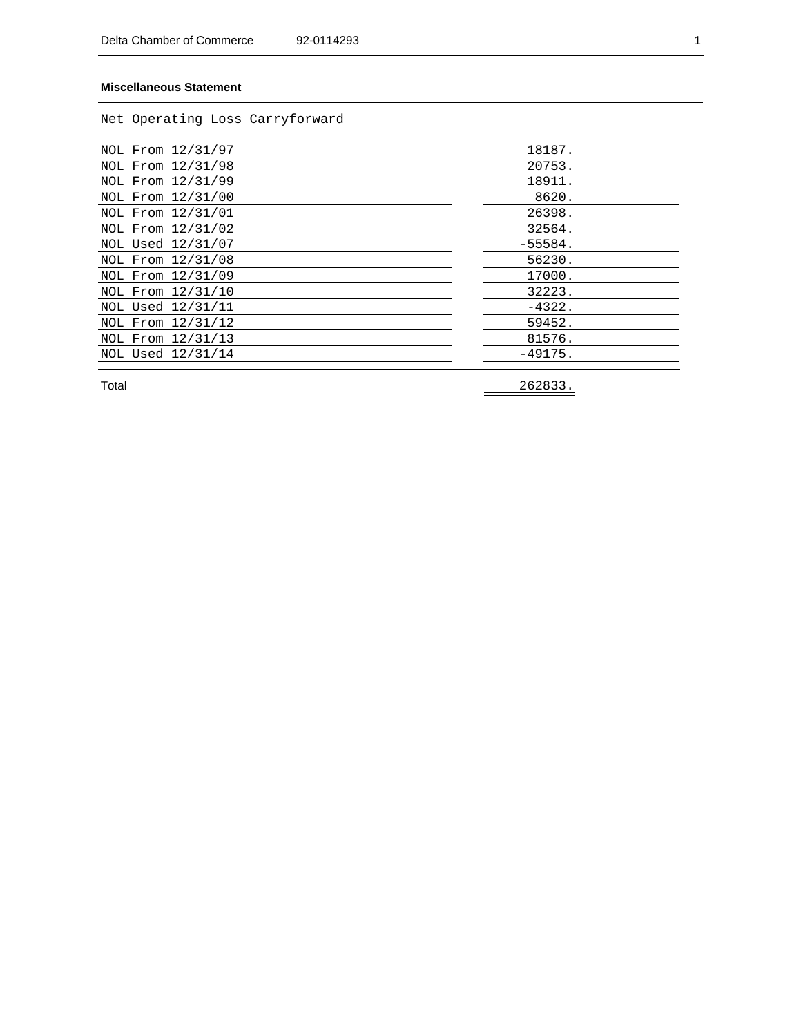#### **Miscellaneous Statement**

| Net Operating Loss Carryforward |           |  |
|---------------------------------|-----------|--|
|                                 | 18187.    |  |
| NOL From 12/31/97               |           |  |
| NOL From 12/31/98               | 20753.    |  |
| NOL From 12/31/99               | 18911.    |  |
| NOL From 12/31/00               | 8620.     |  |
| NOL From 12/31/01               | 26398.    |  |
| NOL From 12/31/02               | 32564.    |  |
| NOL Used 12/31/07               | $-55584.$ |  |
| NOL From 12/31/08               | 56230.    |  |
| NOL From 12/31/09               | 17000.    |  |
| NOL From 12/31/10               | 32223.    |  |
| NOL Used 12/31/11               | $-4322.$  |  |
| NOL From 12/31/12               | 59452.    |  |
| NOL From 12/31/13               | 81576.    |  |
| NOL Used 12/31/14               | $-49175.$ |  |

Total 262833.